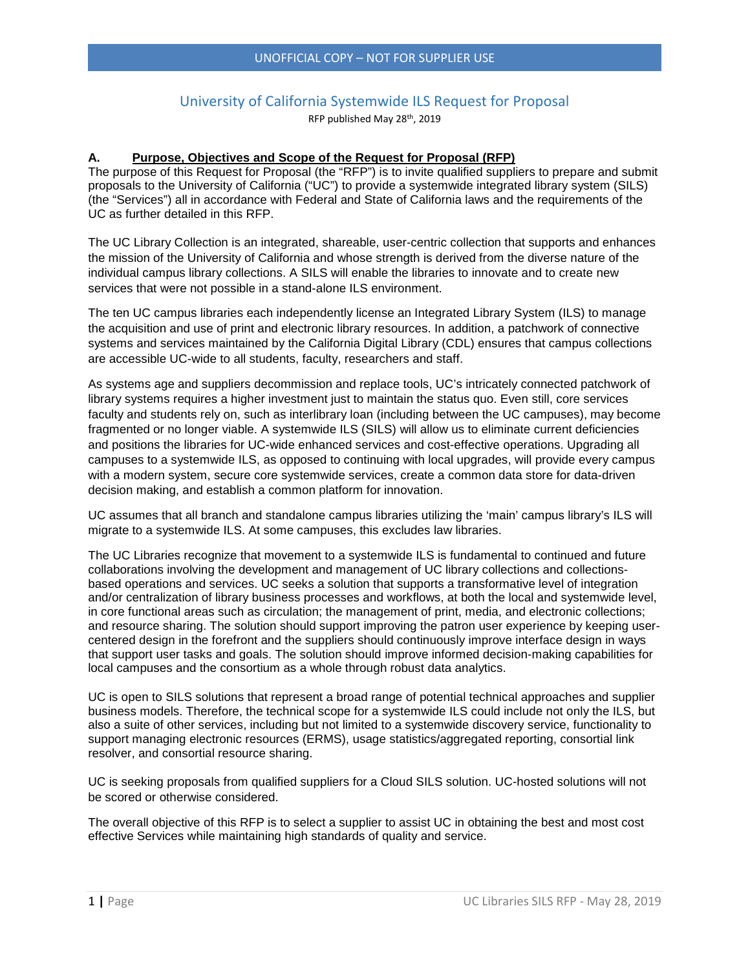# University of California Systemwide ILS Request for Proposal

RFP published May 28th, 2019

#### **A. Purpose, Objectives and Scope of the Request for Proposal (RFP)**

The purpose of this Request for Proposal (the "RFP") is to invite qualified suppliers to prepare and submit proposals to the University of California ("UC") to provide a systemwide integrated library system (SILS) (the "Services") all in accordance with Federal and State of California laws and the requirements of the UC as further detailed in this RFP.

The UC Library Collection is an integrated, shareable, user-centric collection that supports and enhances the mission of the University of California and whose strength is derived from the diverse nature of the individual campus library collections. A SILS will enable the libraries to innovate and to create new services that were not possible in a stand-alone ILS environment.

The ten UC campus libraries each independently license an Integrated Library System (ILS) to manage the acquisition and use of print and electronic library resources. In addition, a patchwork of connective systems and services maintained by the California Digital Library (CDL) ensures that campus collections are accessible UC-wide to all students, faculty, researchers and staff.

As systems age and suppliers decommission and replace tools, UC's intricately connected patchwork of library systems requires a higher investment just to maintain the status quo. Even still, core services faculty and students rely on, such as interlibrary loan (including between the UC campuses), may become fragmented or no longer viable. A systemwide ILS (SILS) will allow us to eliminate current deficiencies and positions the libraries for UC-wide enhanced services and cost-effective operations. Upgrading all campuses to a systemwide ILS, as opposed to continuing with local upgrades, will provide every campus with a modern system, secure core systemwide services, create a common data store for data-driven decision making, and establish a common platform for innovation.

UC assumes that all branch and standalone campus libraries utilizing the 'main' campus library's ILS will migrate to a systemwide ILS. At some campuses, this excludes law libraries.

The UC Libraries recognize that movement to a systemwide ILS is fundamental to continued and future collaborations involving the development and management of UC library collections and collectionsbased operations and services. UC seeks a solution that supports a transformative level of integration and/or centralization of library business processes and workflows, at both the local and systemwide level, in core functional areas such as circulation; the management of print, media, and electronic collections; and resource sharing. The solution should support improving the patron user experience by keeping usercentered design in the forefront and the suppliers should continuously improve interface design in ways that support user tasks and goals. The solution should improve informed decision-making capabilities for local campuses and the consortium as a whole through robust data analytics.

UC is open to SILS solutions that represent a broad range of potential technical approaches and supplier business models. Therefore, the technical scope for a systemwide ILS could include not only the ILS, but also a suite of other services, including but not limited to a systemwide discovery service, functionality to support managing electronic resources (ERMS), usage statistics/aggregated reporting, consortial link resolver, and consortial resource sharing.

UC is seeking proposals from qualified suppliers for a Cloud SILS solution. UC-hosted solutions will not be scored or otherwise considered.

The overall objective of this RFP is to select a supplier to assist UC in obtaining the best and most cost effective Services while maintaining high standards of quality and service.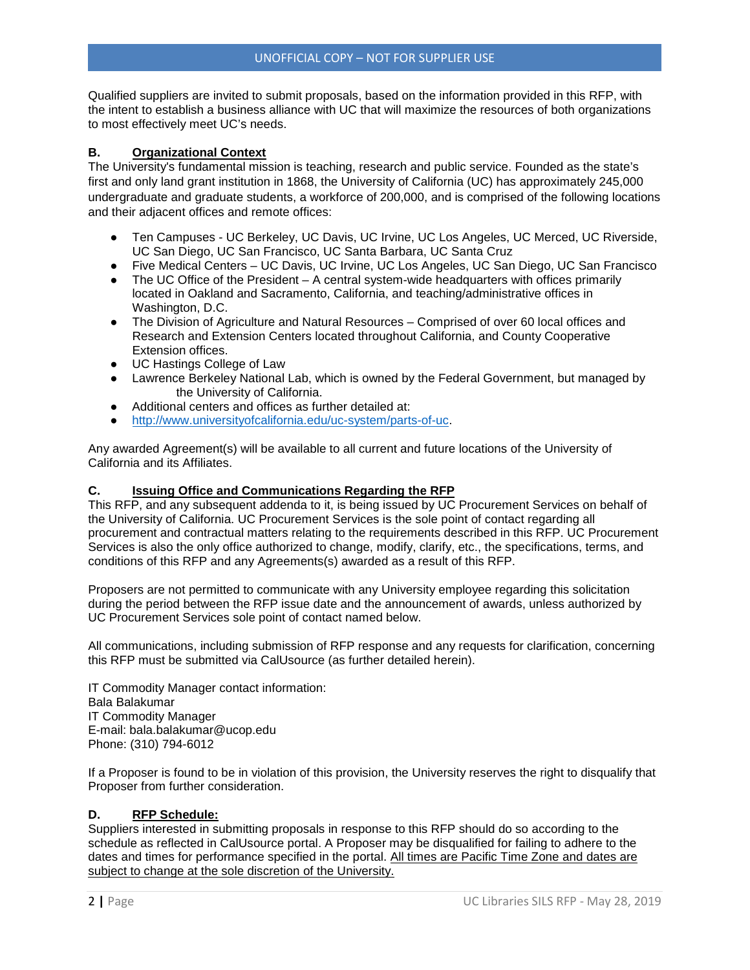Qualified suppliers are invited to submit proposals, based on the information provided in this RFP, with the intent to establish a business alliance with UC that will maximize the resources of both organizations to most effectively meet UC's needs.

#### **B. Organizational Context**

The University's fundamental mission is teaching, research and public service. Founded as the state's first and only land grant institution in 1868, the University of California (UC) has approximately 245,000 undergraduate and graduate students, a workforce of 200,000, and is comprised of the following locations and their adjacent offices and remote offices:

- Ten Campuses UC Berkeley, UC Davis, UC Irvine, UC Los Angeles, UC Merced, UC Riverside, UC San Diego, UC San Francisco, UC Santa Barbara, UC Santa Cruz
- Five Medical Centers UC Davis, UC Irvine, UC Los Angeles, UC San Diego, UC San Francisco
- The UC Office of the President A central system-wide headquarters with offices primarily located in Oakland and Sacramento, California, and teaching/administrative offices in Washington, D.C.
- The Division of Agriculture and Natural Resources Comprised of over 60 local offices and Research and Extension Centers located throughout California, and County Cooperative Extension offices.
- UC Hastings College of Law
- Lawrence Berkeley National Lab, which is owned by the Federal Government, but managed by the University of California.
- Additional centers and offices as further detailed at:
- [http://www.universityofcalifornia.edu/uc-system/parts-of-uc.](http://www.universityofcalifornia.edu/uc-system/parts-of-uc)

Any awarded Agreement(s) will be available to all current and future locations of the University of California and its Affiliates.

#### **C. Issuing Office and Communications Regarding the RFP**

This RFP, and any subsequent addenda to it, is being issued by UC Procurement Services on behalf of the University of California. UC Procurement Services is the sole point of contact regarding all procurement and contractual matters relating to the requirements described in this RFP. UC Procurement Services is also the only office authorized to change, modify, clarify, etc., the specifications, terms, and conditions of this RFP and any Agreements(s) awarded as a result of this RFP.

Proposers are not permitted to communicate with any University employee regarding this solicitation during the period between the RFP issue date and the announcement of awards, unless authorized by UC Procurement Services sole point of contact named below.

All communications, including submission of RFP response and any requests for clarification, concerning this RFP must be submitted via CalUsource (as further detailed herein).

IT Commodity Manager contact information: Bala Balakumar IT Commodity Manager E-mail: bala.balakumar@ucop.edu Phone: (310) 794-6012

If a Proposer is found to be in violation of this provision, the University reserves the right to disqualify that Proposer from further consideration.

#### **D. RFP Schedule:**

Suppliers interested in submitting proposals in response to this RFP should do so according to the schedule as reflected in CalUsource portal. A Proposer may be disqualified for failing to adhere to the dates and times for performance specified in the portal. All times are Pacific Time Zone and dates are subject to change at the sole discretion of the University.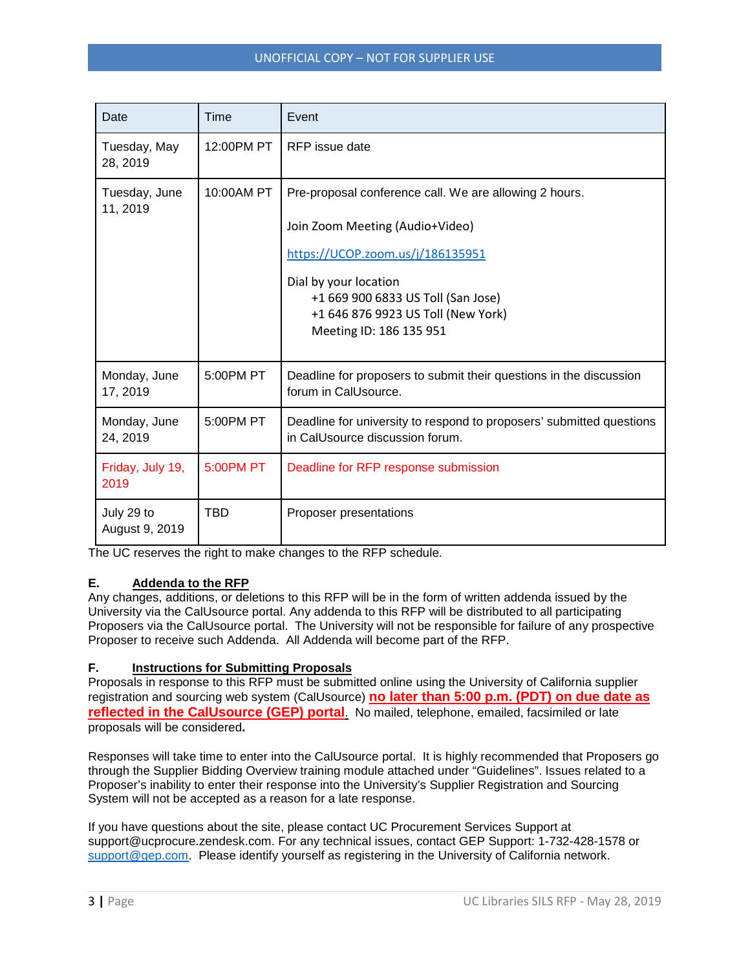| Date                         | Time       | Event                                                                                                                                                                                                                                                         |
|------------------------------|------------|---------------------------------------------------------------------------------------------------------------------------------------------------------------------------------------------------------------------------------------------------------------|
| Tuesday, May<br>28, 2019     | 12:00PM PT | RFP issue date                                                                                                                                                                                                                                                |
| Tuesday, June<br>11, 2019    | 10:00AM PT | Pre-proposal conference call. We are allowing 2 hours.<br>Join Zoom Meeting (Audio+Video)<br>https://UCOP.zoom.us/j/186135951<br>Dial by your location<br>+1 669 900 6833 US Toll (San Jose)<br>+1 646 876 9923 US Toll (New York)<br>Meeting ID: 186 135 951 |
| Monday, June<br>17, 2019     | 5:00PM PT  | Deadline for proposers to submit their questions in the discussion<br>forum in CalUsource.                                                                                                                                                                    |
| Monday, June<br>24, 2019     | 5:00PM PT  | Deadline for university to respond to proposers' submitted questions<br>in CalUsource discussion forum.                                                                                                                                                       |
| Friday, July 19,<br>2019     | 5:00PM PT  | Deadline for RFP response submission                                                                                                                                                                                                                          |
| July 29 to<br>August 9, 2019 | TBD        | Proposer presentations                                                                                                                                                                                                                                        |

The UC reserves the right to make changes to the RFP schedule.

#### **E. Addenda to the RFP**

Any changes, additions, or deletions to this RFP will be in the form of written addenda issued by the University via the CalUsource portal. Any addenda to this RFP will be distributed to all participating Proposers via the CalUsource portal. The University will not be responsible for failure of any prospective Proposer to receive such Addenda. All Addenda will become part of the RFP.

#### **F. Instructions for Submitting Proposals**

Proposals in response to this RFP must be submitted online using the University of California supplier registration and sourcing web system (CalUsource) **no later than 5:00 p.m. (PDT) on due date as reflected in the CalUsource (GEP) portal**. No mailed, telephone, emailed, facsimiled or late proposals will be considered**.**

Responses will take time to enter into the CalUsource portal. It is highly recommended that Proposers go through the Supplier Bidding Overview training module attached under "Guidelines". Issues related to a Proposer's inability to enter their response into the University's Supplier Registration and Sourcing System will not be accepted as a reason for a late response.

If you have questions about the site, please contact UC Procurement Services Support at support@ucprocure.zendesk.com. For any technical issues, contact GEP Support: 1-732-428-1578 or [support@gep.com.](mailto:support@gep.com) Please identify yourself as registering in the University of California network.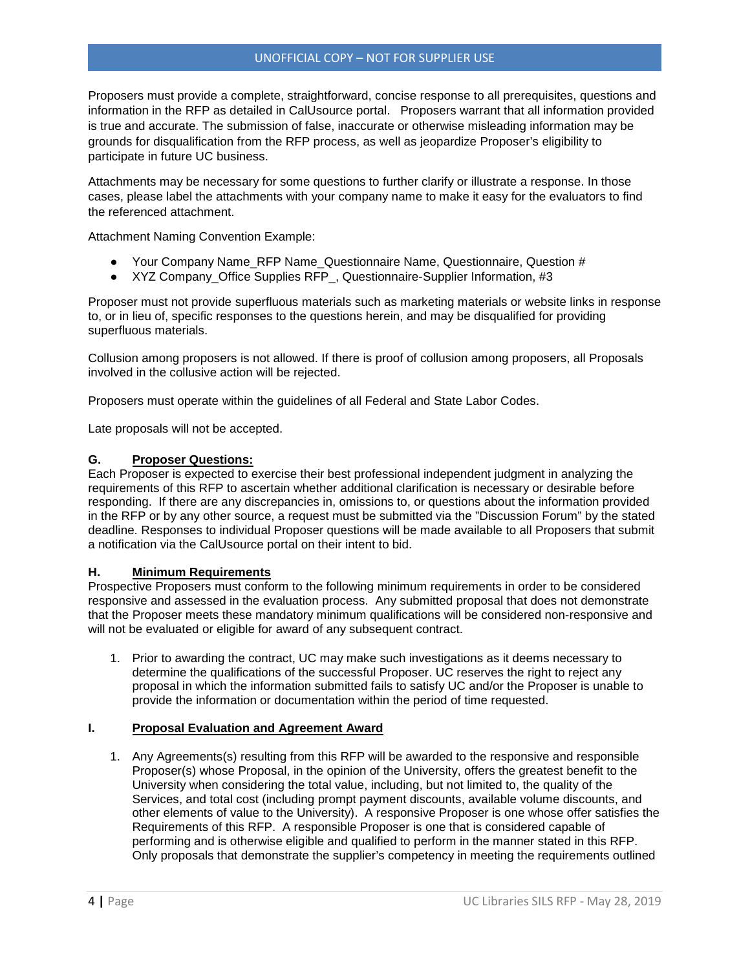Proposers must provide a complete, straightforward, concise response to all prerequisites, questions and information in the RFP as detailed in CalUsource portal. Proposers warrant that all information provided is true and accurate. The submission of false, inaccurate or otherwise misleading information may be grounds for disqualification from the RFP process, as well as jeopardize Proposer's eligibility to participate in future UC business.

Attachments may be necessary for some questions to further clarify or illustrate a response. In those cases, please label the attachments with your company name to make it easy for the evaluators to find the referenced attachment.

Attachment Naming Convention Example:

- Your Company Name\_RFP Name\_Questionnaire Name, Questionnaire, Question #
- XYZ Company\_Office Supplies RFP, Questionnaire-Supplier Information, #3

Proposer must not provide superfluous materials such as marketing materials or website links in response to, or in lieu of, specific responses to the questions herein, and may be disqualified for providing superfluous materials.

Collusion among proposers is not allowed. If there is proof of collusion among proposers, all Proposals involved in the collusive action will be rejected.

Proposers must operate within the guidelines of all Federal and State Labor Codes.

Late proposals will not be accepted.

#### **G. Proposer Questions:**

Each Proposer is expected to exercise their best professional independent judgment in analyzing the requirements of this RFP to ascertain whether additional clarification is necessary or desirable before responding. If there are any discrepancies in, omissions to, or questions about the information provided in the RFP or by any other source, a request must be submitted via the "Discussion Forum" by the stated deadline. Responses to individual Proposer questions will be made available to all Proposers that submit a notification via the CalUsource portal on their intent to bid.

#### **H. Minimum Requirements**

Prospective Proposers must conform to the following minimum requirements in order to be considered responsive and assessed in the evaluation process. Any submitted proposal that does not demonstrate that the Proposer meets these mandatory minimum qualifications will be considered non-responsive and will not be evaluated or eligible for award of any subsequent contract.

1. Prior to awarding the contract, UC may make such investigations as it deems necessary to determine the qualifications of the successful Proposer. UC reserves the right to reject any proposal in which the information submitted fails to satisfy UC and/or the Proposer is unable to provide the information or documentation within the period of time requested.

#### **I. Proposal Evaluation and Agreement Award**

1. Any Agreements(s) resulting from this RFP will be awarded to the responsive and responsible Proposer(s) whose Proposal, in the opinion of the University, offers the greatest benefit to the University when considering the total value, including, but not limited to, the quality of the Services, and total cost (including prompt payment discounts, available volume discounts, and other elements of value to the University). A responsive Proposer is one whose offer satisfies the Requirements of this RFP. A responsible Proposer is one that is considered capable of performing and is otherwise eligible and qualified to perform in the manner stated in this RFP. Only proposals that demonstrate the supplier's competency in meeting the requirements outlined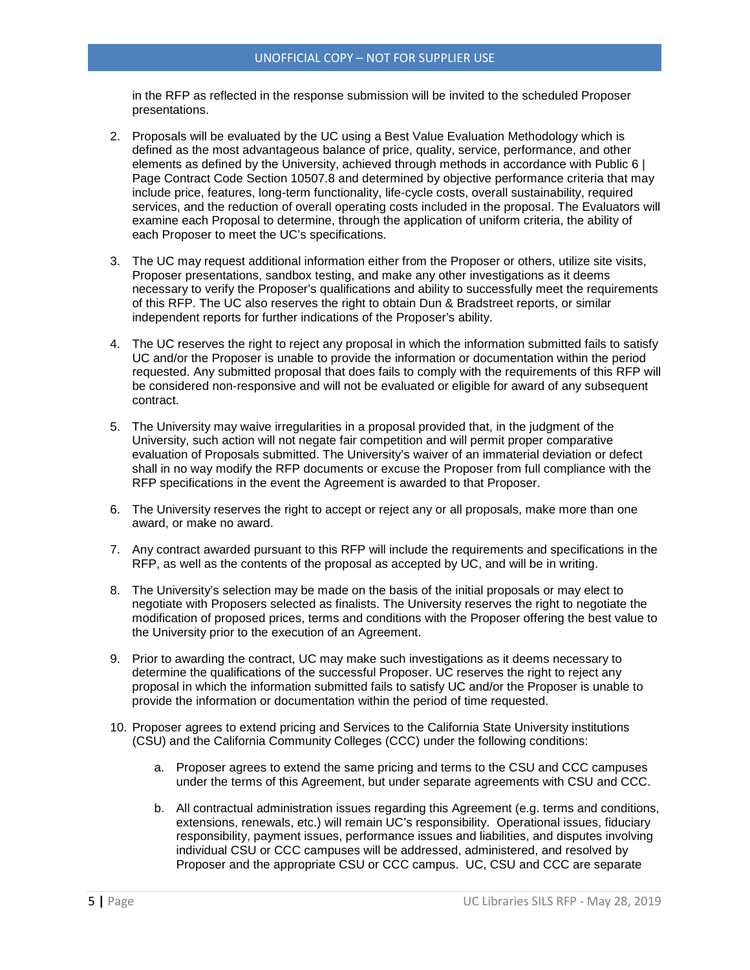in the RFP as reflected in the response submission will be invited to the scheduled Proposer presentations.

- 2. Proposals will be evaluated by the UC using a Best Value Evaluation Methodology which is defined as the most advantageous balance of price, quality, service, performance, and other elements as defined by the University, achieved through methods in accordance with Public 6 | Page Contract Code Section 10507.8 and determined by objective performance criteria that may include price, features, long-term functionality, life-cycle costs, overall sustainability, required services, and the reduction of overall operating costs included in the proposal. The Evaluators will examine each Proposal to determine, through the application of uniform criteria, the ability of each Proposer to meet the UC's specifications.
- 3. The UC may request additional information either from the Proposer or others, utilize site visits, Proposer presentations, sandbox testing, and make any other investigations as it deems necessary to verify the Proposer's qualifications and ability to successfully meet the requirements of this RFP. The UC also reserves the right to obtain Dun & Bradstreet reports, or similar independent reports for further indications of the Proposer's ability.
- 4. The UC reserves the right to reject any proposal in which the information submitted fails to satisfy UC and/or the Proposer is unable to provide the information or documentation within the period requested. Any submitted proposal that does fails to comply with the requirements of this RFP will be considered non-responsive and will not be evaluated or eligible for award of any subsequent contract.
- 5. The University may waive irregularities in a proposal provided that, in the judgment of the University, such action will not negate fair competition and will permit proper comparative evaluation of Proposals submitted. The University's waiver of an immaterial deviation or defect shall in no way modify the RFP documents or excuse the Proposer from full compliance with the RFP specifications in the event the Agreement is awarded to that Proposer.
- 6. The University reserves the right to accept or reject any or all proposals, make more than one award, or make no award.
- 7. Any contract awarded pursuant to this RFP will include the requirements and specifications in the RFP, as well as the contents of the proposal as accepted by UC, and will be in writing.
- 8. The University's selection may be made on the basis of the initial proposals or may elect to negotiate with Proposers selected as finalists. The University reserves the right to negotiate the modification of proposed prices, terms and conditions with the Proposer offering the best value to the University prior to the execution of an Agreement.
- 9. Prior to awarding the contract, UC may make such investigations as it deems necessary to determine the qualifications of the successful Proposer. UC reserves the right to reject any proposal in which the information submitted fails to satisfy UC and/or the Proposer is unable to provide the information or documentation within the period of time requested.
- 10. Proposer agrees to extend pricing and Services to the California State University institutions (CSU) and the California Community Colleges (CCC) under the following conditions:
	- a. Proposer agrees to extend the same pricing and terms to the CSU and CCC campuses under the terms of this Agreement, but under separate agreements with CSU and CCC.
	- b. All contractual administration issues regarding this Agreement (e.g. terms and conditions, extensions, renewals, etc.) will remain UC's responsibility. Operational issues, fiduciary responsibility, payment issues, performance issues and liabilities, and disputes involving individual CSU or CCC campuses will be addressed, administered, and resolved by Proposer and the appropriate CSU or CCC campus. UC, CSU and CCC are separate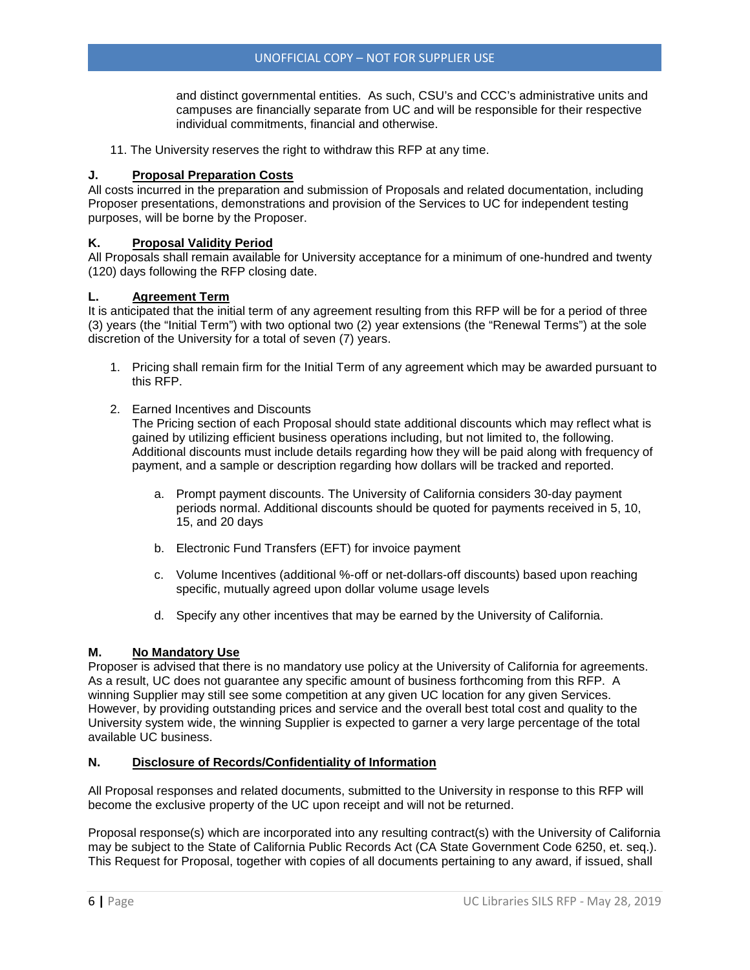and distinct governmental entities. As such, CSU's and CCC's administrative units and campuses are financially separate from UC and will be responsible for their respective individual commitments, financial and otherwise.

11. The University reserves the right to withdraw this RFP at any time.

#### **J. Proposal Preparation Costs**

All costs incurred in the preparation and submission of Proposals and related documentation, including Proposer presentations, demonstrations and provision of the Services to UC for independent testing purposes, will be borne by the Proposer.

#### **K. Proposal Validity Period**

All Proposals shall remain available for University acceptance for a minimum of one-hundred and twenty (120) days following the RFP closing date.

#### **L. Agreement Term**

It is anticipated that the initial term of any agreement resulting from this RFP will be for a period of three (3) years (the "Initial Term") with two optional two (2) year extensions (the "Renewal Terms") at the sole discretion of the University for a total of seven (7) years.

- 1. Pricing shall remain firm for the Initial Term of any agreement which may be awarded pursuant to this RFP.
- 2. Earned Incentives and Discounts

The Pricing section of each Proposal should state additional discounts which may reflect what is gained by utilizing efficient business operations including, but not limited to, the following. Additional discounts must include details regarding how they will be paid along with frequency of payment, and a sample or description regarding how dollars will be tracked and reported.

- a. Prompt payment discounts. The University of California considers 30-day payment periods normal. Additional discounts should be quoted for payments received in 5, 10, 15, and 20 days
- b. Electronic Fund Transfers (EFT) for invoice payment
- c. Volume Incentives (additional %-off or net-dollars-off discounts) based upon reaching specific, mutually agreed upon dollar volume usage levels
- d. Specify any other incentives that may be earned by the University of California.

#### **M. No Mandatory Use**

Proposer is advised that there is no mandatory use policy at the University of California for agreements. As a result, UC does not guarantee any specific amount of business forthcoming from this RFP. A winning Supplier may still see some competition at any given UC location for any given Services. However, by providing outstanding prices and service and the overall best total cost and quality to the University system wide, the winning Supplier is expected to garner a very large percentage of the total available UC business.

#### **N. Disclosure of Records/Confidentiality of Information**

All Proposal responses and related documents, submitted to the University in response to this RFP will become the exclusive property of the UC upon receipt and will not be returned.

Proposal response(s) which are incorporated into any resulting contract(s) with the University of California may be subject to the State of California Public Records Act (CA State Government Code 6250, et. seq.). This Request for Proposal, together with copies of all documents pertaining to any award, if issued, shall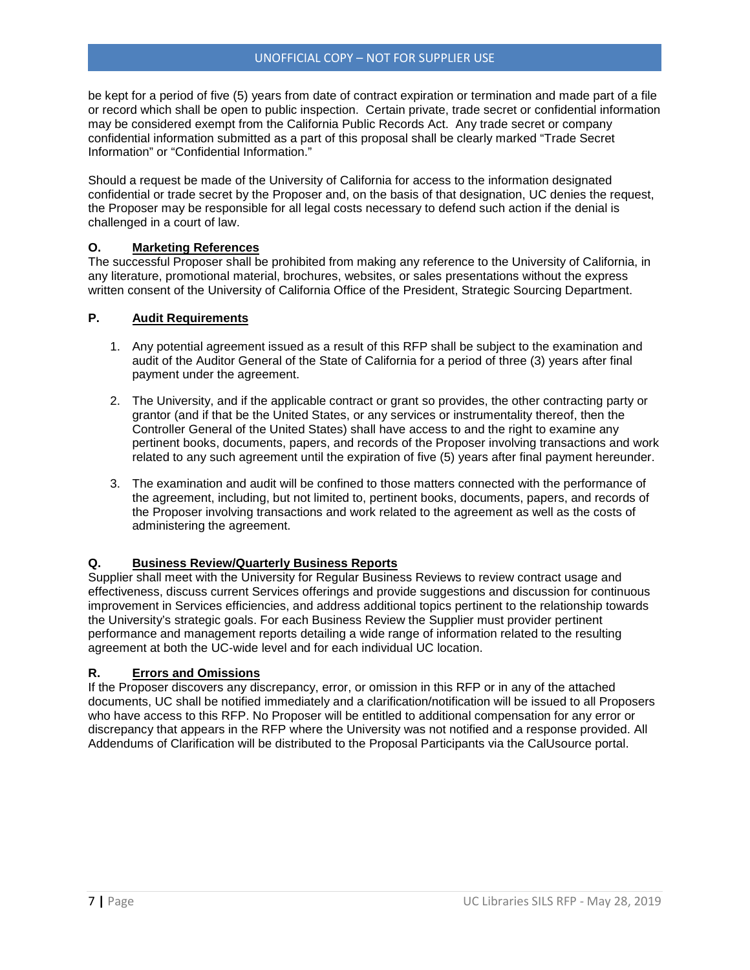be kept for a period of five (5) years from date of contract expiration or termination and made part of a file or record which shall be open to public inspection. Certain private, trade secret or confidential information may be considered exempt from the California Public Records Act. Any trade secret or company confidential information submitted as a part of this proposal shall be clearly marked "Trade Secret Information" or "Confidential Information."

Should a request be made of the University of California for access to the information designated confidential or trade secret by the Proposer and, on the basis of that designation, UC denies the request, the Proposer may be responsible for all legal costs necessary to defend such action if the denial is challenged in a court of law.

#### **O. Marketing References**

The successful Proposer shall be prohibited from making any reference to the University of California, in any literature, promotional material, brochures, websites, or sales presentations without the express written consent of the University of California Office of the President, Strategic Sourcing Department.

#### **P. Audit Requirements**

- 1. Any potential agreement issued as a result of this RFP shall be subject to the examination and audit of the Auditor General of the State of California for a period of three (3) years after final payment under the agreement.
- 2. The University, and if the applicable contract or grant so provides, the other contracting party or grantor (and if that be the United States, or any services or instrumentality thereof, then the Controller General of the United States) shall have access to and the right to examine any pertinent books, documents, papers, and records of the Proposer involving transactions and work related to any such agreement until the expiration of five (5) years after final payment hereunder.
- 3. The examination and audit will be confined to those matters connected with the performance of the agreement, including, but not limited to, pertinent books, documents, papers, and records of the Proposer involving transactions and work related to the agreement as well as the costs of administering the agreement.

#### **Q. Business Review/Quarterly Business Reports**

Supplier shall meet with the University for Regular Business Reviews to review contract usage and effectiveness, discuss current Services offerings and provide suggestions and discussion for continuous improvement in Services efficiencies, and address additional topics pertinent to the relationship towards the University's strategic goals. For each Business Review the Supplier must provider pertinent performance and management reports detailing a wide range of information related to the resulting agreement at both the UC-wide level and for each individual UC location.

#### **R. Errors and Omissions**

If the Proposer discovers any discrepancy, error, or omission in this RFP or in any of the attached documents, UC shall be notified immediately and a clarification/notification will be issued to all Proposers who have access to this RFP. No Proposer will be entitled to additional compensation for any error or discrepancy that appears in the RFP where the University was not notified and a response provided. All Addendums of Clarification will be distributed to the Proposal Participants via the CalUsource portal.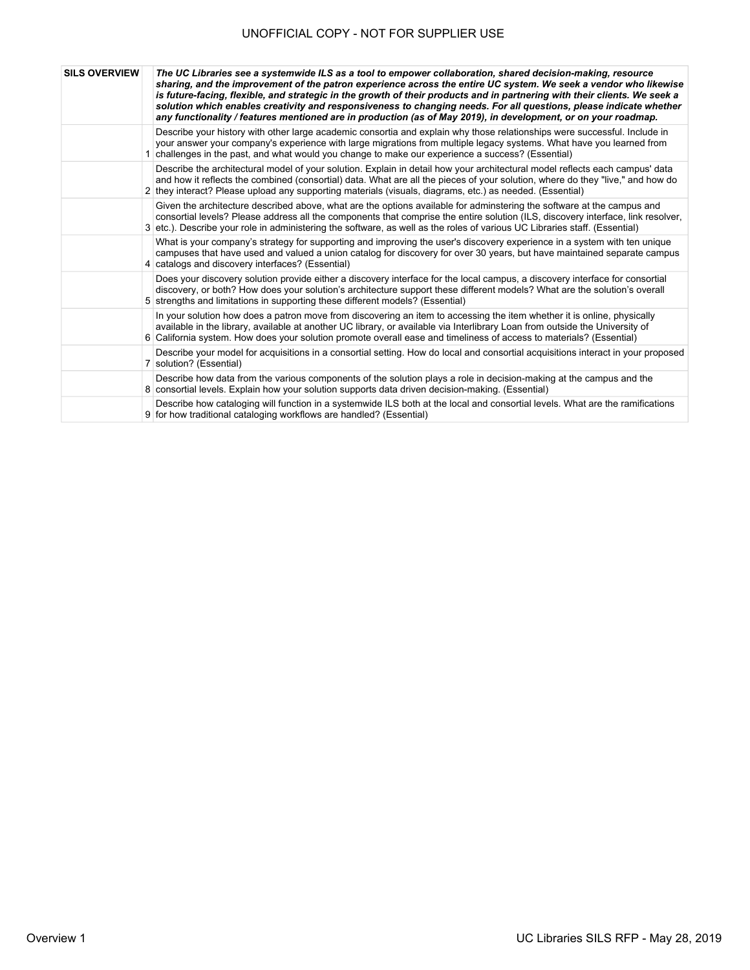| <b>SILS OVERVIEW</b> | The UC Libraries see a systemwide ILS as a tool to empower collaboration, shared decision-making, resource<br>sharing, and the improvement of the patron experience across the entire UC system. We seek a vendor who likewise<br>is future-facing, flexible, and strategic in the growth of their products and in partnering with their clients. We seek a<br>solution which enables creativity and responsiveness to changing needs. For all questions, please indicate whether<br>any functionality / features mentioned are in production (as of May 2019), in development, or on your roadmap. |
|----------------------|-----------------------------------------------------------------------------------------------------------------------------------------------------------------------------------------------------------------------------------------------------------------------------------------------------------------------------------------------------------------------------------------------------------------------------------------------------------------------------------------------------------------------------------------------------------------------------------------------------|
|                      | Describe your history with other large academic consortia and explain why those relationships were successful. Include in<br>your answer your company's experience with large migrations from multiple legacy systems. What have you learned from<br>1 challenges in the past, and what would you change to make our experience a success? (Essential)                                                                                                                                                                                                                                              |
|                      | Describe the architectural model of your solution. Explain in detail how your architectural model reflects each campus' data<br>and how it reflects the combined (consortial) data. What are all the pieces of your solution, where do they "live," and how do<br>2 they interact? Please upload any supporting materials (visuals, diagrams, etc.) as needed. (Essential)                                                                                                                                                                                                                          |
|                      | Given the architecture described above, what are the options available for adminstering the software at the campus and<br>consortial levels? Please address all the components that comprise the entire solution (ILS, discovery interface, link resolver,<br>3 etc.). Describe your role in administering the software, as well as the roles of various UC Libraries staff. (Essential)                                                                                                                                                                                                            |
|                      | What is your company's strategy for supporting and improving the user's discovery experience in a system with ten unique<br>campuses that have used and valued a union catalog for discovery for over 30 years, but have maintained separate campus<br>4 catalogs and discovery interfaces? (Essential)                                                                                                                                                                                                                                                                                             |
|                      | Does your discovery solution provide either a discovery interface for the local campus, a discovery interface for consortial<br>discovery, or both? How does your solution's architecture support these different models? What are the solution's overall<br>5 strengths and limitations in supporting these different models? (Essential)                                                                                                                                                                                                                                                          |
|                      | In your solution how does a patron move from discovering an item to accessing the item whether it is online, physically<br>available in the library, available at another UC library, or available via Interlibrary Loan from outside the University of<br>6 California system. How does your solution promote overall ease and timeliness of access to materials? (Essential)                                                                                                                                                                                                                      |
|                      | Describe your model for acquisitions in a consortial setting. How do local and consortial acquisitions interact in your proposed<br>7 solution? (Essential)                                                                                                                                                                                                                                                                                                                                                                                                                                         |
|                      | Describe how data from the various components of the solution plays a role in decision-making at the campus and the<br>8 consortial levels. Explain how your solution supports data driven decision-making. (Essential)                                                                                                                                                                                                                                                                                                                                                                             |
|                      | Describe how cataloging will function in a systemwide ILS both at the local and consortial levels. What are the ramifications<br>9 for how traditional cataloging workflows are handled? (Essential)                                                                                                                                                                                                                                                                                                                                                                                                |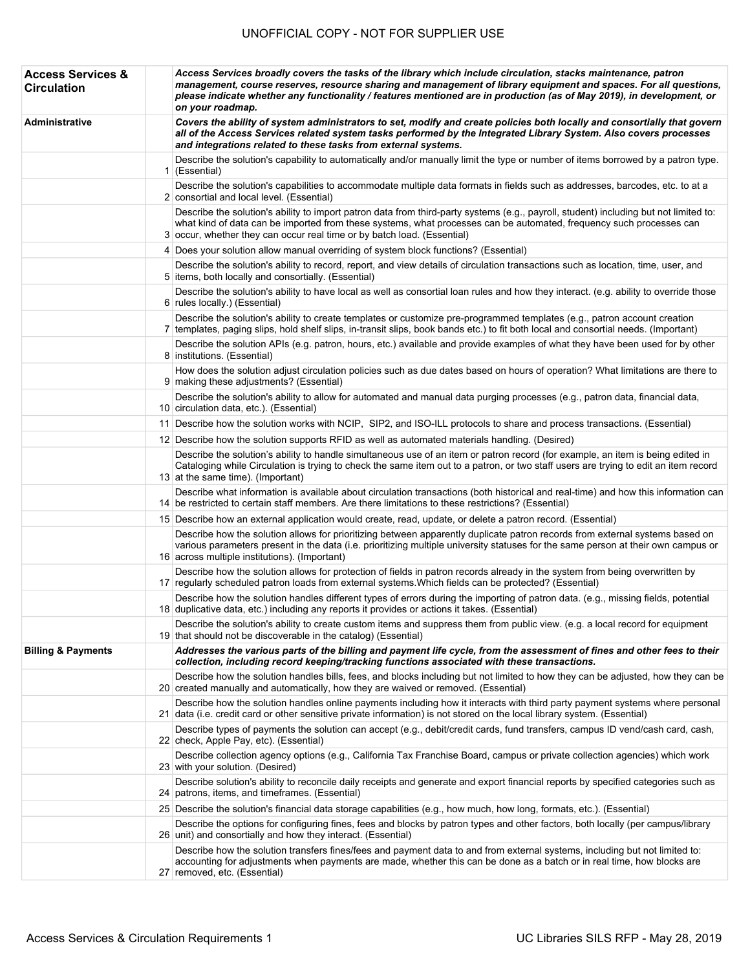| <b>Access Services &amp;</b><br><b>Circulation</b> | Access Services broadly covers the tasks of the library which include circulation, stacks maintenance, patron<br>management, course reserves, resource sharing and management of library equipment and spaces. For all questions,<br>please indicate whether any functionality / features mentioned are in production (as of May 2019), in development, or<br>on your roadmap. |
|----------------------------------------------------|--------------------------------------------------------------------------------------------------------------------------------------------------------------------------------------------------------------------------------------------------------------------------------------------------------------------------------------------------------------------------------|
| Administrative                                     | Covers the ability of system administrators to set, modify and create policies both locally and consortially that govern<br>all of the Access Services related system tasks performed by the Integrated Library System. Also covers processes<br>and integrations related to these tasks from external systems.                                                                |
|                                                    | Describe the solution's capability to automatically and/or manually limit the type or number of items borrowed by a patron type.<br>$1$ (Essential)                                                                                                                                                                                                                            |
|                                                    | Describe the solution's capabilities to accommodate multiple data formats in fields such as addresses, barcodes, etc. to at a<br>2 consortial and local level. (Essential)                                                                                                                                                                                                     |
|                                                    | Describe the solution's ability to import patron data from third-party systems (e.g., payroll, student) including but not limited to:<br>what kind of data can be imported from these systems, what processes can be automated, frequency such processes can<br>3 occur, whether they can occur real time or by batch load. (Essential)                                        |
|                                                    | 4 Does your solution allow manual overriding of system block functions? (Essential)                                                                                                                                                                                                                                                                                            |
|                                                    | Describe the solution's ability to record, report, and view details of circulation transactions such as location, time, user, and<br>5 items, both locally and consortially. (Essential)                                                                                                                                                                                       |
|                                                    | Describe the solution's ability to have local as well as consortial loan rules and how they interact. (e.g. ability to override those<br>6 rules locally.) (Essential)                                                                                                                                                                                                         |
|                                                    | Describe the solution's ability to create templates or customize pre-programmed templates (e.g., patron account creation<br>7 templates, paging slips, hold shelf slips, in-transit slips, book bands etc.) to fit both local and consortial needs. (Important)                                                                                                                |
|                                                    | Describe the solution APIs (e.g. patron, hours, etc.) available and provide examples of what they have been used for by other<br>8 institutions. (Essential)                                                                                                                                                                                                                   |
|                                                    | How does the solution adjust circulation policies such as due dates based on hours of operation? What limitations are there to<br>9 making these adjustments? (Essential)                                                                                                                                                                                                      |
|                                                    | Describe the solution's ability to allow for automated and manual data purging processes (e.g., patron data, financial data,<br>10 circulation data, etc.). (Essential)                                                                                                                                                                                                        |
|                                                    | 11 Describe how the solution works with NCIP, SIP2, and ISO-ILL protocols to share and process transactions. (Essential)                                                                                                                                                                                                                                                       |
|                                                    | 12 Describe how the solution supports RFID as well as automated materials handling. (Desired)                                                                                                                                                                                                                                                                                  |
|                                                    | Describe the solution's ability to handle simultaneous use of an item or patron record (for example, an item is being edited in<br>Cataloging while Circulation is trying to check the same item out to a patron, or two staff users are trying to edit an item record<br>13 at the same time). (Important)                                                                    |
|                                                    | Describe what information is available about circulation transactions (both historical and real-time) and how this information can<br>14 be restricted to certain staff members. Are there limitations to these restrictions? (Essential)                                                                                                                                      |
|                                                    | 15 Describe how an external application would create, read, update, or delete a patron record. (Essential)                                                                                                                                                                                                                                                                     |
|                                                    | Describe how the solution allows for prioritizing between apparently duplicate patron records from external systems based on<br>various parameters present in the data (i.e. prioritizing multiple university statuses for the same person at their own campus or<br>16 across multiple institutions). (Important)                                                             |
|                                                    | Describe how the solution allows for protection of fields in patron records already in the system from being overwritten by<br>17 regularly scheduled patron loads from external systems. Which fields can be protected? (Essential)                                                                                                                                           |
|                                                    | Describe how the solution handles different types of errors during the importing of patron data. (e.g., missing fields, potential<br>18 duplicative data, etc.) including any reports it provides or actions it takes. (Essential)                                                                                                                                             |
|                                                    | Describe the solution's ability to create custom items and suppress them from public view. (e.g. a local record for equipment<br>19 that should not be discoverable in the catalog) (Essential)                                                                                                                                                                                |
| <b>Billing &amp; Payments</b>                      | Addresses the various parts of the billing and payment life cycle, from the assessment of fines and other fees to their<br>collection, including record keeping/tracking functions associated with these transactions.                                                                                                                                                         |
|                                                    | Describe how the solution handles bills, fees, and blocks including but not limited to how they can be adjusted, how they can be<br>20 created manually and automatically, how they are waived or removed. (Essential)                                                                                                                                                         |
|                                                    | Describe how the solution handles online payments including how it interacts with third party payment systems where personal<br>21 data (i.e. credit card or other sensitive private information) is not stored on the local library system. (Essential)                                                                                                                       |
|                                                    | Describe types of payments the solution can accept (e.g., debit/credit cards, fund transfers, campus ID vend/cash card, cash,<br>22 check, Apple Pay, etc). (Essential)                                                                                                                                                                                                        |
|                                                    | Describe collection agency options (e.g., California Tax Franchise Board, campus or private collection agencies) which work<br>23 with your solution. (Desired)                                                                                                                                                                                                                |
|                                                    | Describe solution's ability to reconcile daily receipts and generate and export financial reports by specified categories such as<br>24 patrons, items, and timeframes. (Essential)                                                                                                                                                                                            |
|                                                    | 25 Describe the solution's financial data storage capabilities (e.g., how much, how long, formats, etc.). (Essential)                                                                                                                                                                                                                                                          |
|                                                    | Describe the options for configuring fines, fees and blocks by patron types and other factors, both locally (per campus/library<br>26 unit) and consortially and how they interact. (Essential)                                                                                                                                                                                |
|                                                    | Describe how the solution transfers fines/fees and payment data to and from external systems, including but not limited to:<br>accounting for adjustments when payments are made, whether this can be done as a batch or in real time, how blocks are<br>27 removed, etc. (Essential)                                                                                          |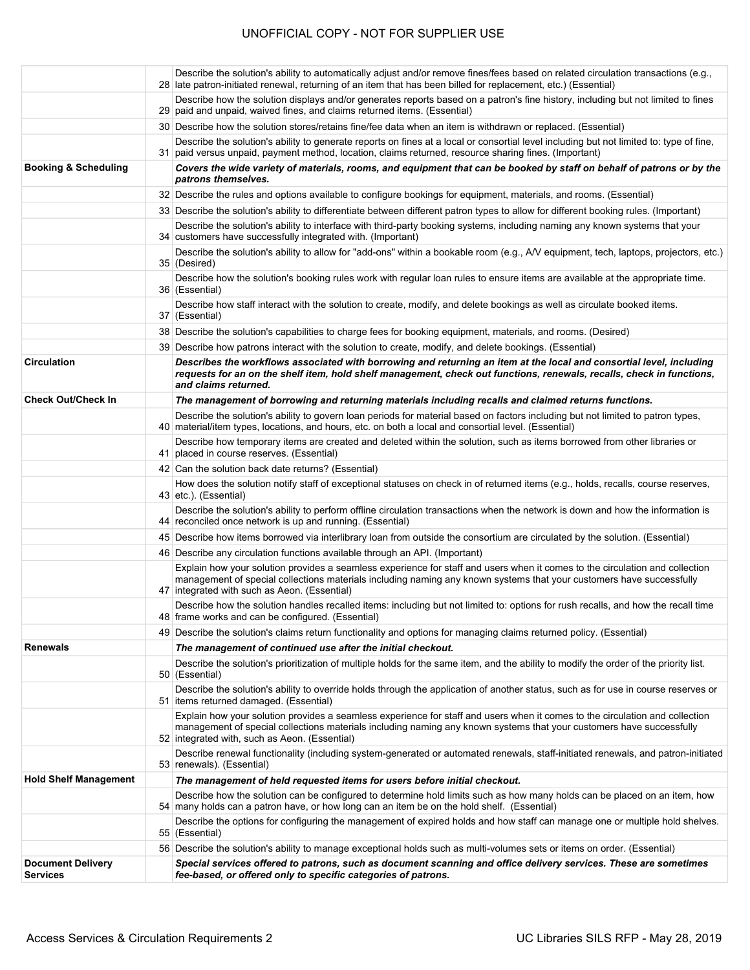|                                 | Describe the solution's ability to automatically adjust and/or remove fines/fees based on related circulation transactions (e.g.,<br>28 late patron-initiated renewal, returning of an item that has been billed for replacement, etc.) (Essential)                                                   |
|---------------------------------|-------------------------------------------------------------------------------------------------------------------------------------------------------------------------------------------------------------------------------------------------------------------------------------------------------|
|                                 | Describe how the solution displays and/or generates reports based on a patron's fine history, including but not limited to fines<br>29 paid and unpaid, waived fines, and claims returned items. (Essential)                                                                                          |
|                                 | 30 Describe how the solution stores/retains fine/fee data when an item is withdrawn or replaced. (Essential)                                                                                                                                                                                          |
|                                 | Describe the solution's ability to generate reports on fines at a local or consortial level including but not limited to: type of fine,<br>31 paid versus unpaid, payment method, location, claims returned, resource sharing fines. (Important)                                                      |
| <b>Booking &amp; Scheduling</b> | Covers the wide variety of materials, rooms, and equipment that can be booked by staff on behalf of patrons or by the<br>patrons themselves.                                                                                                                                                          |
|                                 | 32 Describe the rules and options available to configure bookings for equipment, materials, and rooms. (Essential)                                                                                                                                                                                    |
|                                 | 33 Describe the solution's ability to differentiate between different patron types to allow for different booking rules. (Important)                                                                                                                                                                  |
|                                 | Describe the solution's ability to interface with third-party booking systems, including naming any known systems that your<br>34 customers have successfully integrated with. (Important)                                                                                                            |
|                                 | Describe the solution's ability to allow for "add-ons" within a bookable room (e.g., A/V equipment, tech, laptops, projectors, etc.)<br>35 (Desired)                                                                                                                                                  |
|                                 | Describe how the solution's booking rules work with regular loan rules to ensure items are available at the appropriate time.<br>36 (Essential)                                                                                                                                                       |
|                                 | Describe how staff interact with the solution to create, modify, and delete bookings as well as circulate booked items.<br>37 (Essential)                                                                                                                                                             |
|                                 | 38 Describe the solution's capabilities to charge fees for booking equipment, materials, and rooms. (Desired)                                                                                                                                                                                         |
|                                 | 39 Describe how patrons interact with the solution to create, modify, and delete bookings. (Essential)                                                                                                                                                                                                |
| <b>Circulation</b>              | Describes the workflows associated with borrowing and returning an item at the local and consortial level, including<br>requests for an on the shelf item, hold shelf management, check out functions, renewals, recalls, check in functions,<br>and claims returned.                                 |
| <b>Check Out/Check In</b>       | The management of borrowing and returning materials including recalls and claimed returns functions.                                                                                                                                                                                                  |
|                                 | Describe the solution's ability to govern loan periods for material based on factors including but not limited to patron types,<br>40 material/item types, locations, and hours, etc. on both a local and consortial level. (Essential)                                                               |
|                                 | Describe how temporary items are created and deleted within the solution, such as items borrowed from other libraries or<br>41 placed in course reserves. (Essential)                                                                                                                                 |
|                                 | 42 Can the solution back date returns? (Essential)                                                                                                                                                                                                                                                    |
|                                 | How does the solution notify staff of exceptional statuses on check in of returned items (e.g., holds, recalls, course reserves,<br>43 etc.). (Essential)                                                                                                                                             |
|                                 | Describe the solution's ability to perform offline circulation transactions when the network is down and how the information is<br>44 reconciled once network is up and running. (Essential)                                                                                                          |
|                                 | 45 Describe how items borrowed via interlibrary loan from outside the consortium are circulated by the solution. (Essential)                                                                                                                                                                          |
|                                 | 46 Describe any circulation functions available through an API. (Important)                                                                                                                                                                                                                           |
|                                 | Explain how your solution provides a seamless experience for staff and users when it comes to the circulation and collection<br>management of special collections materials including naming any known systems that your customers have successfully<br>47 integrated with such as Aeon. (Essential)  |
|                                 | Describe how the solution handles recalled items: including but not limited to: options for rush recalls, and how the recall time<br>48 frame works and can be configured. (Essential)                                                                                                                |
|                                 | 49 Describe the solution's claims return functionality and options for managing claims returned policy. (Essential)                                                                                                                                                                                   |
| <b>Renewals</b>                 | The management of continued use after the initial checkout.                                                                                                                                                                                                                                           |
|                                 | Describe the solution's prioritization of multiple holds for the same item, and the ability to modify the order of the priority list.<br>50 (Essential)                                                                                                                                               |
|                                 | Describe the solution's ability to override holds through the application of another status, such as for use in course reserves or<br>51 items returned damaged. (Essential)                                                                                                                          |
|                                 | Explain how your solution provides a seamless experience for staff and users when it comes to the circulation and collection<br>management of special collections materials including naming any known systems that your customers have successfully<br>52 integrated with, such as Aeon. (Essential) |
|                                 | Describe renewal functionality (including system-generated or automated renewals, staff-initiated renewals, and patron-initiated<br>53 renewals). (Essential)                                                                                                                                         |
| <b>Hold Shelf Management</b>    | The management of held requested items for users before initial checkout.                                                                                                                                                                                                                             |
|                                 | Describe how the solution can be configured to determine hold limits such as how many holds can be placed on an item, how<br>54 many holds can a patron have, or how long can an item be on the hold shelf. (Essential)                                                                               |
|                                 | Describe the options for configuring the management of expired holds and how staff can manage one or multiple hold shelves.<br>55 (Essential)                                                                                                                                                         |
|                                 | 56 Describe the solution's ability to manage exceptional holds such as multi-volumes sets or items on order. (Essential)                                                                                                                                                                              |
| <b>Document Delivery</b>        | Special services offered to patrons, such as document scanning and office delivery services. These are sometimes                                                                                                                                                                                      |
| <b>Services</b>                 | fee-based, or offered only to specific categories of patrons.                                                                                                                                                                                                                                         |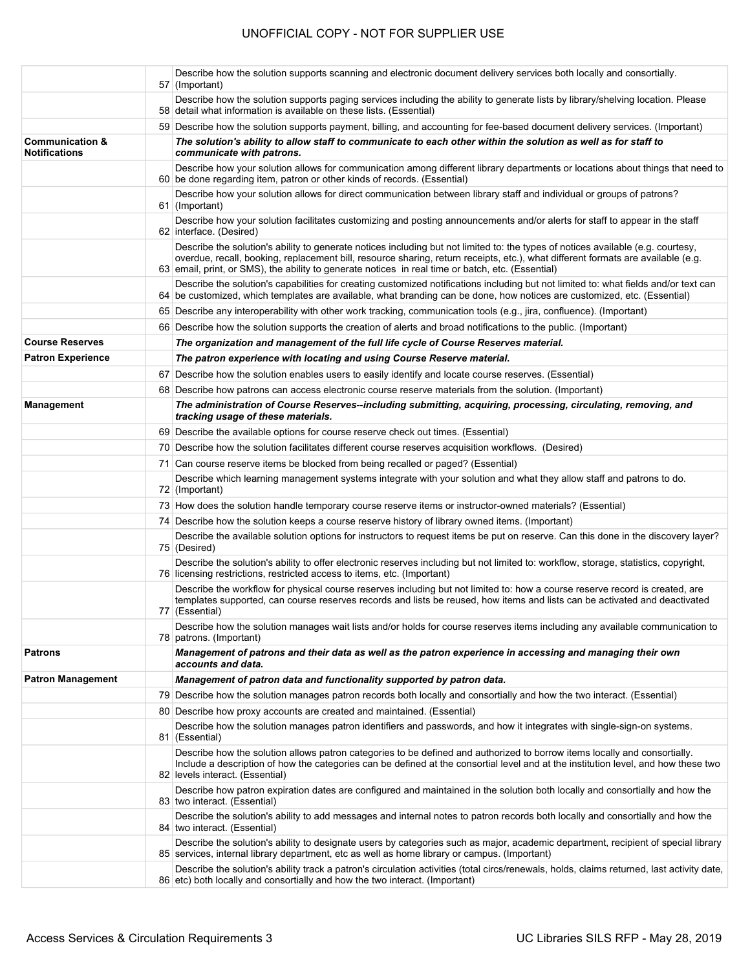|                                                    | Describe how the solution supports scanning and electronic document delivery services both locally and consortially.<br>57 (Important)                                                                                                                                                                                                                                    |
|----------------------------------------------------|---------------------------------------------------------------------------------------------------------------------------------------------------------------------------------------------------------------------------------------------------------------------------------------------------------------------------------------------------------------------------|
|                                                    | Describe how the solution supports paging services including the ability to generate lists by library/shelving location. Please<br>58 detail what information is available on these lists. (Essential)                                                                                                                                                                    |
|                                                    | 59 Describe how the solution supports payment, billing, and accounting for fee-based document delivery services. (Important)                                                                                                                                                                                                                                              |
| <b>Communication &amp;</b><br><b>Notifications</b> | The solution's ability to allow staff to communicate to each other within the solution as well as for staff to<br>communicate with patrons.                                                                                                                                                                                                                               |
|                                                    | Describe how your solution allows for communication among different library departments or locations about things that need to<br>60 be done regarding item, patron or other kinds of records. (Essential)                                                                                                                                                                |
|                                                    | Describe how your solution allows for direct communication between library staff and individual or groups of patrons?<br>61 (Important)                                                                                                                                                                                                                                   |
|                                                    | Describe how your solution facilitates customizing and posting announcements and/or alerts for staff to appear in the staff<br>62 interface. (Desired)                                                                                                                                                                                                                    |
|                                                    | Describe the solution's ability to generate notices including but not limited to: the types of notices available (e.g. courtesy,<br>overdue, recall, booking, replacement bill, resource sharing, return receipts, etc.), what different formats are available (e.g.<br>63 email, print, or SMS), the ability to generate notices in real time or batch, etc. (Essential) |
|                                                    | Describe the solution's capabilities for creating customized notifications including but not limited to: what fields and/or text can<br>64 be customized, which templates are available, what branding can be done, how notices are customized, etc. (Essential)                                                                                                          |
|                                                    | 65 Describe any interoperability with other work tracking, communication tools (e.g., jira, confluence). (Important)                                                                                                                                                                                                                                                      |
|                                                    | 66 Describe how the solution supports the creation of alerts and broad notifications to the public. (Important)                                                                                                                                                                                                                                                           |
| <b>Course Reserves</b>                             | The organization and management of the full life cycle of Course Reserves material.                                                                                                                                                                                                                                                                                       |
| <b>Patron Experience</b>                           | The patron experience with locating and using Course Reserve material.                                                                                                                                                                                                                                                                                                    |
|                                                    | 67 Describe how the solution enables users to easily identify and locate course reserves. (Essential)                                                                                                                                                                                                                                                                     |
|                                                    | 68 Describe how patrons can access electronic course reserve materials from the solution. (Important)                                                                                                                                                                                                                                                                     |
| <b>Management</b>                                  | The administration of Course Reserves--including submitting, acquiring, processing, circulating, removing, and<br>tracking usage of these materials.                                                                                                                                                                                                                      |
|                                                    |                                                                                                                                                                                                                                                                                                                                                                           |
|                                                    | 69 Describe the available options for course reserve check out times. (Essential)                                                                                                                                                                                                                                                                                         |
|                                                    | 70 Describe how the solution facilitates different course reserves acquisition workflows. (Desired)                                                                                                                                                                                                                                                                       |
|                                                    | 71 Can course reserve items be blocked from being recalled or paged? (Essential)                                                                                                                                                                                                                                                                                          |
|                                                    | Describe which learning management systems integrate with your solution and what they allow staff and patrons to do.<br>72 (Important)                                                                                                                                                                                                                                    |
|                                                    | 73 How does the solution handle temporary course reserve items or instructor-owned materials? (Essential)                                                                                                                                                                                                                                                                 |
|                                                    | 74 Describe how the solution keeps a course reserve history of library owned items. (Important)                                                                                                                                                                                                                                                                           |
|                                                    | Describe the available solution options for instructors to request items be put on reserve. Can this done in the discovery layer?<br>75 (Desired)                                                                                                                                                                                                                         |
|                                                    | Describe the solution's ability to offer electronic reserves including but not limited to: workflow, storage, statistics, copyright,<br>76 licensing restrictions, restricted access to items, etc. (Important)                                                                                                                                                           |
|                                                    | Describe the workflow for physical course reserves including but not limited to: how a course reserve record is created, are<br>templates supported, can course reserves records and lists be reused, how items and lists can be activated and deactivated<br>77 (Essential)                                                                                              |
|                                                    | Describe how the solution manages wait lists and/or holds for course reserves items including any available communication to<br>78 patrons. (Important)                                                                                                                                                                                                                   |
| <b>Patrons</b>                                     | Management of patrons and their data as well as the patron experience in accessing and managing their own<br>accounts and data.                                                                                                                                                                                                                                           |
| <b>Patron Management</b>                           | Management of patron data and functionality supported by patron data.                                                                                                                                                                                                                                                                                                     |
|                                                    | 79 Describe how the solution manages patron records both locally and consortially and how the two interact. (Essential)                                                                                                                                                                                                                                                   |
|                                                    | 80 Describe how proxy accounts are created and maintained. (Essential)                                                                                                                                                                                                                                                                                                    |
|                                                    | Describe how the solution manages patron identifiers and passwords, and how it integrates with single-sign-on systems.<br>81 (Essential)                                                                                                                                                                                                                                  |
|                                                    | Describe how the solution allows patron categories to be defined and authorized to borrow items locally and consortially.<br>Include a description of how the categories can be defined at the consortial level and at the institution level, and how these two<br>82 levels interact. (Essential)                                                                        |
|                                                    | Describe how patron expiration dates are configured and maintained in the solution both locally and consortially and how the<br>83 two interact. (Essential)                                                                                                                                                                                                              |
|                                                    | Describe the solution's ability to add messages and internal notes to patron records both locally and consortially and how the<br>84 two interact. (Essential)                                                                                                                                                                                                            |
|                                                    | Describe the solution's ability to designate users by categories such as major, academic department, recipient of special library<br>85 services, internal library department, etc as well as home library or campus. (Important)                                                                                                                                         |
|                                                    | Describe the solution's ability track a patron's circulation activities (total circs/renewals, holds, claims returned, last activity date,<br>86 etc) both locally and consortially and how the two interact. (Important)                                                                                                                                                 |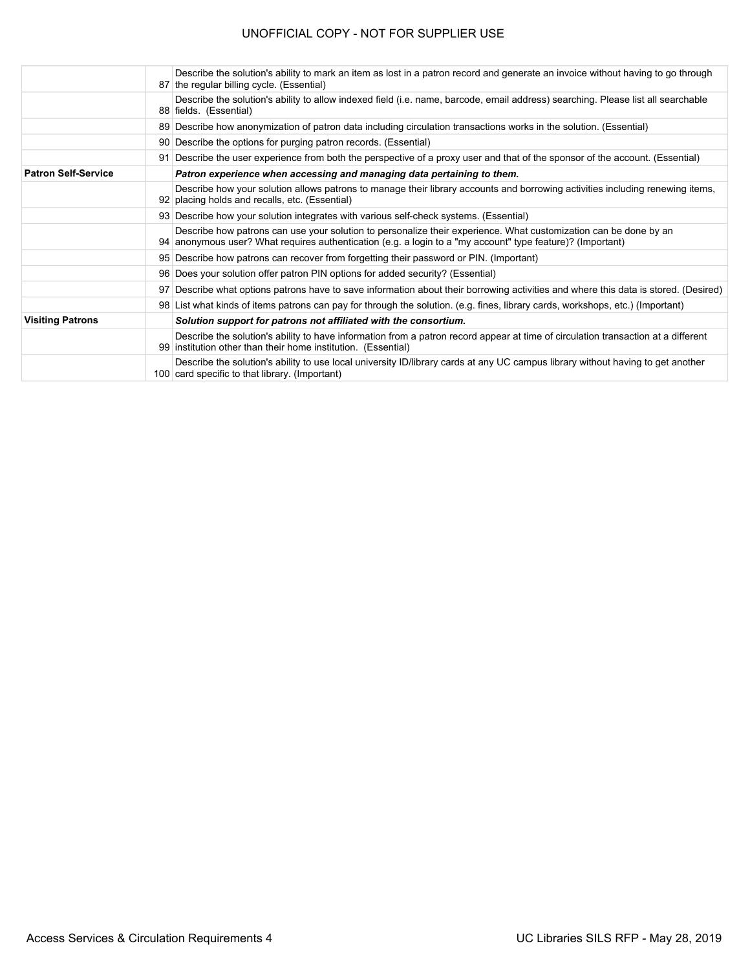|                            | Describe the solution's ability to mark an item as lost in a patron record and generate an invoice without having to go through<br>87 the regular billing cycle. (Essential)                                                   |
|----------------------------|--------------------------------------------------------------------------------------------------------------------------------------------------------------------------------------------------------------------------------|
|                            | Describe the solution's ability to allow indexed field (i.e. name, barcode, email address) searching. Please list all searchable<br>88 fields. (Essential)                                                                     |
|                            | 89 Describe how anonymization of patron data including circulation transactions works in the solution. (Essential)                                                                                                             |
|                            | 90 Describe the options for purging patron records. (Essential)                                                                                                                                                                |
|                            | 91 Describe the user experience from both the perspective of a proxy user and that of the sponsor of the account. (Essential)                                                                                                  |
| <b>Patron Self-Service</b> | Patron experience when accessing and managing data pertaining to them.                                                                                                                                                         |
|                            | Describe how your solution allows patrons to manage their library accounts and borrowing activities including renewing items,<br>92 placing holds and recalls, etc. (Essential)                                                |
|                            | 93 Describe how your solution integrates with various self-check systems. (Essential)                                                                                                                                          |
|                            | Describe how patrons can use your solution to personalize their experience. What customization can be done by an<br>94 anonymous user? What requires authentication (e.g. a login to a "my account" type feature)? (Important) |
|                            | 95 Describe how patrons can recover from forgetting their password or PIN. (Important)                                                                                                                                         |
|                            | 96 Does your solution offer patron PIN options for added security? (Essential)                                                                                                                                                 |
|                            | 97 Describe what options patrons have to save information about their borrowing activities and where this data is stored. (Desired)                                                                                            |
|                            | 98 List what kinds of items patrons can pay for through the solution. (e.g. fines, library cards, workshops, etc.) (Important)                                                                                                 |
| <b>Visiting Patrons</b>    | Solution support for patrons not affiliated with the consortium.                                                                                                                                                               |
|                            | Describe the solution's ability to have information from a patron record appear at time of circulation transaction at a different<br>99 institution other than their home institution. (Essential)                             |
|                            | Describe the solution's ability to use local university ID/library cards at any UC campus library without having to get another<br>100 card specific to that library. (Important)                                              |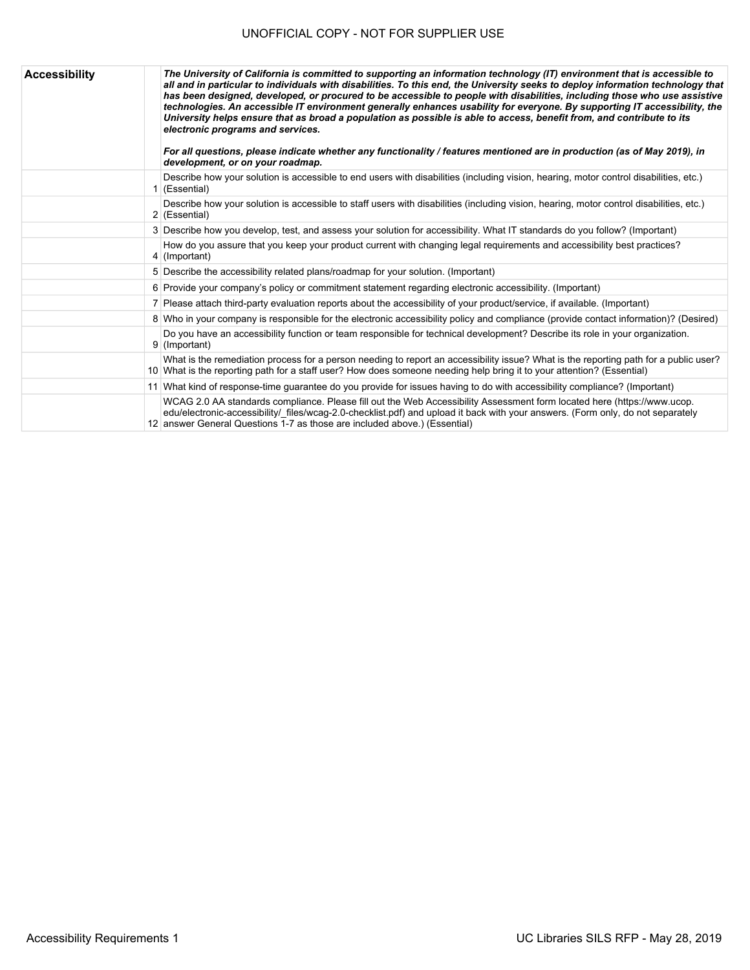| <b>Accessibility</b> | The University of California is committed to supporting an information technology (IT) environment that is accessible to<br>all and in particular to individuals with disabilities. To this end, the University seeks to deploy information technology that<br>has been designed, developed, or procured to be accessible to people with disabilities, including those who use assistive<br>technologies. An accessible IT environment generally enhances usability for everyone. By supporting IT accessibility, the<br>University helps ensure that as broad a population as possible is able to access, benefit from, and contribute to its<br>electronic programs and services.<br>For all questions, please indicate whether any functionality / features mentioned are in production (as of May 2019), in<br>development, or on your roadmap. |
|----------------------|-----------------------------------------------------------------------------------------------------------------------------------------------------------------------------------------------------------------------------------------------------------------------------------------------------------------------------------------------------------------------------------------------------------------------------------------------------------------------------------------------------------------------------------------------------------------------------------------------------------------------------------------------------------------------------------------------------------------------------------------------------------------------------------------------------------------------------------------------------|
|                      | Describe how your solution is accessible to end users with disabilities (including vision, hearing, motor control disabilities, etc.)<br>$1$ (Essential)                                                                                                                                                                                                                                                                                                                                                                                                                                                                                                                                                                                                                                                                                            |
|                      | Describe how your solution is accessible to staff users with disabilities (including vision, hearing, motor control disabilities, etc.)<br>2 (Essential)                                                                                                                                                                                                                                                                                                                                                                                                                                                                                                                                                                                                                                                                                            |
|                      | 3 Describe how you develop, test, and assess your solution for accessibility. What IT standards do you follow? (Important)                                                                                                                                                                                                                                                                                                                                                                                                                                                                                                                                                                                                                                                                                                                          |
|                      | How do you assure that you keep your product current with changing legal requirements and accessibility best practices?<br>$4$ (Important)                                                                                                                                                                                                                                                                                                                                                                                                                                                                                                                                                                                                                                                                                                          |
|                      | 5 Describe the accessibility related plans/roadmap for your solution. (Important)                                                                                                                                                                                                                                                                                                                                                                                                                                                                                                                                                                                                                                                                                                                                                                   |
|                      | 6 Provide your company's policy or commitment statement regarding electronic accessibility. (Important)                                                                                                                                                                                                                                                                                                                                                                                                                                                                                                                                                                                                                                                                                                                                             |
|                      | 7 Please attach third-party evaluation reports about the accessibility of your product/service, if available. (Important)                                                                                                                                                                                                                                                                                                                                                                                                                                                                                                                                                                                                                                                                                                                           |
|                      | 8 Who in your company is responsible for the electronic accessibility policy and compliance (provide contact information)? (Desired)                                                                                                                                                                                                                                                                                                                                                                                                                                                                                                                                                                                                                                                                                                                |
|                      | Do you have an accessibility function or team responsible for technical development? Describe its role in your organization.<br>9 (Important)                                                                                                                                                                                                                                                                                                                                                                                                                                                                                                                                                                                                                                                                                                       |
|                      | What is the remediation process for a person needing to report an accessibility issue? What is the reporting path for a public user?<br>10 What is the reporting path for a staff user? How does someone needing help bring it to your attention? (Essential)                                                                                                                                                                                                                                                                                                                                                                                                                                                                                                                                                                                       |
|                      | 11 What kind of response-time quarantee do you provide for issues having to do with accessibility compliance? (Important)                                                                                                                                                                                                                                                                                                                                                                                                                                                                                                                                                                                                                                                                                                                           |
|                      | WCAG 2.0 AA standards compliance. Please fill out the Web Accessibility Assessment form located here (https://www.ucop.<br>edu/electronic-accessibility/ files/wcag-2.0-checklist.pdf) and upload it back with your answers. (Form only, do not separately<br>12 answer General Questions 1-7 as those are included above.) (Essential)                                                                                                                                                                                                                                                                                                                                                                                                                                                                                                             |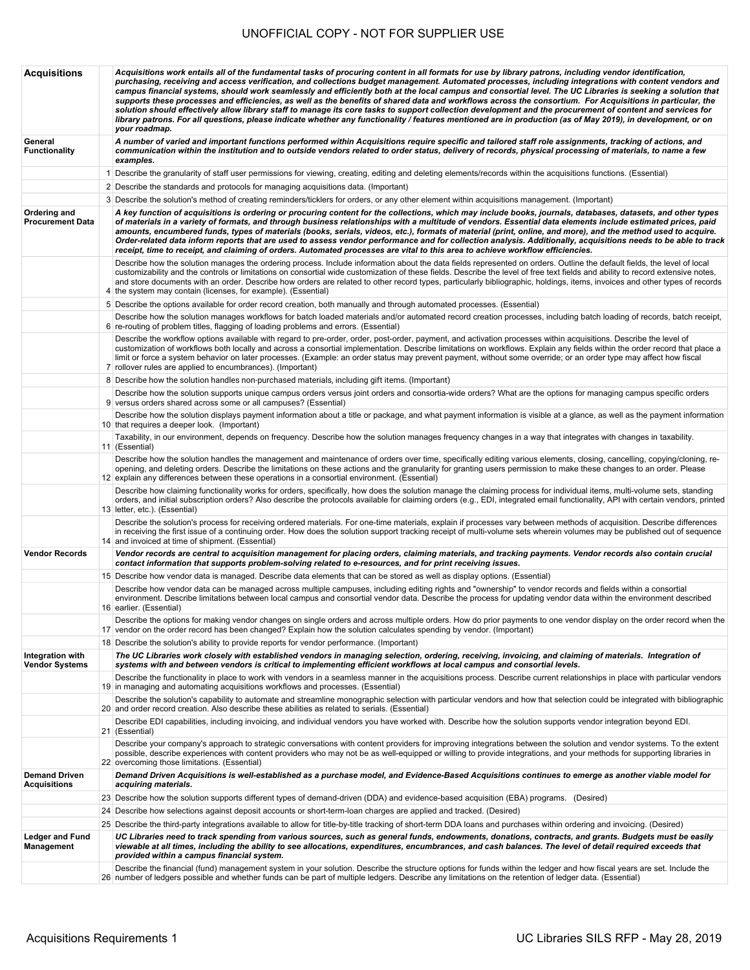| <b>Acquisitions</b>                       | Acquisitions work entails all of the fundamental tasks of procuring content in all formats for use by library patrons, including vendor identification,<br>purchasing, receiving and access verification, and collections budget management. Automated processes, including integrations with content vendors and<br>campus financial systems, should work seamlessly and efficiently both at the local campus and consortial level. The UC Libraries is seeking a solution that<br>supports these processes and efficiencies, as well as the benefits of shared data and workflows across the consortium. For Acquisitions in particular, the<br>solution should effectively allow library staff to manage its core tasks to support collection development and the procurement of content and services for<br>library patrons. For all questions, please indicate whether any functionality / features mentioned are in production (as of May 2019), in development, or on<br>your roadmap. |
|-------------------------------------------|-----------------------------------------------------------------------------------------------------------------------------------------------------------------------------------------------------------------------------------------------------------------------------------------------------------------------------------------------------------------------------------------------------------------------------------------------------------------------------------------------------------------------------------------------------------------------------------------------------------------------------------------------------------------------------------------------------------------------------------------------------------------------------------------------------------------------------------------------------------------------------------------------------------------------------------------------------------------------------------------------|
| General<br><b>Functionality</b>           | A number of varied and important functions performed within Acquisitions require specific and tailored staff role assignments, tracking of actions, and<br>communication within the institution and to outside vendors related to order status, delivery of records, physical processing of materials, to name a few<br>examples.                                                                                                                                                                                                                                                                                                                                                                                                                                                                                                                                                                                                                                                             |
|                                           | 1 Describe the granularity of staff user permissions for viewing, creating, editing and deleting elements/records within the acquisitions functions. (Essential)                                                                                                                                                                                                                                                                                                                                                                                                                                                                                                                                                                                                                                                                                                                                                                                                                              |
|                                           | 2 Describe the standards and protocols for managing acquisitions data. (Important)                                                                                                                                                                                                                                                                                                                                                                                                                                                                                                                                                                                                                                                                                                                                                                                                                                                                                                            |
|                                           | 3 Describe the solution's method of creating reminders/ticklers for orders, or any other element within acquisitions management. (Important)                                                                                                                                                                                                                                                                                                                                                                                                                                                                                                                                                                                                                                                                                                                                                                                                                                                  |
| Ordering and<br><b>Procurement Data</b>   | A key function of acquisitions is ordering or procuring content for the collections, which may include books, journals, databases, datasets, and other types<br>of materials in a variety of formats, and through business relationships with a multitude of vendors. Essential data elements include estimated prices, paid<br>amounts, encumbered funds, types of materials (books, serials, videos, etc.), formats of material (print, online, and more), and the method used to acquire.<br>Order-related data inform reports that are used to assess vendor performance and for collection analysis. Additionally, acquisitions needs to be able to track<br>receipt, time to receipt, and claiming of orders. Automated processes are vital to this area to achieve workflow efficiencies.                                                                                                                                                                                              |
|                                           | Describe how the solution manages the ordering process. Include information about the data fields represented on orders. Outline the default fields, the level of local<br>customizability and the controls or limitations on consortial wide customization of these fields. Describe the level of free text fields and ability to record extensive notes,<br>and store documents with an order. Describe how orders are related to other record types, particularly bibliographic, holdings, items, invoices and other types of records<br>4 the system may contain (licenses, for example). (Essential)                                                                                                                                                                                                                                                                                                                                                                                     |
|                                           | 5 Describe the options available for order record creation, both manually and through automated processes. (Essential)                                                                                                                                                                                                                                                                                                                                                                                                                                                                                                                                                                                                                                                                                                                                                                                                                                                                        |
|                                           | Describe how the solution manages workflows for batch loaded materials and/or automated record creation processes, including batch loading of records, batch receipt,<br>6 re-routing of problem titles, flagging of loading problems and errors. (Essential)                                                                                                                                                                                                                                                                                                                                                                                                                                                                                                                                                                                                                                                                                                                                 |
|                                           | Describe the workflow options available with regard to pre-order, order, post-order, payment, and activation processes within acquisitions. Describe the level of<br>customization of workflows both locally and across a consortial implementation. Describe limitations on workflows. Explain any fields within the order record that place a<br>limit or force a system behavior on later processes. (Example: an order status may prevent payment, without some override; or an order type may affect how fiscal<br>7 rollover rules are applied to encumbrances). (Important)                                                                                                                                                                                                                                                                                                                                                                                                            |
|                                           | 8 Describe how the solution handles non-purchased materials, including gift items. (Important)                                                                                                                                                                                                                                                                                                                                                                                                                                                                                                                                                                                                                                                                                                                                                                                                                                                                                                |
|                                           | Describe how the solution supports unique campus orders versus joint orders and consortia-wide orders? What are the options for managing campus specific orders<br>9 versus orders shared across some or all campuses? (Essential)                                                                                                                                                                                                                                                                                                                                                                                                                                                                                                                                                                                                                                                                                                                                                            |
|                                           | Describe how the solution displays payment information about a title or package, and what payment information is visible at a glance, as well as the payment information<br>10 that requires a deeper look. (Important)                                                                                                                                                                                                                                                                                                                                                                                                                                                                                                                                                                                                                                                                                                                                                                       |
|                                           | Taxability, in our environment, depends on frequency. Describe how the solution manages frequency changes in a way that integrates with changes in taxability.                                                                                                                                                                                                                                                                                                                                                                                                                                                                                                                                                                                                                                                                                                                                                                                                                                |
|                                           | 11 (Essential)<br>Describe how the solution handles the management and maintenance of orders over time, specifically editing various elements, closing, cancelling, copying/cloning, re-                                                                                                                                                                                                                                                                                                                                                                                                                                                                                                                                                                                                                                                                                                                                                                                                      |
|                                           | opening, and deleting orders. Describe the limitations on these actions and the granularity for granting users permission to make these changes to an order. Please<br>12 explain any differences between these operations in a consortial environment. (Essential)                                                                                                                                                                                                                                                                                                                                                                                                                                                                                                                                                                                                                                                                                                                           |
|                                           | Describe how claiming functionality works for orders, specifically, how does the solution manage the claiming process for individual items, multi-volume sets, standing<br>orders, and initial subscription orders? Also describe the protocols available for claiming orders (e.g., EDI, integrated email functionality, API with certain vendors, printed<br>13 letter, etc.). (Essential)                                                                                                                                                                                                                                                                                                                                                                                                                                                                                                                                                                                                  |
|                                           | Describe the solution's process for receiving ordered materials. For one-time materials, explain if processes vary between methods of acquisition. Describe differences<br>in receiving the first issue of a continuing order. How does the solution support tracking receipt of multi-volume sets wherein volumes may be published out of sequence<br>14 and invoiced at time of shipment. (Essential)                                                                                                                                                                                                                                                                                                                                                                                                                                                                                                                                                                                       |
| <b>Vendor Records</b>                     | Vendor records are central to acquisition management for placing orders, claiming materials, and tracking payments. Vendor records also contain crucial<br>contact information that supports problem-solving related to e-resources, and for print receiving issues.                                                                                                                                                                                                                                                                                                                                                                                                                                                                                                                                                                                                                                                                                                                          |
|                                           | 15 Describe how vendor data is managed. Describe data elements that can be stored as well as display options. (Essential)                                                                                                                                                                                                                                                                                                                                                                                                                                                                                                                                                                                                                                                                                                                                                                                                                                                                     |
|                                           | Describe how vendor data can be managed across multiple campuses, including editing rights and "ownership" to vendor records and fields within a consortial<br>environment. Describe limitations between local campus and consortial vendor data. Describe the process for updating vendor data within the environment described<br>16 earlier. (Essential)                                                                                                                                                                                                                                                                                                                                                                                                                                                                                                                                                                                                                                   |
|                                           | Describe the options for making vendor changes on single orders and across multiple orders. How do prior payments to one vendor display on the order record when the<br>17 vendor on the order record has been changed? Explain how the solution calculates spending by vendor. (Important)                                                                                                                                                                                                                                                                                                                                                                                                                                                                                                                                                                                                                                                                                                   |
|                                           | 18 Describe the solution's ability to provide reports for vendor performance. (Important)                                                                                                                                                                                                                                                                                                                                                                                                                                                                                                                                                                                                                                                                                                                                                                                                                                                                                                     |
| Integration with<br><b>Vendor Systems</b> | The UC Libraries work closely with established vendors in managing selection, ordering, receiving, invoicing, and claiming of materials. Integration of<br>systems with and between vendors is critical to implementing efficient workflows at local campus and consortial levels.                                                                                                                                                                                                                                                                                                                                                                                                                                                                                                                                                                                                                                                                                                            |
|                                           | Describe the functionality in place to work with vendors in a seamless manner in the acquisitions process. Describe current relationships in place with particular vendors<br>19 in managing and automating acquisitions workflows and processes. (Essential)                                                                                                                                                                                                                                                                                                                                                                                                                                                                                                                                                                                                                                                                                                                                 |
|                                           | Describe the solution's capability to automate and streamline monographic selection with particular vendors and how that selection could be integrated with bibliographic<br>20 and order record creation. Also describe these abilities as related to serials. (Essential)                                                                                                                                                                                                                                                                                                                                                                                                                                                                                                                                                                                                                                                                                                                   |
|                                           | Describe EDI capabilities, including invoicing, and individual vendors you have worked with. Describe how the solution supports vendor integration beyond EDI.<br>21 (Essential)                                                                                                                                                                                                                                                                                                                                                                                                                                                                                                                                                                                                                                                                                                                                                                                                              |
|                                           | Describe your company's approach to strategic conversations with content providers for improving integrations between the solution and vendor systems. To the extent<br>possible, describe experiences with content providers who may not be as well-equipped or willing to provide integrations, and your methods for supporting libraries in<br>22 overcoming those limitations. (Essential)                                                                                                                                                                                                                                                                                                                                                                                                                                                                                                                                                                                                |
| Demand Driven<br><b>Acquisitions</b>      | Demand Driven Acquisitions is well-established as a purchase model, and Evidence-Based Acquisitions continues to emerge as another viable model for<br>acquiring materials.                                                                                                                                                                                                                                                                                                                                                                                                                                                                                                                                                                                                                                                                                                                                                                                                                   |
|                                           | 23 Describe how the solution supports different types of demand-driven (DDA) and evidence-based acquisition (EBA) programs. (Desired)                                                                                                                                                                                                                                                                                                                                                                                                                                                                                                                                                                                                                                                                                                                                                                                                                                                         |
|                                           | 24 Describe how selections against deposit accounts or short-term-loan charges are applied and tracked. (Desired)                                                                                                                                                                                                                                                                                                                                                                                                                                                                                                                                                                                                                                                                                                                                                                                                                                                                             |
|                                           | 25 Describe the third-party integrations available to allow for title-by-title tracking of short-term DDA loans and purchases within ordering and invoicing. (Desired)                                                                                                                                                                                                                                                                                                                                                                                                                                                                                                                                                                                                                                                                                                                                                                                                                        |
| <b>Ledger and Fund</b><br>Management      | UC Libraries need to track spending from various sources, such as general funds, endowments, donations, contracts, and grants. Budgets must be easily<br>viewable at all times, including the ability to see allocations, expenditures, encumbrances, and cash balances. The level of detail required exceeds that<br>provided within a campus financial system.                                                                                                                                                                                                                                                                                                                                                                                                                                                                                                                                                                                                                              |
|                                           | Describe the financial (fund) management system in your solution. Describe the structure options for funds within the ledger and how fiscal years are set. Include the<br>26 number of ledgers possible and whether funds can be part of multiple ledgers. Describe any limitations on the retention of ledger data. (Essential)                                                                                                                                                                                                                                                                                                                                                                                                                                                                                                                                                                                                                                                              |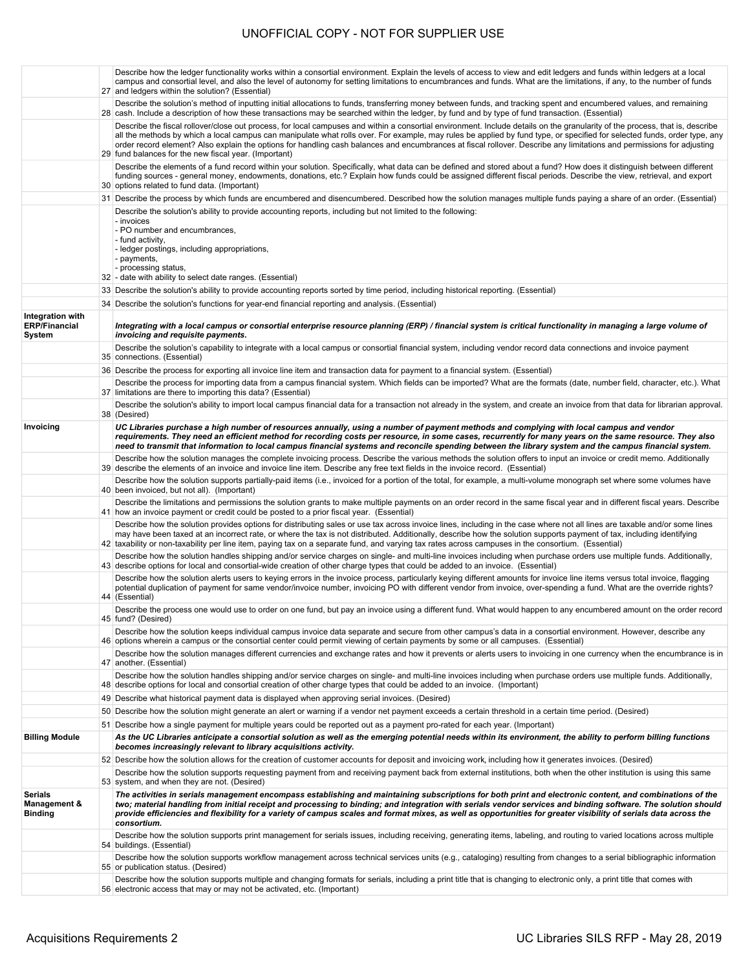|                                                             | Describe how the ledger functionality works within a consortial environment. Explain the levels of access to view and edit ledgers and funds within ledgers at a local<br>campus and consortial level, and also the level of autonomy for setting limitations to encumbrances and funds. What are the limitations, if any, to the number of funds<br>27 and ledgers within the solution? (Essential)                                                                                                                                                                                       |
|-------------------------------------------------------------|--------------------------------------------------------------------------------------------------------------------------------------------------------------------------------------------------------------------------------------------------------------------------------------------------------------------------------------------------------------------------------------------------------------------------------------------------------------------------------------------------------------------------------------------------------------------------------------------|
|                                                             | Describe the solution's method of inputting initial allocations to funds, transferring money between funds, and tracking spent and encumbered values, and remaining<br>28 cash. Include a description of how these transactions may be searched within the ledger, by fund and by type of fund transaction. (Essential)                                                                                                                                                                                                                                                                    |
|                                                             | Describe the fiscal rollover/close out process, for local campuses and within a consortial environment. Include details on the granularity of the process, that is, describe<br>all the methods by which a local campus can manipulate what rolls over. For example, may rules be applied by fund type, or specified for selected funds, order type, any<br>order record element? Also explain the options for handling cash balances and encumbrances at fiscal rollover. Describe any limitations and permissions for adjusting<br>29 fund balances for the new fiscal year. (Important) |
|                                                             | Describe the elements of a fund record within your solution. Specifically, what data can be defined and stored about a fund? How does it distinguish between different<br>funding sources - general money, endowments, donations, etc.? Explain how funds could be assigned different fiscal periods. Describe the view, retrieval, and export<br>30 options related to fund data. (Important)                                                                                                                                                                                             |
|                                                             | 31 Describe the process by which funds are encumbered and disencumbered. Described how the solution manages multiple funds paying a share of an order. (Essential)                                                                                                                                                                                                                                                                                                                                                                                                                         |
|                                                             | Describe the solution's ability to provide accounting reports, including but not limited to the following:<br>- invoices<br>- PO number and encumbrances,<br>- fund activity,<br>- ledger postings, including appropriations,<br>- payments,<br>- processing status,<br>32 - date with ability to select date ranges. (Essential)                                                                                                                                                                                                                                                          |
|                                                             | 33 Describe the solution's ability to provide accounting reports sorted by time period, including historical reporting. (Essential)                                                                                                                                                                                                                                                                                                                                                                                                                                                        |
|                                                             | 34 Describe the solution's functions for year-end financial reporting and analysis. (Essential)                                                                                                                                                                                                                                                                                                                                                                                                                                                                                            |
| Integration with<br><b>ERP/Financial</b><br>System          | Integrating with a local campus or consortial enterprise resource planning (ERP) / financial system is critical functionality in managing a large volume of<br>invoicing and requisite payments.                                                                                                                                                                                                                                                                                                                                                                                           |
|                                                             | Describe the solution's capability to integrate with a local campus or consortial financial system, including vendor record data connections and invoice payment<br>35 connections. (Essential)                                                                                                                                                                                                                                                                                                                                                                                            |
|                                                             | 36 Describe the process for exporting all invoice line item and transaction data for payment to a financial system. (Essential)                                                                                                                                                                                                                                                                                                                                                                                                                                                            |
|                                                             | Describe the process for importing data from a campus financial system. Which fields can be imported? What are the formats (date, number field, character, etc.). What<br>37 limitations are there to importing this data? (Essential)                                                                                                                                                                                                                                                                                                                                                     |
|                                                             | Describe the solution's ability to import local campus financial data for a transaction not already in the system, and create an invoice from that data for librarian approval.<br>38 (Desired)                                                                                                                                                                                                                                                                                                                                                                                            |
| Invoicing                                                   | UC Libraries purchase a high number of resources annually, using a number of payment methods and complying with local campus and vendor<br>requirements. They need an efficient method for recording costs per resource, in some cases, recurrently for many years on the same resource. They also<br>need to transmit that information to local campus financial systems and reconcile spending between the library system and the campus financial system.                                                                                                                               |
|                                                             | Describe how the solution manages the complete invoicing process. Describe the various methods the solution offers to input an invoice or credit memo. Additionally<br>39 describe the elements of an invoice and invoice line item. Describe any free text fields in the invoice record. (Essential)                                                                                                                                                                                                                                                                                      |
|                                                             | Describe how the solution supports partially-paid items (i.e., invoiced for a portion of the total, for example, a multi-volume monograph set where some volumes have<br>40 been invoiced, but not all). (Important)                                                                                                                                                                                                                                                                                                                                                                       |
|                                                             | Describe the limitations and permissions the solution grants to make multiple payments on an order record in the same fiscal year and in different fiscal years. Describe<br>41 how an invoice payment or credit could be posted to a prior fiscal year. (Essential)                                                                                                                                                                                                                                                                                                                       |
|                                                             | Describe how the solution provides options for distributing sales or use tax across invoice lines, including in the case where not all lines are taxable and/or some lines<br>may have been taxed at an incorrect rate, or where the tax is not distributed. Additionally, describe how the solution supports payment of tax, including identifying<br>42 taxability or non-taxability per line item, paying tax on a separate fund, and varying tax rates across campuses in the consortium. (Essential)                                                                                  |
|                                                             | Describe how the solution handles shipping and/or service charges on single- and multi-line invoices including when purchase orders use multiple funds. Additionally,<br>43 describe options for local and consortial-wide creation of other charge types that could be added to an invoice. (Essential)                                                                                                                                                                                                                                                                                   |
|                                                             | Describe how the solution alerts users to keying errors in the invoice process, particularly keying different amounts for invoice line items versus total invoice, flagging<br>potential duplication of payment for same vendor/invoice number, invoicing PO with different vendor from invoice, over-spending a fund. What are the override rights?<br>44 (Essential)                                                                                                                                                                                                                     |
|                                                             | Describe the process one would use to order on one fund, but pay an invoice using a different fund. What would happen to any encumbered amount on the order record<br>45 fund? (Desired)                                                                                                                                                                                                                                                                                                                                                                                                   |
|                                                             | Describe how the solution keeps individual campus invoice data separate and secure from other campus's data in a consortial environment. However, describe any<br>46 options wherein a campus or the consortial center could permit viewing of certain payments by some or all campuses. (Essential)                                                                                                                                                                                                                                                                                       |
|                                                             | Describe how the solution manages different currencies and exchange rates and how it prevents or alerts users to invoicing in one currency when the encumbrance is in<br>47 another. (Essential)                                                                                                                                                                                                                                                                                                                                                                                           |
|                                                             | Describe how the solution handles shipping and/or service charges on single- and multi-line invoices including when purchase orders use multiple funds. Additionally,<br>48 describe options for local and consortial creation of other charge types that could be added to an invoice. (Important)                                                                                                                                                                                                                                                                                        |
|                                                             | 49 Describe what historical payment data is displayed when approving serial invoices. (Desired)                                                                                                                                                                                                                                                                                                                                                                                                                                                                                            |
|                                                             | 50 Describe how the solution might generate an alert or warning if a vendor net payment exceeds a certain threshold in a certain time period. (Desired)                                                                                                                                                                                                                                                                                                                                                                                                                                    |
|                                                             | 51 Describe how a single payment for multiple years could be reported out as a payment pro-rated for each year. (Important)<br>As the UC Libraries anticipate a consortial solution as well as the emerging potential needs within its environment, the ability to perform billing functions                                                                                                                                                                                                                                                                                               |
| <b>Billing Module</b>                                       | becomes increasingly relevant to library acquisitions activity.                                                                                                                                                                                                                                                                                                                                                                                                                                                                                                                            |
|                                                             | 52 Describe how the solution allows for the creation of customer accounts for deposit and invoicing work, including how it generates invoices. (Desired)<br>Describe how the solution supports requesting payment from and receiving payment back from external institutions, both when the other institution is using this same                                                                                                                                                                                                                                                           |
|                                                             | 53 system, and when they are not. (Desired)                                                                                                                                                                                                                                                                                                                                                                                                                                                                                                                                                |
| <b>Serials</b><br><b>Management &amp;</b><br><b>Binding</b> | The activities in serials management encompass establishing and maintaining subscriptions for both print and electronic content, and combinations of the<br>two; material handling from initial receipt and processing to binding; and integration with serials vendor services and binding software. The solution should<br>provide efficiencies and flexibility for a variety of campus scales and format mixes, as well as opportunities for greater visibility of serials data across the<br>consortium.                                                                               |
|                                                             | Describe how the solution supports print management for serials issues, including receiving, generating items, labeling, and routing to varied locations across multiple<br>54 buildings. (Essential)                                                                                                                                                                                                                                                                                                                                                                                      |
|                                                             | Describe how the solution supports workflow management across technical services units (e.g., cataloging) resulting from changes to a serial bibliographic information<br>55 or publication status. (Desired)                                                                                                                                                                                                                                                                                                                                                                              |
|                                                             | Describe how the solution supports multiple and changing formats for serials, including a print title that is changing to electronic only, a print title that comes with<br>56 electronic access that may or may not be activated, etc. (Important)                                                                                                                                                                                                                                                                                                                                        |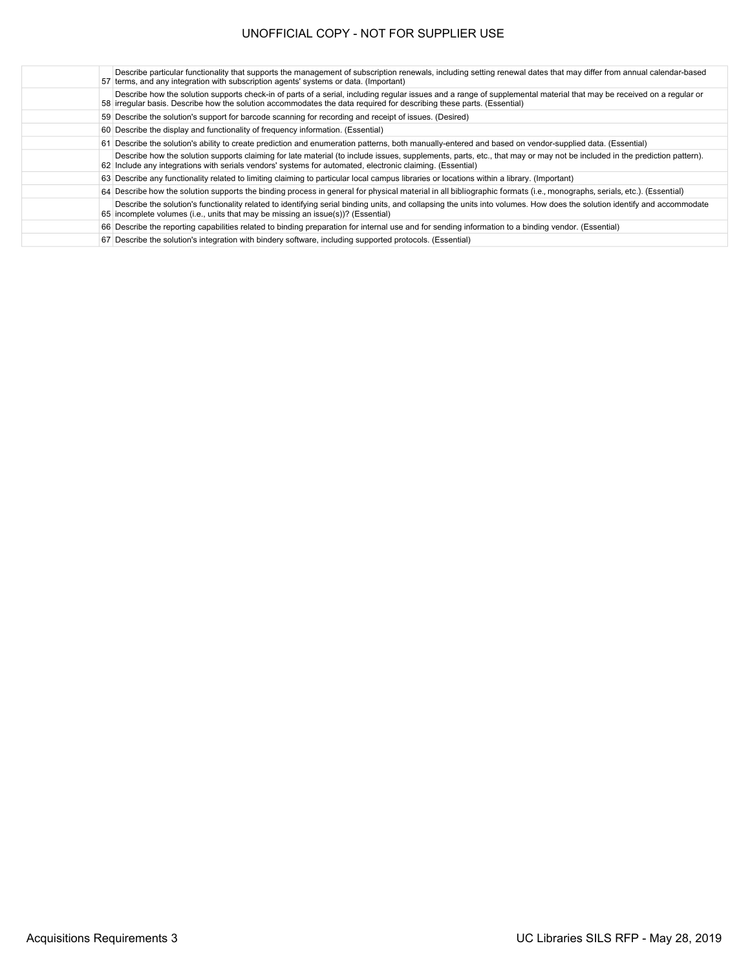Describe particular functionality that supports the management of subscription renewals, including setting renewal dates that may differ from annual calendar-based<br>57 terms, and any integration with subscription agents' sy irregular basis. Describe how the solution accommodates the data required for describing these parts. (Essential) Describe how the solution supports check-in of parts of a serial, including regular issues and a range of supplemental material that may be received on a regular or Describe the solution's support for barcode scanning for recording and receipt of issues. (Desired) Describe the display and functionality of frequency information. (Essential) Describe the solution's ability to create prediction and enumeration patterns, both manually-entered and based on vendor-supplied data. (Essential) Include any integrations with serials vendors' systems for automated, electronic claiming. (Essential) Describe how the solution supports claiming for late material (to include issues, supplements, parts, etc., that may or may not be included in the prediction pattern). Describe any functionality related to limiting claiming to particular local campus libraries or locations within a library. (Important) Describe how the solution supports the binding process in general for physical material in all bibliographic formats (i.e., monographs, serials, etc.). (Essential) incomplete volumes (i.e., units that may be missing an issue(s))? (Essential) Describe the solution's functionality related to identifying serial binding units, and collapsing the units into volumes. How does the solution identify and accommodate Describe the reporting capabilities related to binding preparation for internal use and for sending information to a binding vendor. (Essential) Describe the solution's integration with bindery software, including supported protocols. (Essential)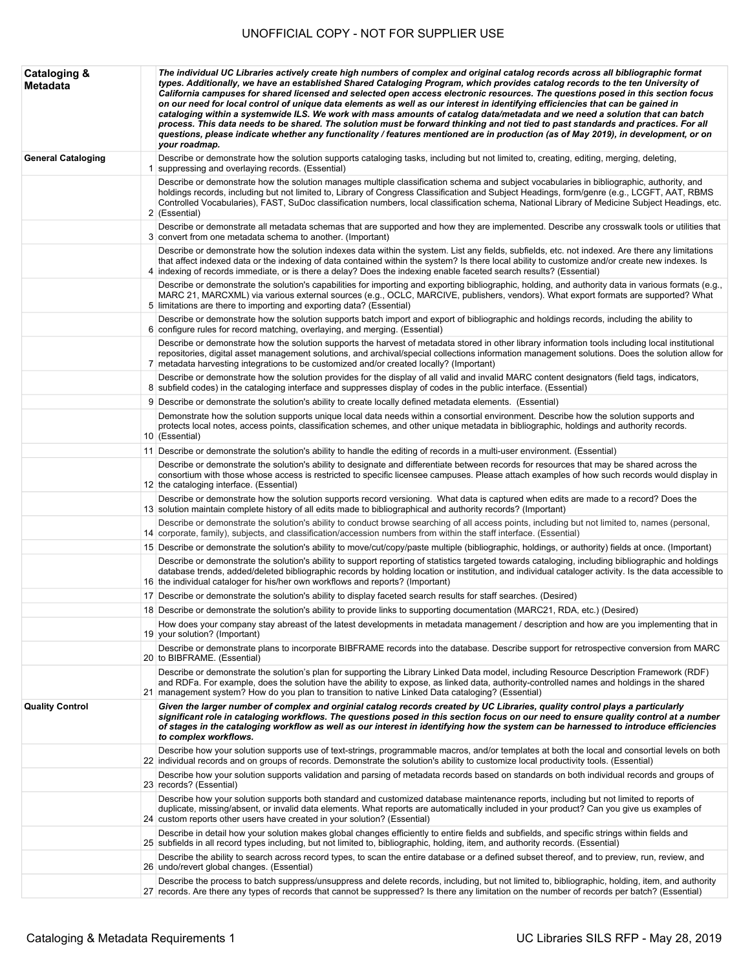| <b>Cataloging &amp;</b><br><b>Metadata</b> | The individual UC Libraries actively create high numbers of complex and original catalog records across all bibliographic format<br>types. Additionally, we have an established Shared Cataloging Program, which provides catalog records to the ten University of<br>California campuses for shared licensed and selected open access electronic resources. The questions posed in this section focus<br>on our need for local control of unique data elements as well as our interest in identifying efficiencies that can be gained in<br>cataloging within a systemwide ILS. We work with mass amounts of catalog data/metadata and we need a solution that can batch<br>process. This data needs to be shared. The solution must be forward thinking and not tied to past standards and practices. For all<br>questions, please indicate whether any functionality / features mentioned are in production (as of May 2019), in development, or on<br>your roadmap. |
|--------------------------------------------|-------------------------------------------------------------------------------------------------------------------------------------------------------------------------------------------------------------------------------------------------------------------------------------------------------------------------------------------------------------------------------------------------------------------------------------------------------------------------------------------------------------------------------------------------------------------------------------------------------------------------------------------------------------------------------------------------------------------------------------------------------------------------------------------------------------------------------------------------------------------------------------------------------------------------------------------------------------------------|
| <b>General Cataloging</b>                  | Describe or demonstrate how the solution supports cataloging tasks, including but not limited to, creating, editing, merging, deleting,<br>1 suppressing and overlaying records. (Essential)                                                                                                                                                                                                                                                                                                                                                                                                                                                                                                                                                                                                                                                                                                                                                                            |
|                                            | Describe or demonstrate how the solution manages multiple classification schema and subject vocabularies in bibliographic, authority, and<br>holdings records, including but not limited to, Library of Congress Classification and Subject Headings, form/genre (e.g., LCGFT, AAT, RBMS<br>Controlled Vocabularies), FAST, SuDoc classification numbers, local classification schema, National Library of Medicine Subject Headings, etc.<br>2 (Essential)                                                                                                                                                                                                                                                                                                                                                                                                                                                                                                             |
|                                            | Describe or demonstrate all metadata schemas that are supported and how they are implemented. Describe any crosswalk tools or utilities that<br>3 convert from one metadata schema to another. (Important)                                                                                                                                                                                                                                                                                                                                                                                                                                                                                                                                                                                                                                                                                                                                                              |
|                                            | Describe or demonstrate how the solution indexes data within the system. List any fields, subfields, etc. not indexed. Are there any limitations<br>that affect indexed data or the indexing of data contained within the system? Is there local ability to customize and/or create new indexes. Is<br>4 indexing of records immediate, or is there a delay? Does the indexing enable faceted search results? (Essential)                                                                                                                                                                                                                                                                                                                                                                                                                                                                                                                                               |
|                                            | Describe or demonstrate the solution's capabilities for importing and exporting bibliographic, holding, and authority data in various formats (e.g.,<br>MARC 21, MARCXML) via various external sources (e.g., OCLC, MARCIVE, publishers, vendors). What export formats are supported? What<br>5 limitations are there to importing and exporting data? (Essential)                                                                                                                                                                                                                                                                                                                                                                                                                                                                                                                                                                                                      |
|                                            | Describe or demonstrate how the solution supports batch import and export of bibliographic and holdings records, including the ability to<br>6 configure rules for record matching, overlaying, and merging. (Essential)                                                                                                                                                                                                                                                                                                                                                                                                                                                                                                                                                                                                                                                                                                                                                |
|                                            | Describe or demonstrate how the solution supports the harvest of metadata stored in other library information tools including local institutional<br>repositories, digital asset management solutions, and archival/special collections information management solutions. Does the solution allow for<br>7 metadata harvesting integrations to be customized and/or created locally? (Important)                                                                                                                                                                                                                                                                                                                                                                                                                                                                                                                                                                        |
|                                            | Describe or demonstrate how the solution provides for the display of all valid and invalid MARC content designators (field tags, indicators,<br>8 subfield codes) in the cataloging interface and suppresses display of codes in the public interface. (Essential)                                                                                                                                                                                                                                                                                                                                                                                                                                                                                                                                                                                                                                                                                                      |
|                                            | 9 Describe or demonstrate the solution's ability to create locally defined metadata elements. (Essential)                                                                                                                                                                                                                                                                                                                                                                                                                                                                                                                                                                                                                                                                                                                                                                                                                                                               |
|                                            | Demonstrate how the solution supports unique local data needs within a consortial environment. Describe how the solution supports and<br>protects local notes, access points, classification schemes, and other unique metadata in bibliographic, holdings and authority records.<br>10 (Essential)                                                                                                                                                                                                                                                                                                                                                                                                                                                                                                                                                                                                                                                                     |
|                                            | 11 Describe or demonstrate the solution's ability to handle the editing of records in a multi-user environment. (Essential)                                                                                                                                                                                                                                                                                                                                                                                                                                                                                                                                                                                                                                                                                                                                                                                                                                             |
|                                            | Describe or demonstrate the solution's ability to designate and differentiate between records for resources that may be shared across the<br>consortium with those whose access is restricted to specific licensee campuses. Please attach examples of how such records would display in<br>12 the cataloging interface. (Essential)                                                                                                                                                                                                                                                                                                                                                                                                                                                                                                                                                                                                                                    |
|                                            | Describe or demonstrate how the solution supports record versioning. What data is captured when edits are made to a record? Does the<br>13 solution maintain complete history of all edits made to bibliographical and authority records? (Important)                                                                                                                                                                                                                                                                                                                                                                                                                                                                                                                                                                                                                                                                                                                   |
|                                            | Describe or demonstrate the solution's ability to conduct browse searching of all access points, including but not limited to, names (personal,<br>14 corporate, family), subjects, and classification/accession numbers from within the staff interface. (Essential)                                                                                                                                                                                                                                                                                                                                                                                                                                                                                                                                                                                                                                                                                                   |
|                                            | 15 Describe or demonstrate the solution's ability to move/cut/copy/paste multiple (bibliographic, holdings, or authority) fields at once. (Important)                                                                                                                                                                                                                                                                                                                                                                                                                                                                                                                                                                                                                                                                                                                                                                                                                   |
|                                            | Describe or demonstrate the solution's ability to support reporting of statistics targeted towards cataloging, including bibliographic and holdings<br>database trends, added/deleted bibliographic records by holding location or institution, and individual cataloger activity. Is the data accessible to<br>16 the individual cataloger for his/her own workflows and reports? (Important)                                                                                                                                                                                                                                                                                                                                                                                                                                                                                                                                                                          |
|                                            | 17 Describe or demonstrate the solution's ability to display faceted search results for staff searches. (Desired)                                                                                                                                                                                                                                                                                                                                                                                                                                                                                                                                                                                                                                                                                                                                                                                                                                                       |
|                                            | 18 Describe or demonstrate the solution's ability to provide links to supporting documentation (MARC21, RDA, etc.) (Desired)                                                                                                                                                                                                                                                                                                                                                                                                                                                                                                                                                                                                                                                                                                                                                                                                                                            |
|                                            | How does your company stay abreast of the latest developments in metadata management / description and how are you implementing that in<br>19 your solution? (Important)                                                                                                                                                                                                                                                                                                                                                                                                                                                                                                                                                                                                                                                                                                                                                                                                |
|                                            | Describe or demonstrate plans to incorporate BIBFRAME records into the database. Describe support for retrospective conversion from MARC<br>20 to BIBFRAME. (Essential)                                                                                                                                                                                                                                                                                                                                                                                                                                                                                                                                                                                                                                                                                                                                                                                                 |
|                                            | Describe or demonstrate the solution's plan for supporting the Library Linked Data model, including Resource Description Framework (RDF)<br>and RDFa. For example, does the solution have the ability to expose, as linked data, authority-controlled names and holdings in the shared<br>21 management system? How do you plan to transition to native Linked Data cataloging? (Essential)                                                                                                                                                                                                                                                                                                                                                                                                                                                                                                                                                                             |
| <b>Quality Control</b>                     | Given the larger number of complex and orginial catalog records created by UC Libraries, quality control plays a particularly<br>significant role in cataloging workflows. The questions posed in this section focus on our need to ensure quality control at a number<br>of stages in the cataloging workflow as well as our interest in identifying how the system can be harnessed to introduce efficiencies<br>to complex workflows.                                                                                                                                                                                                                                                                                                                                                                                                                                                                                                                                |
|                                            | Describe how your solution supports use of text-strings, programmable macros, and/or templates at both the local and consortial levels on both<br>22 individual records and on groups of records. Demonstrate the solution's ability to customize local productivity tools. (Essential)                                                                                                                                                                                                                                                                                                                                                                                                                                                                                                                                                                                                                                                                                 |
|                                            | Describe how your solution supports validation and parsing of metadata records based on standards on both individual records and groups of<br>23 records? (Essential)                                                                                                                                                                                                                                                                                                                                                                                                                                                                                                                                                                                                                                                                                                                                                                                                   |
|                                            | Describe how your solution supports both standard and customized database maintenance reports, including but not limited to reports of<br>duplicate, missing/absent, or invalid data elements. What reports are automatically included in your product? Can you give us examples of<br>24 custom reports other users have created in your solution? (Essential)                                                                                                                                                                                                                                                                                                                                                                                                                                                                                                                                                                                                         |
|                                            | Describe in detail how your solution makes global changes efficiently to entire fields and subfields, and specific strings within fields and<br>25 subfields in all record types including, but not limited to, bibliographic, holding, item, and authority records. (Essential)                                                                                                                                                                                                                                                                                                                                                                                                                                                                                                                                                                                                                                                                                        |
|                                            | Describe the ability to search across record types, to scan the entire database or a defined subset thereof, and to preview, run, review, and                                                                                                                                                                                                                                                                                                                                                                                                                                                                                                                                                                                                                                                                                                                                                                                                                           |
|                                            | 26 undo/revert global changes. (Essential)<br>Describe the process to batch suppress/unsuppress and delete records, including, but not limited to, bibliographic, holding, item, and authority                                                                                                                                                                                                                                                                                                                                                                                                                                                                                                                                                                                                                                                                                                                                                                          |
|                                            | 27 records. Are there any types of records that cannot be suppressed? Is there any limitation on the number of records per batch? (Essential)                                                                                                                                                                                                                                                                                                                                                                                                                                                                                                                                                                                                                                                                                                                                                                                                                           |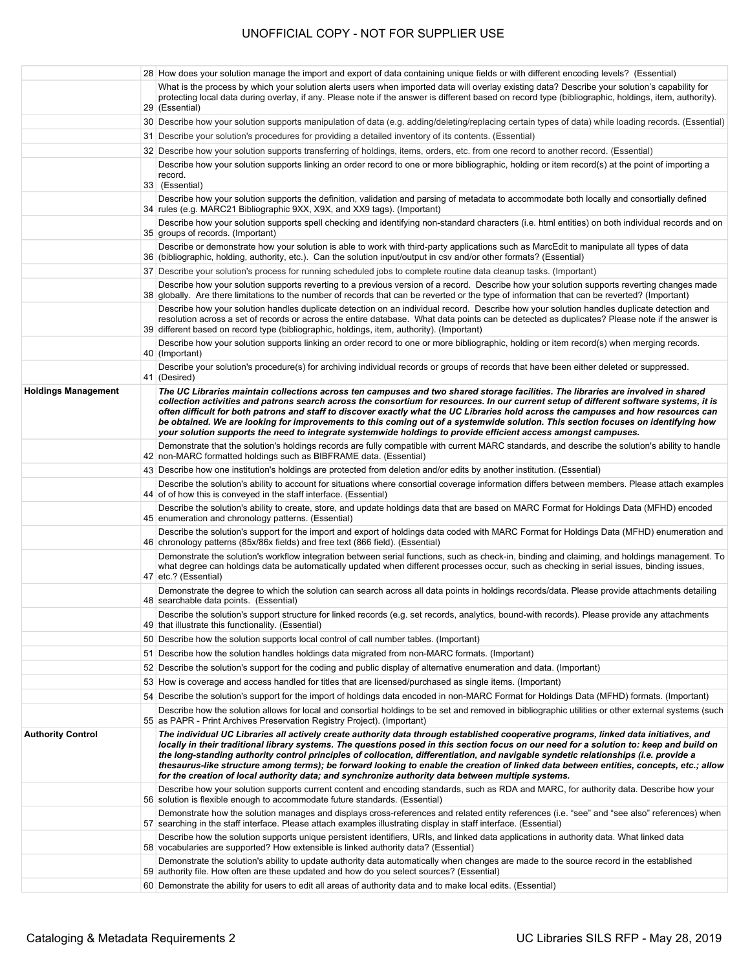|                            | 28 How does your solution manage the import and export of data containing unique fields or with different encoding levels? (Essential)                                                                                                                                                                                                                                                                                                                                                                                                                                                                                                                                                                                                                |
|----------------------------|-------------------------------------------------------------------------------------------------------------------------------------------------------------------------------------------------------------------------------------------------------------------------------------------------------------------------------------------------------------------------------------------------------------------------------------------------------------------------------------------------------------------------------------------------------------------------------------------------------------------------------------------------------------------------------------------------------------------------------------------------------|
|                            | What is the process by which your solution alerts users when imported data will overlay existing data? Describe your solution's capability for<br>protecting local data during overlay, if any. Please note if the answer is different based on record type (bibliographic, holdings, item, authority).<br>29 (Essential)                                                                                                                                                                                                                                                                                                                                                                                                                             |
|                            | 30 Describe how your solution supports manipulation of data (e.g. adding/deleting/replacing certain types of data) while loading records. (Essential)                                                                                                                                                                                                                                                                                                                                                                                                                                                                                                                                                                                                 |
|                            | 31 Describe your solution's procedures for providing a detailed inventory of its contents. (Essential)                                                                                                                                                                                                                                                                                                                                                                                                                                                                                                                                                                                                                                                |
|                            | 32 Describe how your solution supports transferring of holdings, items, orders, etc. from one record to another record. (Essential)                                                                                                                                                                                                                                                                                                                                                                                                                                                                                                                                                                                                                   |
|                            | Describe how your solution supports linking an order record to one or more bibliographic, holding or item record(s) at the point of importing a<br>record.<br>33 (Essential)                                                                                                                                                                                                                                                                                                                                                                                                                                                                                                                                                                          |
|                            | Describe how your solution supports the definition, validation and parsing of metadata to accommodate both locally and consortially defined<br>34   rules (e.g. MARC21 Bibliographic 9XX, X9X, and XX9 tags). (Important)                                                                                                                                                                                                                                                                                                                                                                                                                                                                                                                             |
|                            | Describe how your solution supports spell checking and identifying non-standard characters (i.e. html entities) on both individual records and on<br>35 groups of records. (Important)                                                                                                                                                                                                                                                                                                                                                                                                                                                                                                                                                                |
|                            | Describe or demonstrate how your solution is able to work with third-party applications such as MarcEdit to manipulate all types of data<br>36 (bibliographic, holding, authority, etc.). Can the solution input/output in csv and/or other formats? (Essential)                                                                                                                                                                                                                                                                                                                                                                                                                                                                                      |
|                            | 37 Describe your solution's process for running scheduled jobs to complete routine data cleanup tasks. (Important)                                                                                                                                                                                                                                                                                                                                                                                                                                                                                                                                                                                                                                    |
|                            | Describe how your solution supports reverting to a previous version of a record. Describe how your solution supports reverting changes made<br>38 globally. Are there limitations to the number of records that can be reverted or the type of information that can be reverted? (Important)                                                                                                                                                                                                                                                                                                                                                                                                                                                          |
|                            | Describe how your solution handles duplicate detection on an individual record. Describe how your solution handles duplicate detection and<br>resolution across a set of records or across the entire database. What data points can be detected as duplicates? Please note if the answer is<br>39 different based on record type (bibliographic, holdings, item, authority). (Important)                                                                                                                                                                                                                                                                                                                                                             |
|                            | Describe how your solution supports linking an order record to one or more bibliographic, holding or item record(s) when merging records.<br>40 (Important)                                                                                                                                                                                                                                                                                                                                                                                                                                                                                                                                                                                           |
|                            | Describe your solution's procedure(s) for archiving individual records or groups of records that have been either deleted or suppressed.<br>41 (Desired)                                                                                                                                                                                                                                                                                                                                                                                                                                                                                                                                                                                              |
| <b>Holdings Management</b> | The UC Libraries maintain collections across ten campuses and two shared storage facilities. The libraries are involved in shared<br>collection activities and patrons search across the consortium for resources. In our current setup of different software systems, it is<br>often difficult for both patrons and staff to discover exactly what the UC Libraries hold across the campuses and how resources can<br>be obtained. We are looking for improvements to this coming out of a systemwide solution. This section focuses on identifying how<br>your solution supports the need to integrate systemwide holdings to provide efficient access amongst campuses.                                                                            |
|                            | Demonstrate that the solution's holdings records are fully compatible with current MARC standards, and describe the solution's ability to handle<br>42 non-MARC formatted holdings such as BIBFRAME data. (Essential)                                                                                                                                                                                                                                                                                                                                                                                                                                                                                                                                 |
|                            | 43 Describe how one institution's holdings are protected from deletion and/or edits by another institution. (Essential)                                                                                                                                                                                                                                                                                                                                                                                                                                                                                                                                                                                                                               |
|                            | Describe the solution's ability to account for situations where consortial coverage information differs between members. Please attach examples<br>44 of of how this is conveyed in the staff interface. (Essential)                                                                                                                                                                                                                                                                                                                                                                                                                                                                                                                                  |
|                            | Describe the solution's ability to create, store, and update holdings data that are based on MARC Format for Holdings Data (MFHD) encoded<br>45 enumeration and chronology patterns. (Essential)                                                                                                                                                                                                                                                                                                                                                                                                                                                                                                                                                      |
|                            | Describe the solution's support for the import and export of holdings data coded with MARC Format for Holdings Data (MFHD) enumeration and<br>46 chronology patterns (85x/86x fields) and free text (866 field). (Essential)                                                                                                                                                                                                                                                                                                                                                                                                                                                                                                                          |
|                            | Demonstrate the solution's workflow integration between serial functions, such as check-in, binding and claiming, and holdings management. To<br>what degree can holdings data be automatically updated when different processes occur, such as checking in serial issues, binding issues,<br>47 etc.? (Essential)                                                                                                                                                                                                                                                                                                                                                                                                                                    |
|                            | Demonstrate the degree to which the solution can search across all data points in holdings records/data. Please provide attachments detailing<br>48 searchable data points. (Essential)                                                                                                                                                                                                                                                                                                                                                                                                                                                                                                                                                               |
|                            | Describe the solution's support structure for linked records (e.g. set records, analytics, bound-with records). Please provide any attachments<br>49 that illustrate this functionality. (Essential)                                                                                                                                                                                                                                                                                                                                                                                                                                                                                                                                                  |
|                            | 50 Describe how the solution supports local control of call number tables. (Important)                                                                                                                                                                                                                                                                                                                                                                                                                                                                                                                                                                                                                                                                |
|                            | 51 Describe how the solution handles holdings data migrated from non-MARC formats. (Important)                                                                                                                                                                                                                                                                                                                                                                                                                                                                                                                                                                                                                                                        |
|                            | 52 Describe the solution's support for the coding and public display of alternative enumeration and data. (Important)                                                                                                                                                                                                                                                                                                                                                                                                                                                                                                                                                                                                                                 |
|                            | 53 How is coverage and access handled for titles that are licensed/purchased as single items. (Important)<br>54 Describe the solution's support for the import of holdings data encoded in non-MARC Format for Holdings Data (MFHD) formats. (Important)                                                                                                                                                                                                                                                                                                                                                                                                                                                                                              |
|                            | Describe how the solution allows for local and consortial holdings to be set and removed in bibliographic utilities or other external systems (such                                                                                                                                                                                                                                                                                                                                                                                                                                                                                                                                                                                                   |
| <b>Authority Control</b>   | 55 as PAPR - Print Archives Preservation Registry Project). (Important)<br>The individual UC Libraries all actively create authority data through established cooperative programs, linked data initiatives, and<br>locally in their traditional library systems. The questions posed in this section focus on our need for a solution to: keep and build on<br>the long-standing authority control principles of collocation, differentiation, and navigable syndetic relationships (i.e. provide a<br>thesaurus-like structure among terms); be forward looking to enable the creation of linked data between entities, concepts, etc.; allow<br>for the creation of local authority data; and synchronize authority data between multiple systems. |
|                            | Describe how your solution supports current content and encoding standards, such as RDA and MARC, for authority data. Describe how your<br>56 solution is flexible enough to accommodate future standards. (Essential)                                                                                                                                                                                                                                                                                                                                                                                                                                                                                                                                |
|                            | Demonstrate how the solution manages and displays cross-references and related entity references (i.e. "see" and "see also" references) when<br>57 searching in the staff interface. Please attach examples illustrating display in staff interface. (Essential)                                                                                                                                                                                                                                                                                                                                                                                                                                                                                      |
|                            | Describe how the solution supports unique persistent identifiers, URIs, and linked data applications in authority data. What linked data<br>58 vocabularies are supported? How extensible is linked authority data? (Essential)                                                                                                                                                                                                                                                                                                                                                                                                                                                                                                                       |
|                            | Demonstrate the solution's ability to update authority data automatically when changes are made to the source record in the established<br>59 authority file. How often are these updated and how do you select sources? (Essential)                                                                                                                                                                                                                                                                                                                                                                                                                                                                                                                  |
|                            | 60 Demonstrate the ability for users to edit all areas of authority data and to make local edits. (Essential)                                                                                                                                                                                                                                                                                                                                                                                                                                                                                                                                                                                                                                         |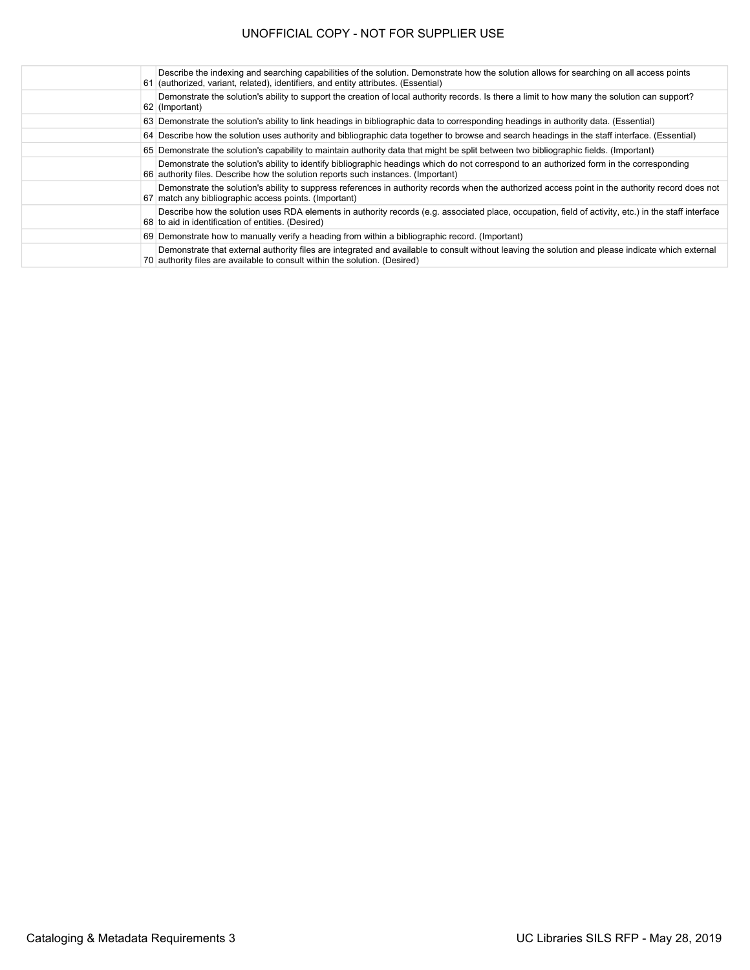| Describe the indexing and searching capabilities of the solution. Demonstrate how the solution allows for searching on all access points<br>61 (authorized, variant, related), identifiers, and entity attributes. (Essential)  |
|---------------------------------------------------------------------------------------------------------------------------------------------------------------------------------------------------------------------------------|
| Demonstrate the solution's ability to support the creation of local authority records. Is there a limit to how many the solution can support?<br>62 (Important)                                                                 |
| 63 Demonstrate the solution's ability to link headings in bibliographic data to corresponding headings in authority data. (Essential)                                                                                           |
| 64 Describe how the solution uses authority and bibliographic data together to browse and search headings in the staff interface. (Essential)                                                                                   |
| 65 Demonstrate the solution's capability to maintain authority data that might be split between two bibliographic fields. (Important)                                                                                           |
| Demonstrate the solution's ability to identify bibliographic headings which do not correspond to an authorized form in the corresponding<br>66 authority files. Describe how the solution reports such instances. (Important)   |
| Demonstrate the solution's ability to suppress references in authority records when the authorized access point in the authority record does not<br>67 match any bibliographic access points. (Important)                       |
| Describe how the solution uses RDA elements in authority records (e.g. associated place, occupation, field of activity, etc.) in the staff interface<br>68 to aid in identification of entities. (Desired)                      |
| 69 Demonstrate how to manually verify a heading from within a bibliographic record. (Important)                                                                                                                                 |
| Demonstrate that external authority files are integrated and available to consult without leaving the solution and please indicate which external<br>70 authority files are available to consult within the solution. (Desired) |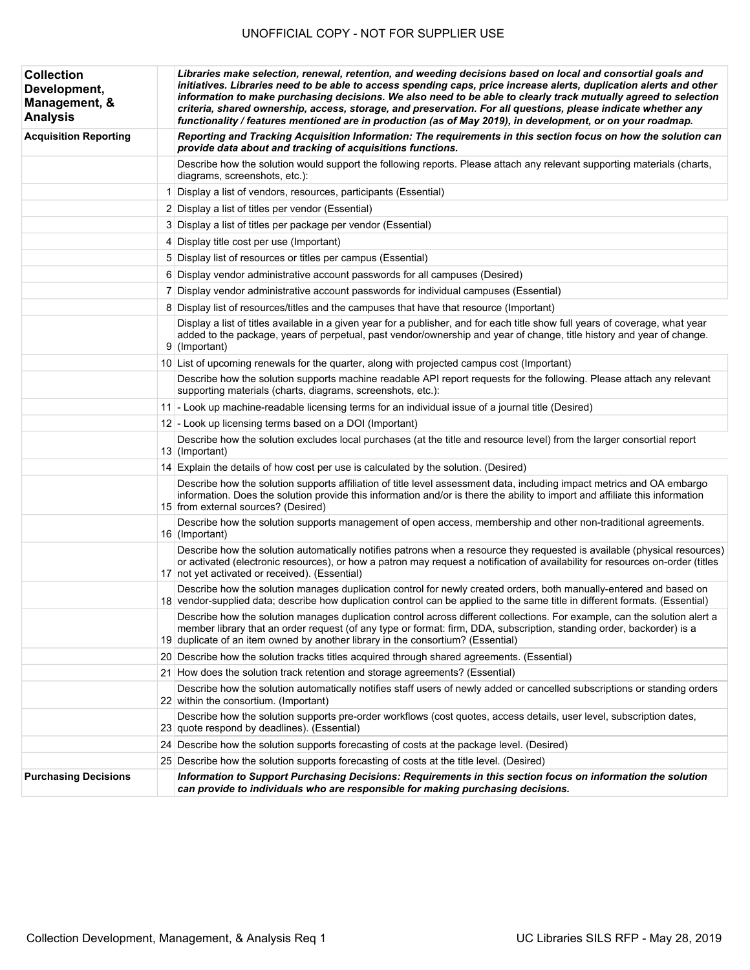| <b>Collection</b><br>Development,<br>Management, &<br><b>Analysis</b> | Libraries make selection, renewal, retention, and weeding decisions based on local and consortial goals and<br>initiatives. Libraries need to be able to access spending caps, price increase alerts, duplication alerts and other<br>information to make purchasing decisions. We also need to be able to clearly track mutually agreed to selection<br>criteria, shared ownership, access, storage, and preservation. For all questions, please indicate whether any<br>functionality / features mentioned are in production (as of May 2019), in development, or on your roadmap. |
|-----------------------------------------------------------------------|--------------------------------------------------------------------------------------------------------------------------------------------------------------------------------------------------------------------------------------------------------------------------------------------------------------------------------------------------------------------------------------------------------------------------------------------------------------------------------------------------------------------------------------------------------------------------------------|
| <b>Acquisition Reporting</b>                                          | Reporting and Tracking Acquisition Information: The requirements in this section focus on how the solution can<br>provide data about and tracking of acquisitions functions.                                                                                                                                                                                                                                                                                                                                                                                                         |
|                                                                       | Describe how the solution would support the following reports. Please attach any relevant supporting materials (charts,<br>diagrams, screenshots, etc.):                                                                                                                                                                                                                                                                                                                                                                                                                             |
|                                                                       | 1 Display a list of vendors, resources, participants (Essential)                                                                                                                                                                                                                                                                                                                                                                                                                                                                                                                     |
|                                                                       | 2 Display a list of titles per vendor (Essential)                                                                                                                                                                                                                                                                                                                                                                                                                                                                                                                                    |
|                                                                       | 3 Display a list of titles per package per vendor (Essential)                                                                                                                                                                                                                                                                                                                                                                                                                                                                                                                        |
|                                                                       | 4 Display title cost per use (Important)                                                                                                                                                                                                                                                                                                                                                                                                                                                                                                                                             |
|                                                                       | 5 Display list of resources or titles per campus (Essential)                                                                                                                                                                                                                                                                                                                                                                                                                                                                                                                         |
|                                                                       | 6 Display vendor administrative account passwords for all campuses (Desired)                                                                                                                                                                                                                                                                                                                                                                                                                                                                                                         |
|                                                                       | 7 Display vendor administrative account passwords for individual campuses (Essential)                                                                                                                                                                                                                                                                                                                                                                                                                                                                                                |
|                                                                       | 8 Display list of resources/titles and the campuses that have that resource (Important)                                                                                                                                                                                                                                                                                                                                                                                                                                                                                              |
|                                                                       | Display a list of titles available in a given year for a publisher, and for each title show full years of coverage, what year<br>added to the package, years of perpetual, past vendor/ownership and year of change, title history and year of change.<br>9 (Important)                                                                                                                                                                                                                                                                                                              |
|                                                                       | 10 List of upcoming renewals for the quarter, along with projected campus cost (Important)                                                                                                                                                                                                                                                                                                                                                                                                                                                                                           |
|                                                                       | Describe how the solution supports machine readable API report requests for the following. Please attach any relevant<br>supporting materials (charts, diagrams, screenshots, etc.):                                                                                                                                                                                                                                                                                                                                                                                                 |
|                                                                       | 11 - Look up machine-readable licensing terms for an individual issue of a journal title (Desired)                                                                                                                                                                                                                                                                                                                                                                                                                                                                                   |
|                                                                       | 12 - Look up licensing terms based on a DOI (Important)                                                                                                                                                                                                                                                                                                                                                                                                                                                                                                                              |
|                                                                       | Describe how the solution excludes local purchases (at the title and resource level) from the larger consortial report<br>13 (Important)                                                                                                                                                                                                                                                                                                                                                                                                                                             |
|                                                                       | 14 Explain the details of how cost per use is calculated by the solution. (Desired)                                                                                                                                                                                                                                                                                                                                                                                                                                                                                                  |
|                                                                       | Describe how the solution supports affiliation of title level assessment data, including impact metrics and OA embargo<br>information. Does the solution provide this information and/or is there the ability to import and affiliate this information<br>15 from external sources? (Desired)                                                                                                                                                                                                                                                                                        |
|                                                                       | Describe how the solution supports management of open access, membership and other non-traditional agreements.<br>16 (Important)                                                                                                                                                                                                                                                                                                                                                                                                                                                     |
|                                                                       | Describe how the solution automatically notifies patrons when a resource they requested is available (physical resources)<br>or activated (electronic resources), or how a patron may request a notification of availability for resources on-order (titles<br>17 not yet activated or received). (Essential)                                                                                                                                                                                                                                                                        |
|                                                                       | Describe how the solution manages duplication control for newly created orders, both manually-entered and based on<br>18 vendor-supplied data; describe how duplication control can be applied to the same title in different formats. (Essential)                                                                                                                                                                                                                                                                                                                                   |
|                                                                       | Describe how the solution manages duplication control across different collections. For example, can the solution alert a<br>member library that an order request (of any type or format: firm, DDA, subscription, standing order, backorder) is a<br>19 duplicate of an item owned by another library in the consortium? (Essential)                                                                                                                                                                                                                                                |
|                                                                       | 20 Describe how the solution tracks titles acquired through shared agreements. (Essential)                                                                                                                                                                                                                                                                                                                                                                                                                                                                                           |
|                                                                       | 21 How does the solution track retention and storage agreements? (Essential)                                                                                                                                                                                                                                                                                                                                                                                                                                                                                                         |
|                                                                       | Describe how the solution automatically notifies staff users of newly added or cancelled subscriptions or standing orders<br>22 within the consortium. (Important)                                                                                                                                                                                                                                                                                                                                                                                                                   |
|                                                                       | Describe how the solution supports pre-order workflows (cost quotes, access details, user level, subscription dates,<br>23 quote respond by deadlines). (Essential)                                                                                                                                                                                                                                                                                                                                                                                                                  |
|                                                                       | 24 Describe how the solution supports forecasting of costs at the package level. (Desired)                                                                                                                                                                                                                                                                                                                                                                                                                                                                                           |
|                                                                       | 25 Describe how the solution supports forecasting of costs at the title level. (Desired)                                                                                                                                                                                                                                                                                                                                                                                                                                                                                             |
| <b>Purchasing Decisions</b>                                           | Information to Support Purchasing Decisions: Requirements in this section focus on information the solution<br>can provide to individuals who are responsible for making purchasing decisions.                                                                                                                                                                                                                                                                                                                                                                                       |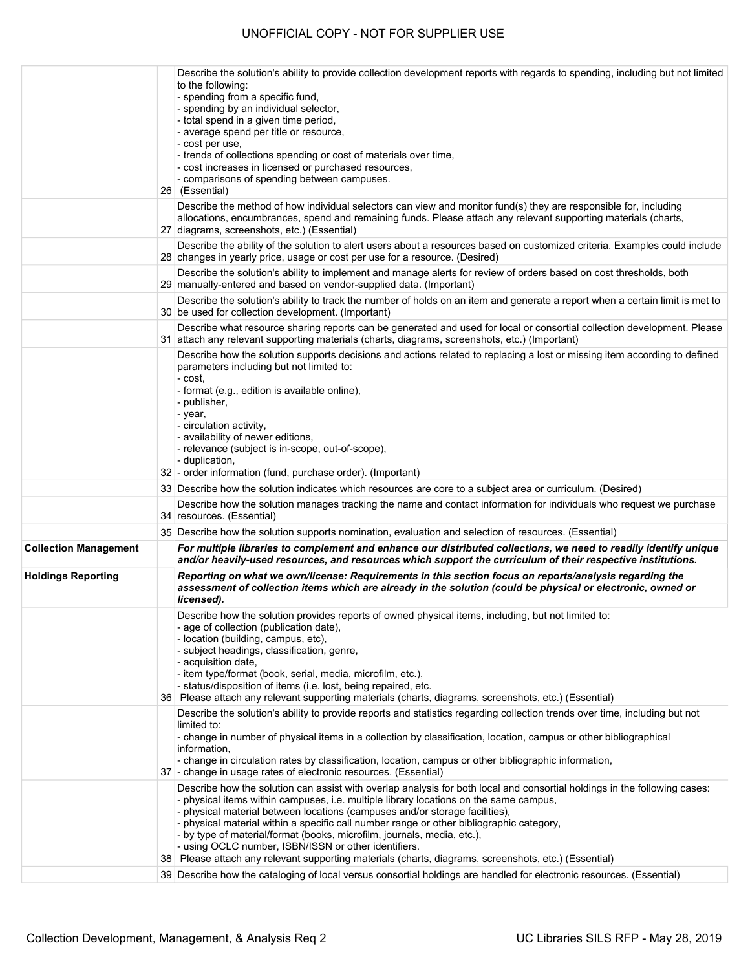|                              | Describe the solution's ability to provide collection development reports with regards to spending, including but not limited<br>to the following:<br>- spending from a specific fund,<br>- spending by an individual selector,<br>- total spend in a given time period,<br>- average spend per title or resource,<br>- cost per use,<br>- trends of collections spending or cost of materials over time,<br>- cost increases in licensed or purchased resources,<br>- comparisons of spending between campuses.<br>26 (Essential)<br>Describe the method of how individual selectors can view and monitor fund(s) they are responsible for, including |
|------------------------------|--------------------------------------------------------------------------------------------------------------------------------------------------------------------------------------------------------------------------------------------------------------------------------------------------------------------------------------------------------------------------------------------------------------------------------------------------------------------------------------------------------------------------------------------------------------------------------------------------------------------------------------------------------|
|                              | allocations, encumbrances, spend and remaining funds. Please attach any relevant supporting materials (charts,<br>27 diagrams, screenshots, etc.) (Essential)<br>Describe the ability of the solution to alert users about a resources based on customized criteria. Examples could include                                                                                                                                                                                                                                                                                                                                                            |
|                              | 28 changes in yearly price, usage or cost per use for a resource. (Desired)                                                                                                                                                                                                                                                                                                                                                                                                                                                                                                                                                                            |
|                              | Describe the solution's ability to implement and manage alerts for review of orders based on cost thresholds, both<br>29 manually-entered and based on vendor-supplied data. (Important)                                                                                                                                                                                                                                                                                                                                                                                                                                                               |
|                              | Describe the solution's ability to track the number of holds on an item and generate a report when a certain limit is met to<br>30 be used for collection development. (Important)                                                                                                                                                                                                                                                                                                                                                                                                                                                                     |
|                              | Describe what resource sharing reports can be generated and used for local or consortial collection development. Please<br>31 attach any relevant supporting materials (charts, diagrams, screenshots, etc.) (Important)                                                                                                                                                                                                                                                                                                                                                                                                                               |
|                              | Describe how the solution supports decisions and actions related to replacing a lost or missing item according to defined<br>parameters including but not limited to:<br>- cost.<br>- format (e.g., edition is available online),<br>- publisher,<br>- year,<br>- circulation activity,<br>- availability of newer editions,<br>- relevance (subject is in-scope, out-of-scope),<br>- duplication,<br>32 - order information (fund, purchase order). (Important)                                                                                                                                                                                       |
|                              | 33 Describe how the solution indicates which resources are core to a subject area or curriculum. (Desired)                                                                                                                                                                                                                                                                                                                                                                                                                                                                                                                                             |
|                              | Describe how the solution manages tracking the name and contact information for individuals who request we purchase<br>34 resources. (Essential)                                                                                                                                                                                                                                                                                                                                                                                                                                                                                                       |
|                              | 35 Describe how the solution supports nomination, evaluation and selection of resources. (Essential)                                                                                                                                                                                                                                                                                                                                                                                                                                                                                                                                                   |
| <b>Collection Management</b> | For multiple libraries to complement and enhance our distributed collections, we need to readily identify unique<br>and/or heavily-used resources, and resources which support the curriculum of their respective institutions.                                                                                                                                                                                                                                                                                                                                                                                                                        |
| <b>Holdings Reporting</b>    | Reporting on what we own/license: Requirements in this section focus on reports/analysis regarding the<br>assessment of collection items which are already in the solution (could be physical or electronic, owned or<br>licensed).                                                                                                                                                                                                                                                                                                                                                                                                                    |
|                              | Describe how the solution provides reports of owned physical items, including, but not limited to:<br>- age of collection (publication date),<br>- location (building, campus, etc),<br>- subject headings, classification, genre,<br>- acquisition date,<br>- item type/format (book, serial, media, microfilm, etc.),<br>- status/disposition of items (i.e. lost, being repaired, etc.<br>36 Please attach any relevant supporting materials (charts, diagrams, screenshots, etc.) (Essential)                                                                                                                                                      |
|                              | Describe the solution's ability to provide reports and statistics regarding collection trends over time, including but not<br>limited to:<br>- change in number of physical items in a collection by classification, location, campus or other bibliographical<br>information,<br>- change in circulation rates by classification, location, campus or other bibliographic information,<br>37 - change in usage rates of electronic resources. (Essential)                                                                                                                                                                                             |
|                              | Describe how the solution can assist with overlap analysis for both local and consortial holdings in the following cases:<br>- physical items within campuses, i.e. multiple library locations on the same campus,<br>- physical material between locations (campuses and/or storage facilities),<br>- physical material within a specific call number range or other bibliographic category,<br>- by type of material/format (books, microfilm, journals, media, etc.),<br>- using OCLC number, ISBN/ISSN or other identifiers.<br>38 Please attach any relevant supporting materials (charts, diagrams, screenshots, etc.) (Essential)               |
|                              | 39 Describe how the cataloging of local versus consortial holdings are handled for electronic resources. (Essential)                                                                                                                                                                                                                                                                                                                                                                                                                                                                                                                                   |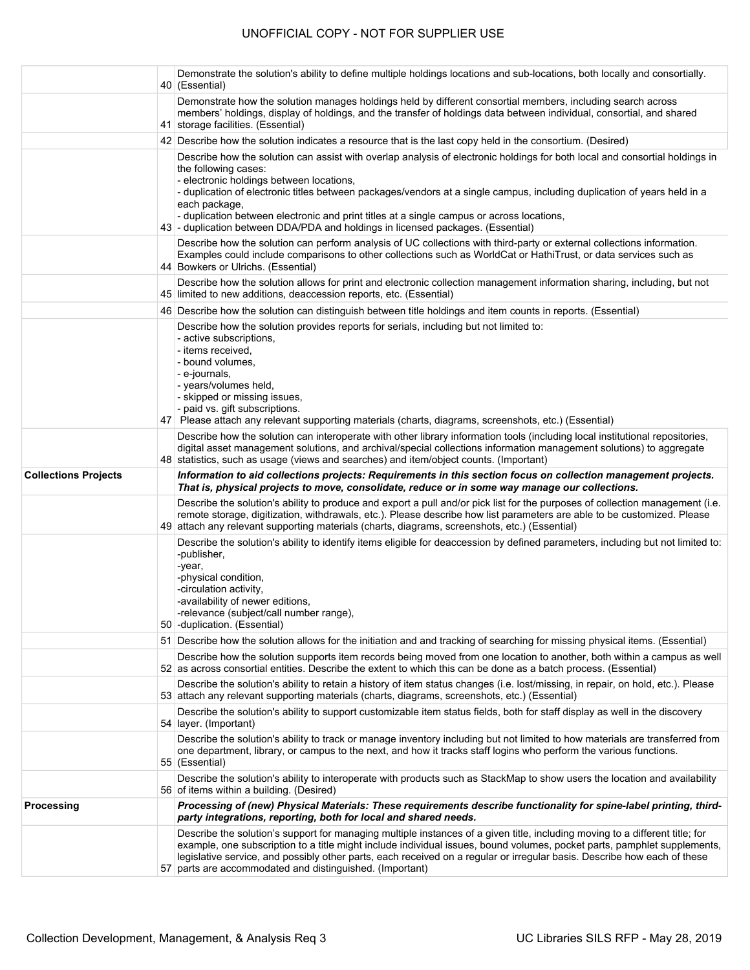|                             | Demonstrate the solution's ability to define multiple holdings locations and sub-locations, both locally and consortially.<br>40 (Essential)                                                                                                                                                                                                                                                                                                                                                                                 |
|-----------------------------|------------------------------------------------------------------------------------------------------------------------------------------------------------------------------------------------------------------------------------------------------------------------------------------------------------------------------------------------------------------------------------------------------------------------------------------------------------------------------------------------------------------------------|
|                             | Demonstrate how the solution manages holdings held by different consortial members, including search across<br>members' holdings, display of holdings, and the transfer of holdings data between individual, consortial, and shared<br>41 storage facilities. (Essential)                                                                                                                                                                                                                                                    |
|                             | 42 Describe how the solution indicates a resource that is the last copy held in the consortium. (Desired)                                                                                                                                                                                                                                                                                                                                                                                                                    |
|                             | Describe how the solution can assist with overlap analysis of electronic holdings for both local and consortial holdings in<br>the following cases:<br>- electronic holdings between locations,<br>- duplication of electronic titles between packages/vendors at a single campus, including duplication of years held in a<br>each package,<br>- duplication between electronic and print titles at a single campus or across locations,<br>43 - duplication between DDA/PDA and holdings in licensed packages. (Essential) |
|                             | Describe how the solution can perform analysis of UC collections with third-party or external collections information.<br>Examples could include comparisons to other collections such as WorldCat or HathiTrust, or data services such as<br>44 Bowkers or Ulrichs. (Essential)                                                                                                                                                                                                                                             |
|                             | Describe how the solution allows for print and electronic collection management information sharing, including, but not<br>45 limited to new additions, deaccession reports, etc. (Essential)                                                                                                                                                                                                                                                                                                                                |
|                             | 46 Describe how the solution can distinguish between title holdings and item counts in reports. (Essential)                                                                                                                                                                                                                                                                                                                                                                                                                  |
|                             | Describe how the solution provides reports for serials, including but not limited to:<br>- active subscriptions,<br>- items received,<br>- bound volumes,<br>- e-journals,<br>- years/volumes held,<br>- skipped or missing issues,<br>- paid vs. gift subscriptions.<br>47 Please attach any relevant supporting materials (charts, diagrams, screenshots, etc.) (Essential)                                                                                                                                                |
|                             | Describe how the solution can interoperate with other library information tools (including local institutional repositories,<br>digital asset management solutions, and archival/special collections information management solutions) to aggregate<br>48 statistics, such as usage (views and searches) and item/object counts. (Important)                                                                                                                                                                                 |
| <b>Collections Projects</b> | Information to aid collections projects: Requirements in this section focus on collection management projects.<br>That is, physical projects to move, consolidate, reduce or in some way manage our collections.                                                                                                                                                                                                                                                                                                             |
|                             | Describe the solution's ability to produce and export a pull and/or pick list for the purposes of collection management (i.e.<br>remote storage, digitization, withdrawals, etc.). Please describe how list parameters are able to be customized. Please<br>49 attach any relevant supporting materials (charts, diagrams, screenshots, etc.) (Essential)                                                                                                                                                                    |
|                             | Describe the solution's ability to identify items eligible for deaccession by defined parameters, including but not limited to:<br>-publisher,<br>-year,<br>-physical condition,<br>-circulation activity,<br>-availability of newer editions,<br>-relevance (subject/call number range),<br>50 - duplication. (Essential)                                                                                                                                                                                                   |
|                             | 51 Describe how the solution allows for the initiation and and tracking of searching for missing physical items. (Essential)                                                                                                                                                                                                                                                                                                                                                                                                 |
|                             | Describe how the solution supports item records being moved from one location to another, both within a campus as well<br>52 as across consortial entities. Describe the extent to which this can be done as a batch process. (Essential)                                                                                                                                                                                                                                                                                    |
|                             | Describe the solution's ability to retain a history of item status changes (i.e. lost/missing, in repair, on hold, etc.). Please<br>53 attach any relevant supporting materials (charts, diagrams, screenshots, etc.) (Essential)                                                                                                                                                                                                                                                                                            |
|                             | Describe the solution's ability to support customizable item status fields, both for staff display as well in the discovery<br>54 layer. (Important)                                                                                                                                                                                                                                                                                                                                                                         |
|                             | Describe the solution's ability to track or manage inventory including but not limited to how materials are transferred from<br>one department, library, or campus to the next, and how it tracks staff logins who perform the various functions.<br>55 (Essential)                                                                                                                                                                                                                                                          |
|                             | Describe the solution's ability to interoperate with products such as StackMap to show users the location and availability<br>56 of items within a building. (Desired)                                                                                                                                                                                                                                                                                                                                                       |
| Processing                  | Processing of (new) Physical Materials: These requirements describe functionality for spine-label printing, third-<br>party integrations, reporting, both for local and shared needs.                                                                                                                                                                                                                                                                                                                                        |
|                             | Describe the solution's support for managing multiple instances of a given title, including moving to a different title; for<br>example, one subscription to a title might include individual issues, bound volumes, pocket parts, pamphlet supplements,<br>legislative service, and possibly other parts, each received on a regular or irregular basis. Describe how each of these<br>57 parts are accommodated and distinguished. (Important)                                                                             |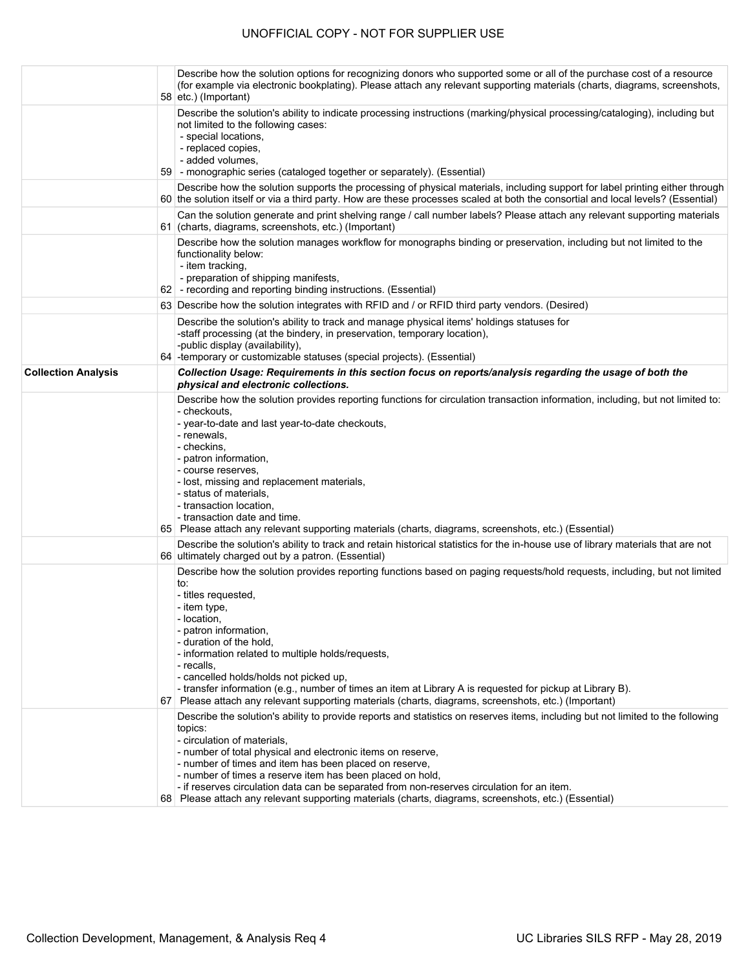|                            | Describe how the solution options for recognizing donors who supported some or all of the purchase cost of a resource<br>(for example via electronic bookplating). Please attach any relevant supporting materials (charts, diagrams, screenshots,<br>$58$ etc.) (Important)                                                                                                                                                                                                                                                                                                 |
|----------------------------|------------------------------------------------------------------------------------------------------------------------------------------------------------------------------------------------------------------------------------------------------------------------------------------------------------------------------------------------------------------------------------------------------------------------------------------------------------------------------------------------------------------------------------------------------------------------------|
|                            | Describe the solution's ability to indicate processing instructions (marking/physical processing/cataloging), including but<br>not limited to the following cases:<br>- special locations,<br>- replaced copies,<br>- added volumes,<br>59 - monographic series (cataloged together or separately). (Essential)                                                                                                                                                                                                                                                              |
|                            | Describe how the solution supports the processing of physical materials, including support for label printing either through<br>60 the solution itself or via a third party. How are these processes scaled at both the consortial and local levels? (Essential)                                                                                                                                                                                                                                                                                                             |
|                            | Can the solution generate and print shelving range / call number labels? Please attach any relevant supporting materials<br>61 (charts, diagrams, screenshots, etc.) (Important)                                                                                                                                                                                                                                                                                                                                                                                             |
|                            | Describe how the solution manages workflow for monographs binding or preservation, including but not limited to the<br>functionality below:<br>- item tracking,<br>- preparation of shipping manifests,<br>62 - recording and reporting binding instructions. (Essential)                                                                                                                                                                                                                                                                                                    |
|                            | 63 Describe how the solution integrates with RFID and / or RFID third party vendors. (Desired)                                                                                                                                                                                                                                                                                                                                                                                                                                                                               |
|                            | Describe the solution's ability to track and manage physical items' holdings statuses for<br>-staff processing (at the bindery, in preservation, temporary location),<br>-public display (availability),<br>64 - temporary or customizable statuses (special projects). (Essential)                                                                                                                                                                                                                                                                                          |
| <b>Collection Analysis</b> | Collection Usage: Requirements in this section focus on reports/analysis regarding the usage of both the<br>physical and electronic collections.                                                                                                                                                                                                                                                                                                                                                                                                                             |
|                            | Describe how the solution provides reporting functions for circulation transaction information, including, but not limited to:<br>- checkouts.<br>- year-to-date and last year-to-date checkouts,<br>- renewals,<br>- checkins.<br>- patron information,<br>- course reserves,<br>- lost, missing and replacement materials,<br>- status of materials,<br>- transaction location,<br>- transaction date and time.<br>65 Please attach any relevant supporting materials (charts, diagrams, screenshots, etc.) (Essential)                                                    |
|                            | Describe the solution's ability to track and retain historical statistics for the in-house use of library materials that are not<br>66 ultimately charged out by a patron. (Essential)                                                                                                                                                                                                                                                                                                                                                                                       |
|                            | Describe how the solution provides reporting functions based on paging requests/hold requests, including, but not limited<br>to:<br>- titles requested,<br>- item type,<br>- location,<br>- patron information,<br>- duration of the hold.<br>- information related to multiple holds/requests,<br>- recalls,<br>- cancelled holds/holds not picked up,<br>- transfer information (e.g., number of times an item at Library A is requested for pickup at Library B).<br>67 Please attach any relevant supporting materials (charts, diagrams, screenshots, etc.) (Important) |
|                            | Describe the solution's ability to provide reports and statistics on reserves items, including but not limited to the following<br>topics:<br>- circulation of materials,<br>- number of total physical and electronic items on reserve,<br>- number of times and item has been placed on reserve,<br>- number of times a reserve item has been placed on hold,<br>- if reserves circulation data can be separated from non-reserves circulation for an item.<br>68 Please attach any relevant supporting materials (charts, diagrams, screenshots, etc.) (Essential)        |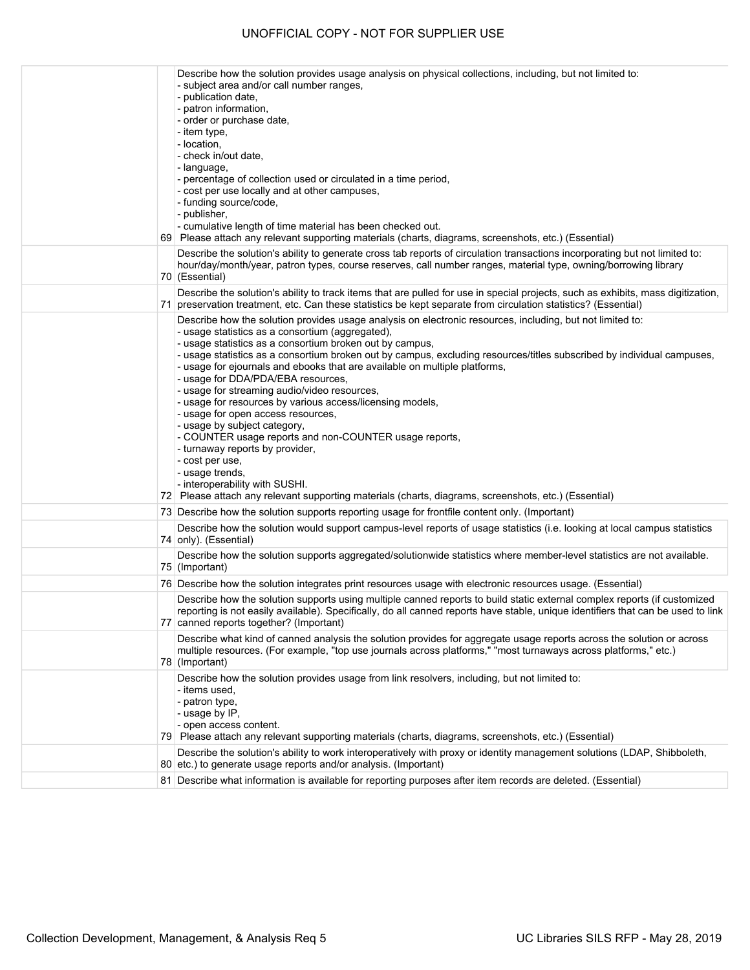|  | Describe how the solution provides usage analysis on physical collections, including, but not limited to:<br>- subject area and/or call number ranges,<br>- publication date,                                                                                                                                                                                                                                                                                                                                                                                                                                                                                                                                                                                                                                                   |
|--|---------------------------------------------------------------------------------------------------------------------------------------------------------------------------------------------------------------------------------------------------------------------------------------------------------------------------------------------------------------------------------------------------------------------------------------------------------------------------------------------------------------------------------------------------------------------------------------------------------------------------------------------------------------------------------------------------------------------------------------------------------------------------------------------------------------------------------|
|  | - patron information,<br>- order or purchase date,<br>- item type,<br>- location,<br>- check in/out date,<br>- language,                                                                                                                                                                                                                                                                                                                                                                                                                                                                                                                                                                                                                                                                                                        |
|  | - percentage of collection used or circulated in a time period,<br>- cost per use locally and at other campuses,<br>- funding source/code,<br>- publisher,<br>- cumulative length of time material has been checked out.                                                                                                                                                                                                                                                                                                                                                                                                                                                                                                                                                                                                        |
|  | 69 Please attach any relevant supporting materials (charts, diagrams, screenshots, etc.) (Essential)<br>Describe the solution's ability to generate cross tab reports of circulation transactions incorporating but not limited to:<br>hour/day/month/year, patron types, course reserves, call number ranges, material type, owning/borrowing library<br>70 (Essential)                                                                                                                                                                                                                                                                                                                                                                                                                                                        |
|  | Describe the solution's ability to track items that are pulled for use in special projects, such as exhibits, mass digitization,<br>71 preservation treatment, etc. Can these statistics be kept separate from circulation statistics? (Essential)                                                                                                                                                                                                                                                                                                                                                                                                                                                                                                                                                                              |
|  | Describe how the solution provides usage analysis on electronic resources, including, but not limited to:<br>- usage statistics as a consortium (aggregated),<br>- usage statistics as a consortium broken out by campus,<br>- usage statistics as a consortium broken out by campus, excluding resources/titles subscribed by individual campuses,<br>- usage for ejournals and ebooks that are available on multiple platforms,<br>- usage for DDA/PDA/EBA resources,<br>- usage for streaming audio/video resources,<br>- usage for resources by various access/licensing models,<br>- usage for open access resources,<br>- usage by subject category,<br>- COUNTER usage reports and non-COUNTER usage reports,<br>- turnaway reports by provider,<br>- cost per use,<br>- usage trends,<br>- interoperability with SUSHI. |
|  | 72 Please attach any relevant supporting materials (charts, diagrams, screenshots, etc.) (Essential)                                                                                                                                                                                                                                                                                                                                                                                                                                                                                                                                                                                                                                                                                                                            |
|  | 73 Describe how the solution supports reporting usage for frontfile content only. (Important)                                                                                                                                                                                                                                                                                                                                                                                                                                                                                                                                                                                                                                                                                                                                   |
|  | Describe how the solution would support campus-level reports of usage statistics (i.e. looking at local campus statistics<br>74   only). (Essential)                                                                                                                                                                                                                                                                                                                                                                                                                                                                                                                                                                                                                                                                            |
|  | Describe how the solution supports aggregated/solutionwide statistics where member-level statistics are not available.<br>75 (Important)                                                                                                                                                                                                                                                                                                                                                                                                                                                                                                                                                                                                                                                                                        |
|  | 76 Describe how the solution integrates print resources usage with electronic resources usage. (Essential)                                                                                                                                                                                                                                                                                                                                                                                                                                                                                                                                                                                                                                                                                                                      |
|  | Describe how the solution supports using multiple canned reports to build static external complex reports (if customized<br>reporting is not easily available). Specifically, do all canned reports have stable, unique identifiers that can be used to link<br>77 canned reports together? (Important)                                                                                                                                                                                                                                                                                                                                                                                                                                                                                                                         |
|  | Describe what kind of canned analysis the solution provides for aggregate usage reports across the solution or across<br>multiple resources. (For example, "top use journals across platforms," "most turnaways across platforms," etc.)<br>78 (Important)                                                                                                                                                                                                                                                                                                                                                                                                                                                                                                                                                                      |
|  | Describe how the solution provides usage from link resolvers, including, but not limited to:<br>- items used.<br>- patron type,<br>- usage by IP,<br>- open access content.<br>79 Please attach any relevant supporting materials (charts, diagrams, screenshots, etc.) (Essential)                                                                                                                                                                                                                                                                                                                                                                                                                                                                                                                                             |
|  | Describe the solution's ability to work interoperatively with proxy or identity management solutions (LDAP, Shibboleth,<br>80 etc.) to generate usage reports and/or analysis. (Important)                                                                                                                                                                                                                                                                                                                                                                                                                                                                                                                                                                                                                                      |
|  | 81 Describe what information is available for reporting purposes after item records are deleted. (Essential)                                                                                                                                                                                                                                                                                                                                                                                                                                                                                                                                                                                                                                                                                                                    |
|  |                                                                                                                                                                                                                                                                                                                                                                                                                                                                                                                                                                                                                                                                                                                                                                                                                                 |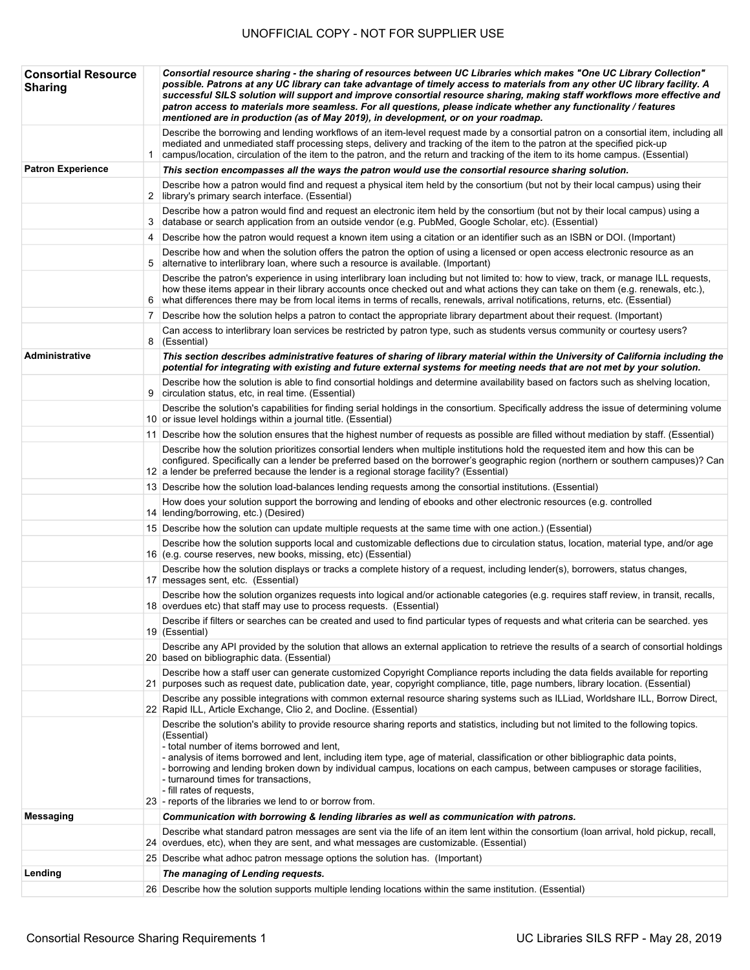| <b>Consortial Resource</b><br><b>Sharing</b> |   | Consortial resource sharing - the sharing of resources between UC Libraries which makes "One UC Library Collection"<br>possible. Patrons at any UC library can take advantage of timely access to materials from any other UC library facility. A<br>successful SILS solution will support and improve consortial resource sharing, making staff workflows more effective and<br>patron access to materials more seamless. For all questions, please indicate whether any functionality / features<br>mentioned are in production (as of May 2019), in development, or on your roadmap.                |
|----------------------------------------------|---|--------------------------------------------------------------------------------------------------------------------------------------------------------------------------------------------------------------------------------------------------------------------------------------------------------------------------------------------------------------------------------------------------------------------------------------------------------------------------------------------------------------------------------------------------------------------------------------------------------|
|                                              |   | Describe the borrowing and lending workflows of an item-level request made by a consortial patron on a consortial item, including all<br>mediated and unmediated staff processing steps, delivery and tracking of the item to the patron at the specified pick-up<br>campus/location, circulation of the item to the patron, and the return and tracking of the item to its home campus. (Essential)                                                                                                                                                                                                   |
| <b>Patron Experience</b>                     |   | This section encompasses all the ways the patron would use the consortial resource sharing solution.                                                                                                                                                                                                                                                                                                                                                                                                                                                                                                   |
|                                              |   | Describe how a patron would find and request a physical item held by the consortium (but not by their local campus) using their<br>2 library's primary search interface. (Essential)                                                                                                                                                                                                                                                                                                                                                                                                                   |
|                                              |   | Describe how a patron would find and request an electronic item held by the consortium (but not by their local campus) using a<br>3 database or search application from an outside vendor (e.g. PubMed, Google Scholar, etc). (Essential)                                                                                                                                                                                                                                                                                                                                                              |
|                                              | 4 | Describe how the patron would request a known item using a citation or an identifier such as an ISBN or DOI. (Important)                                                                                                                                                                                                                                                                                                                                                                                                                                                                               |
|                                              | 5 | Describe how and when the solution offers the patron the option of using a licensed or open access electronic resource as an<br>alternative to interlibrary loan, where such a resource is available. (Important)                                                                                                                                                                                                                                                                                                                                                                                      |
|                                              | 6 | Describe the patron's experience in using interlibrary loan including but not limited to: how to view, track, or manage ILL requests,<br>how these items appear in their library accounts once checked out and what actions they can take on them (e.g. renewals, etc.),<br>what differences there may be from local items in terms of recalls, renewals, arrival notifications, returns, etc. (Essential)                                                                                                                                                                                             |
|                                              | 7 | Describe how the solution helps a patron to contact the appropriate library department about their request. (Important)                                                                                                                                                                                                                                                                                                                                                                                                                                                                                |
|                                              |   | Can access to interlibrary loan services be restricted by patron type, such as students versus community or courtesy users?<br>8 (Essential)                                                                                                                                                                                                                                                                                                                                                                                                                                                           |
| Administrative                               |   | This section describes administrative features of sharing of library material within the University of California including the<br>potential for integrating with existing and future external systems for meeting needs that are not met by your solution.                                                                                                                                                                                                                                                                                                                                            |
|                                              | 9 | Describe how the solution is able to find consortial holdings and determine availability based on factors such as shelving location,<br>circulation status, etc, in real time. (Essential)                                                                                                                                                                                                                                                                                                                                                                                                             |
|                                              |   | Describe the solution's capabilities for finding serial holdings in the consortium. Specifically address the issue of determining volume<br>10 or issue level holdings within a journal title. (Essential)                                                                                                                                                                                                                                                                                                                                                                                             |
|                                              |   | 11 Describe how the solution ensures that the highest number of requests as possible are filled without mediation by staff. (Essential)                                                                                                                                                                                                                                                                                                                                                                                                                                                                |
|                                              |   | Describe how the solution prioritizes consortial lenders when multiple institutions hold the requested item and how this can be<br>configured. Specifically can a lender be preferred based on the borrower's geographic region (northern or southern campuses)? Can<br>12 a lender be preferred because the lender is a regional storage facility? (Essential)                                                                                                                                                                                                                                        |
|                                              |   | 13 Describe how the solution load-balances lending requests among the consortial institutions. (Essential)                                                                                                                                                                                                                                                                                                                                                                                                                                                                                             |
|                                              |   | How does your solution support the borrowing and lending of ebooks and other electronic resources (e.g. controlled<br>14 lending/borrowing, etc.) (Desired)                                                                                                                                                                                                                                                                                                                                                                                                                                            |
|                                              |   | 15 Describe how the solution can update multiple requests at the same time with one action.) (Essential)                                                                                                                                                                                                                                                                                                                                                                                                                                                                                               |
|                                              |   | Describe how the solution supports local and customizable deflections due to circulation status, location, material type, and/or age<br>16 (e.g. course reserves, new books, missing, etc) (Essential)                                                                                                                                                                                                                                                                                                                                                                                                 |
|                                              |   | Describe how the solution displays or tracks a complete history of a request, including lender(s), borrowers, status changes,<br>17 messages sent, etc. (Essential)                                                                                                                                                                                                                                                                                                                                                                                                                                    |
|                                              |   | Describe how the solution organizes requests into logical and/or actionable categories (e.g. requires staff review, in transit, recalls,<br>18 overdues etc) that staff may use to process requests. (Essential)                                                                                                                                                                                                                                                                                                                                                                                       |
|                                              |   | Describe if filters or searches can be created and used to find particular types of requests and what criteria can be searched. yes<br>19 (Essential)                                                                                                                                                                                                                                                                                                                                                                                                                                                  |
|                                              |   | Describe any API provided by the solution that allows an external application to retrieve the results of a search of consortial holdings<br>20 based on bibliographic data. (Essential)                                                                                                                                                                                                                                                                                                                                                                                                                |
|                                              |   | Describe how a staff user can generate customized Copyright Compliance reports including the data fields available for reporting<br>21 purposes such as request date, publication date, year, copyright compliance, title, page numbers, library location. (Essential)                                                                                                                                                                                                                                                                                                                                 |
|                                              |   | Describe any possible integrations with common external resource sharing systems such as ILLiad, Worldshare ILL, Borrow Direct,<br>22 Rapid ILL, Article Exchange, Clio 2, and Docline. (Essential)                                                                                                                                                                                                                                                                                                                                                                                                    |
|                                              |   | Describe the solution's ability to provide resource sharing reports and statistics, including but not limited to the following topics.<br>(Essential)<br>- total number of items borrowed and lent,<br>- analysis of items borrowed and lent, including item type, age of material, classification or other bibliographic data points,<br>- borrowing and lending broken down by individual campus, locations on each campus, between campuses or storage facilities,<br>- turnaround times for transactions,<br>- fill rates of requests,<br>23 - reports of the libraries we lend to or borrow from. |
| <b>Messaging</b>                             |   | Communication with borrowing & lending libraries as well as communication with patrons.                                                                                                                                                                                                                                                                                                                                                                                                                                                                                                                |
|                                              |   | Describe what standard patron messages are sent via the life of an item lent within the consortium (loan arrival, hold pickup, recall,<br>24 overdues, etc), when they are sent, and what messages are customizable. (Essential)                                                                                                                                                                                                                                                                                                                                                                       |
|                                              |   | 25 Describe what adhoc patron message options the solution has. (Important)                                                                                                                                                                                                                                                                                                                                                                                                                                                                                                                            |
| Lending                                      |   | The managing of Lending requests.                                                                                                                                                                                                                                                                                                                                                                                                                                                                                                                                                                      |
|                                              |   | 26 Describe how the solution supports multiple lending locations within the same institution. (Essential)                                                                                                                                                                                                                                                                                                                                                                                                                                                                                              |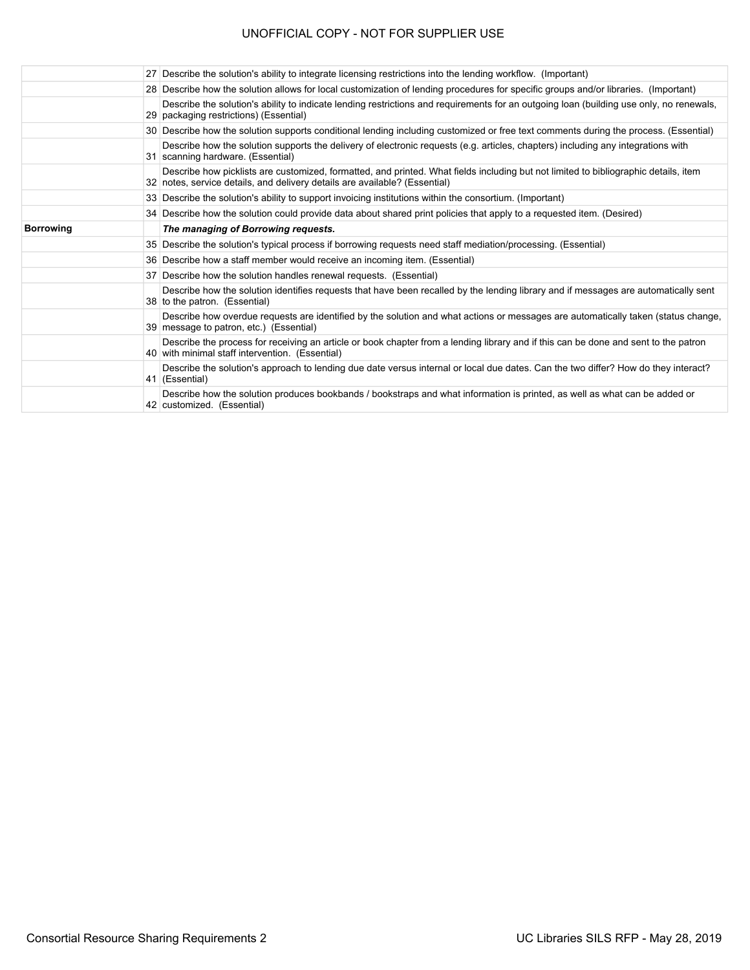| 27 Describe the solution's ability to integrate licensing restrictions into the lending workflow. (Important)                                                                                                     |
|-------------------------------------------------------------------------------------------------------------------------------------------------------------------------------------------------------------------|
| 28 Describe how the solution allows for local customization of lending procedures for specific groups and/or libraries. (Important)                                                                               |
| Describe the solution's ability to indicate lending restrictions and requirements for an outgoing loan (building use only, no renewals,<br>29 packaging restrictions) (Essential)                                 |
| 30 Describe how the solution supports conditional lending including customized or free text comments during the process. (Essential)                                                                              |
| Describe how the solution supports the delivery of electronic requests (e.g. articles, chapters) including any integrations with<br>31 scanning hardware. (Essential)                                             |
| Describe how picklists are customized, formatted, and printed. What fields including but not limited to bibliographic details, item<br>32 notes, service details, and delivery details are available? (Essential) |
| 33 Describe the solution's ability to support invoicing institutions within the consortium. (Important)                                                                                                           |
| 34 Describe how the solution could provide data about shared print policies that apply to a requested item. (Desired)                                                                                             |
| The managing of Borrowing requests.                                                                                                                                                                               |
| 35 Describe the solution's typical process if borrowing requests need staff mediation/processing. (Essential)                                                                                                     |
| 36 Describe how a staff member would receive an incoming item. (Essential)                                                                                                                                        |
| 37 Describe how the solution handles renewal requests. (Essential)                                                                                                                                                |
| Describe how the solution identifies requests that have been recalled by the lending library and if messages are automatically sent<br>38 to the patron. (Essential)                                              |
| Describe how overdue requests are identified by the solution and what actions or messages are automatically taken (status change,<br>39 message to patron, etc.) (Essential)                                      |
| Describe the process for receiving an article or book chapter from a lending library and if this can be done and sent to the patron<br>40 with minimal staff intervention. (Essential)                            |
| Describe the solution's approach to lending due date versus internal or local due dates. Can the two differ? How do they interact?<br>41 (Essential)                                                              |
| Describe how the solution produces bookbands / bookstraps and what information is printed, as well as what can be added or<br>42 customized. (Essential)                                                          |
|                                                                                                                                                                                                                   |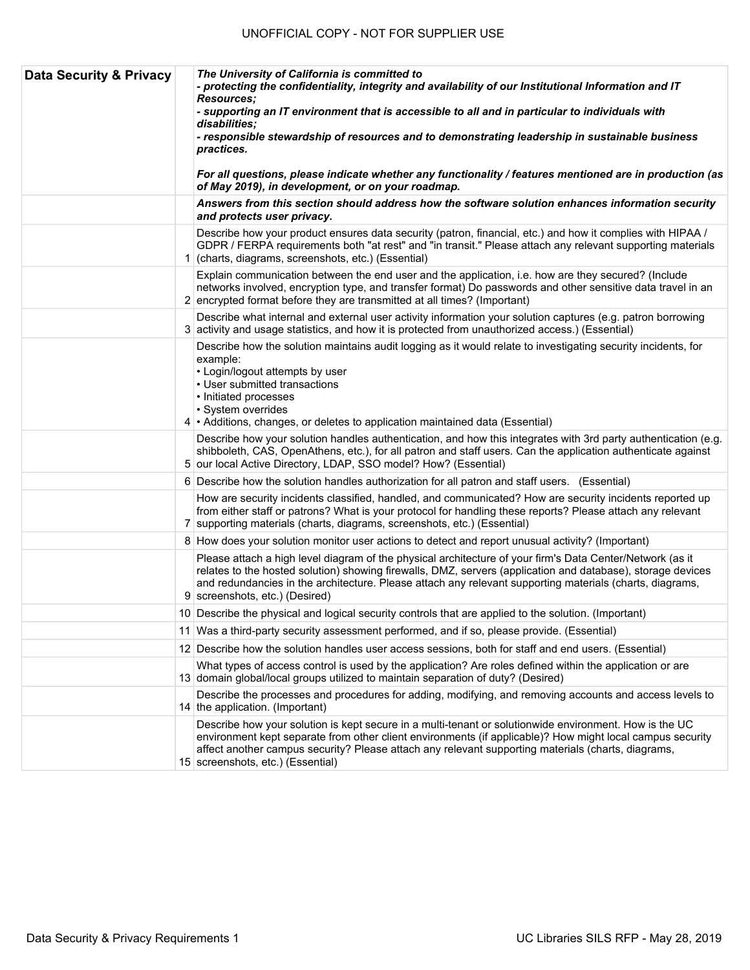| <b>Data Security &amp; Privacy</b> | The University of California is committed to<br>- protecting the confidentiality, integrity and availability of our Institutional Information and IT<br><b>Resources:</b><br>- supporting an IT environment that is accessible to all and in particular to individuals with<br>disabilities:<br>- responsible stewardship of resources and to demonstrating leadership in sustainable business<br>practices.<br>For all questions, please indicate whether any functionality / features mentioned are in production (as<br>of May 2019), in development, or on your roadmap. |
|------------------------------------|------------------------------------------------------------------------------------------------------------------------------------------------------------------------------------------------------------------------------------------------------------------------------------------------------------------------------------------------------------------------------------------------------------------------------------------------------------------------------------------------------------------------------------------------------------------------------|
|                                    | Answers from this section should address how the software solution enhances information security<br>and protects user privacy.                                                                                                                                                                                                                                                                                                                                                                                                                                               |
|                                    | Describe how your product ensures data security (patron, financial, etc.) and how it complies with HIPAA /<br>GDPR / FERPA requirements both "at rest" and "in transit." Please attach any relevant supporting materials<br>1 (charts, diagrams, screenshots, etc.) (Essential)                                                                                                                                                                                                                                                                                              |
|                                    | Explain communication between the end user and the application, i.e. how are they secured? (Include<br>networks involved, encryption type, and transfer format) Do passwords and other sensitive data travel in an<br>2 encrypted format before they are transmitted at all times? (Important)                                                                                                                                                                                                                                                                               |
|                                    | Describe what internal and external user activity information your solution captures (e.g. patron borrowing<br>3 activity and usage statistics, and how it is protected from unauthorized access.) (Essential)                                                                                                                                                                                                                                                                                                                                                               |
|                                    | Describe how the solution maintains audit logging as it would relate to investigating security incidents, for<br>example:<br>• Login/logout attempts by user<br>• User submitted transactions<br>• Initiated processes<br>· System overrides<br>4 • Additions, changes, or deletes to application maintained data (Essential)                                                                                                                                                                                                                                                |
|                                    | Describe how your solution handles authentication, and how this integrates with 3rd party authentication (e.g.<br>shibboleth, CAS, OpenAthens, etc.), for all patron and staff users. Can the application authenticate against<br>5 our local Active Directory, LDAP, SSO model? How? (Essential)                                                                                                                                                                                                                                                                            |
|                                    | 6 Describe how the solution handles authorization for all patron and staff users. (Essential)                                                                                                                                                                                                                                                                                                                                                                                                                                                                                |
|                                    | How are security incidents classified, handled, and communicated? How are security incidents reported up<br>from either staff or patrons? What is your protocol for handling these reports? Please attach any relevant<br>7 supporting materials (charts, diagrams, screenshots, etc.) (Essential)                                                                                                                                                                                                                                                                           |
|                                    | 8 How does your solution monitor user actions to detect and report unusual activity? (Important)                                                                                                                                                                                                                                                                                                                                                                                                                                                                             |
|                                    | Please attach a high level diagram of the physical architecture of your firm's Data Center/Network (as it<br>relates to the hosted solution) showing firewalls, DMZ, servers (application and database), storage devices<br>and redundancies in the architecture. Please attach any relevant supporting materials (charts, diagrams,<br>9 screenshots, etc.) (Desired)                                                                                                                                                                                                       |
|                                    | 10 Describe the physical and logical security controls that are applied to the solution. (Important)                                                                                                                                                                                                                                                                                                                                                                                                                                                                         |
|                                    | 11 Was a third-party security assessment performed, and if so, please provide. (Essential)                                                                                                                                                                                                                                                                                                                                                                                                                                                                                   |
|                                    | 12 Describe how the solution handles user access sessions, both for staff and end users. (Essential)                                                                                                                                                                                                                                                                                                                                                                                                                                                                         |
|                                    | What types of access control is used by the application? Are roles defined within the application or are<br>13 domain global/local groups utilized to maintain separation of duty? (Desired)                                                                                                                                                                                                                                                                                                                                                                                 |
|                                    | Describe the processes and procedures for adding, modifying, and removing accounts and access levels to<br>14 the application. (Important)                                                                                                                                                                                                                                                                                                                                                                                                                                   |
|                                    | Describe how your solution is kept secure in a multi-tenant or solutionwide environment. How is the UC<br>environment kept separate from other client environments (if applicable)? How might local campus security<br>affect another campus security? Please attach any relevant supporting materials (charts, diagrams,<br>15 screenshots, etc.) (Essential)                                                                                                                                                                                                               |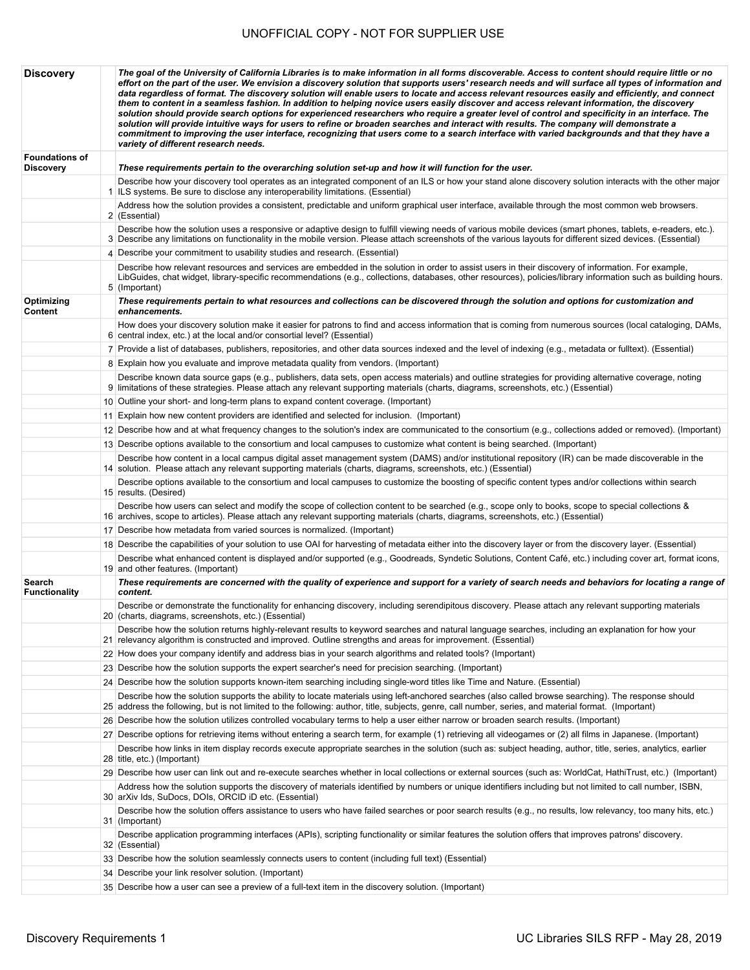| <b>Discovery</b>                   | The goal of the University of California Libraries is to make information in all forms discoverable. Access to content should require little or no<br>effort on the part of the user. We envision a discovery solution that supports users' research needs and will surface all types of information and<br>data regardless of format. The discovery solution will enable users to locate and access relevant resources easily and efficiently, and connect<br>them to content in a seamless fashion. In addition to helping novice users easily discover and access relevant information, the discovery<br>solution should provide search options for experienced researchers who require a greater level of control and specificity in an interface. The<br>solution will provide intuitive ways for users to refine or broaden searches and interact with results. The company will demonstrate a<br>commitment to improving the user interface, recognizing that users come to a search interface with varied backgrounds and that they have a<br>variety of different research needs. |
|------------------------------------|--------------------------------------------------------------------------------------------------------------------------------------------------------------------------------------------------------------------------------------------------------------------------------------------------------------------------------------------------------------------------------------------------------------------------------------------------------------------------------------------------------------------------------------------------------------------------------------------------------------------------------------------------------------------------------------------------------------------------------------------------------------------------------------------------------------------------------------------------------------------------------------------------------------------------------------------------------------------------------------------------------------------------------------------------------------------------------------------|
| <b>Foundations of</b><br>Discovery | These requirements pertain to the overarching solution set-up and how it will function for the user.                                                                                                                                                                                                                                                                                                                                                                                                                                                                                                                                                                                                                                                                                                                                                                                                                                                                                                                                                                                       |
|                                    | Describe how your discovery tool operates as an integrated component of an ILS or how your stand alone discovery solution interacts with the other major<br>1 ILS systems. Be sure to disclose any interoperability limitations. (Essential)                                                                                                                                                                                                                                                                                                                                                                                                                                                                                                                                                                                                                                                                                                                                                                                                                                               |
|                                    | Address how the solution provides a consistent, predictable and uniform graphical user interface, available through the most common web browsers.                                                                                                                                                                                                                                                                                                                                                                                                                                                                                                                                                                                                                                                                                                                                                                                                                                                                                                                                          |
|                                    | 2 (Essential)<br>Describe how the solution uses a responsive or adaptive design to fulfill viewing needs of various mobile devices (smart phones, tablets, e-readers, etc.).                                                                                                                                                                                                                                                                                                                                                                                                                                                                                                                                                                                                                                                                                                                                                                                                                                                                                                               |
|                                    | 3 Describe any limitations on functionality in the mobile version. Please attach screenshots of the various layouts for different sized devices. (Essential)<br>4 Describe your commitment to usability studies and research. (Essential)                                                                                                                                                                                                                                                                                                                                                                                                                                                                                                                                                                                                                                                                                                                                                                                                                                                  |
|                                    | Describe how relevant resources and services are embedded in the solution in order to assist users in their discovery of information. For example,                                                                                                                                                                                                                                                                                                                                                                                                                                                                                                                                                                                                                                                                                                                                                                                                                                                                                                                                         |
|                                    | LibGuides, chat widget, library-specific recommendations (e.g., collections, databases, other resources), policies/library information such as building hours.<br>5 (Important)                                                                                                                                                                                                                                                                                                                                                                                                                                                                                                                                                                                                                                                                                                                                                                                                                                                                                                            |
| Optimizing<br>Content              | These requirements pertain to what resources and collections can be discovered through the solution and options for customization and<br>enhancements.                                                                                                                                                                                                                                                                                                                                                                                                                                                                                                                                                                                                                                                                                                                                                                                                                                                                                                                                     |
|                                    | How does your discovery solution make it easier for patrons to find and access information that is coming from numerous sources (local cataloging, DAMs,<br>6 central index, etc.) at the local and/or consortial level? (Essential)                                                                                                                                                                                                                                                                                                                                                                                                                                                                                                                                                                                                                                                                                                                                                                                                                                                       |
|                                    | 7 Provide a list of databases, publishers, repositories, and other data sources indexed and the level of indexing (e.g., metadata or fulltext). (Essential)                                                                                                                                                                                                                                                                                                                                                                                                                                                                                                                                                                                                                                                                                                                                                                                                                                                                                                                                |
|                                    | 8 Explain how you evaluate and improve metadata quality from vendors. (Important)                                                                                                                                                                                                                                                                                                                                                                                                                                                                                                                                                                                                                                                                                                                                                                                                                                                                                                                                                                                                          |
|                                    | Describe known data source gaps (e.g., publishers, data sets, open access materials) and outline strategies for providing alternative coverage, noting<br>9 limitations of these strategies. Please attach any relevant supporting materials (charts, diagrams, screenshots, etc.) (Essential)                                                                                                                                                                                                                                                                                                                                                                                                                                                                                                                                                                                                                                                                                                                                                                                             |
|                                    | 10 Outline your short- and long-term plans to expand content coverage. (Important)                                                                                                                                                                                                                                                                                                                                                                                                                                                                                                                                                                                                                                                                                                                                                                                                                                                                                                                                                                                                         |
|                                    | 11 Explain how new content providers are identified and selected for inclusion. (Important)                                                                                                                                                                                                                                                                                                                                                                                                                                                                                                                                                                                                                                                                                                                                                                                                                                                                                                                                                                                                |
|                                    | 12 Describe how and at what frequency changes to the solution's index are communicated to the consortium (e.g., collections added or removed). (Important)                                                                                                                                                                                                                                                                                                                                                                                                                                                                                                                                                                                                                                                                                                                                                                                                                                                                                                                                 |
|                                    | 13 Describe options available to the consortium and local campuses to customize what content is being searched. (Important)                                                                                                                                                                                                                                                                                                                                                                                                                                                                                                                                                                                                                                                                                                                                                                                                                                                                                                                                                                |
|                                    | Describe how content in a local campus digital asset management system (DAMS) and/or institutional repository (IR) can be made discoverable in the<br>14 solution. Please attach any relevant supporting materials (charts, diagrams, screenshots, etc.) (Essential)                                                                                                                                                                                                                                                                                                                                                                                                                                                                                                                                                                                                                                                                                                                                                                                                                       |
|                                    | Describe options available to the consortium and local campuses to customize the boosting of specific content types and/or collections within search<br>15 results. (Desired)                                                                                                                                                                                                                                                                                                                                                                                                                                                                                                                                                                                                                                                                                                                                                                                                                                                                                                              |
|                                    | Describe how users can select and modify the scope of collection content to be searched (e.g., scope only to books, scope to special collections &<br>16 archives, scope to articles). Please attach any relevant supporting materials (charts, diagrams, screenshots, etc.) (Essential)                                                                                                                                                                                                                                                                                                                                                                                                                                                                                                                                                                                                                                                                                                                                                                                                   |
|                                    | 17 Describe how metadata from varied sources is normalized. (Important)                                                                                                                                                                                                                                                                                                                                                                                                                                                                                                                                                                                                                                                                                                                                                                                                                                                                                                                                                                                                                    |
|                                    | 18 Describe the capabilities of your solution to use OAI for harvesting of metadata either into the discovery layer or from the discovery layer. (Essential)                                                                                                                                                                                                                                                                                                                                                                                                                                                                                                                                                                                                                                                                                                                                                                                                                                                                                                                               |
|                                    | Describe what enhanced content is displayed and/or supported (e.g., Goodreads, Syndetic Solutions, Content Café, etc.) including cover art, format icons,<br>19 and other features. (Important)                                                                                                                                                                                                                                                                                                                                                                                                                                                                                                                                                                                                                                                                                                                                                                                                                                                                                            |
| Search<br><b>Functionality</b>     | These requirements are concerned with the quality of experience and support for a variety of search needs and behaviors for locating a range of<br>content.                                                                                                                                                                                                                                                                                                                                                                                                                                                                                                                                                                                                                                                                                                                                                                                                                                                                                                                                |
|                                    | Describe or demonstrate the functionality for enhancing discovery, including serendipitous discovery. Please attach any relevant supporting materials<br>20 (charts, diagrams, screenshots, etc.) (Essential)                                                                                                                                                                                                                                                                                                                                                                                                                                                                                                                                                                                                                                                                                                                                                                                                                                                                              |
|                                    | Describe how the solution returns highly-relevant results to keyword searches and natural language searches, including an explanation for how your<br>21 relevancy algorithm is constructed and improved. Outline strengths and areas for improvement. (Essential)                                                                                                                                                                                                                                                                                                                                                                                                                                                                                                                                                                                                                                                                                                                                                                                                                         |
|                                    | 22 How does your company identify and address bias in your search algorithms and related tools? (Important)                                                                                                                                                                                                                                                                                                                                                                                                                                                                                                                                                                                                                                                                                                                                                                                                                                                                                                                                                                                |
|                                    | 23 Describe how the solution supports the expert searcher's need for precision searching. (Important)                                                                                                                                                                                                                                                                                                                                                                                                                                                                                                                                                                                                                                                                                                                                                                                                                                                                                                                                                                                      |
|                                    | 24 Describe how the solution supports known-item searching including single-word titles like Time and Nature. (Essential)                                                                                                                                                                                                                                                                                                                                                                                                                                                                                                                                                                                                                                                                                                                                                                                                                                                                                                                                                                  |
|                                    | Describe how the solution supports the ability to locate materials using left-anchored searches (also called browse searching). The response should<br>25 address the following, but is not limited to the following: author, title, subjects, genre, call number, series, and material format. (Important)                                                                                                                                                                                                                                                                                                                                                                                                                                                                                                                                                                                                                                                                                                                                                                                |
|                                    | 26 Describe how the solution utilizes controlled vocabulary terms to help a user either narrow or broaden search results. (Important)                                                                                                                                                                                                                                                                                                                                                                                                                                                                                                                                                                                                                                                                                                                                                                                                                                                                                                                                                      |
|                                    | 27 Describe options for retrieving items without entering a search term, for example (1) retrieving all videogames or (2) all films in Japanese. (Important)                                                                                                                                                                                                                                                                                                                                                                                                                                                                                                                                                                                                                                                                                                                                                                                                                                                                                                                               |
|                                    | Describe how links in item display records execute appropriate searches in the solution (such as: subject heading, author, title, series, analytics, earlier<br>28 title, etc.) (Important)                                                                                                                                                                                                                                                                                                                                                                                                                                                                                                                                                                                                                                                                                                                                                                                                                                                                                                |
|                                    | 29 Describe how user can link out and re-execute searches whether in local collections or external sources (such as: WorldCat, HathiTrust, etc.) (Important)                                                                                                                                                                                                                                                                                                                                                                                                                                                                                                                                                                                                                                                                                                                                                                                                                                                                                                                               |
|                                    | Address how the solution supports the discovery of materials identified by numbers or unique identifiers including but not limited to call number, ISBN,<br>30 arXiv Ids, SuDocs, DOIs, ORCID iD etc. (Essential)                                                                                                                                                                                                                                                                                                                                                                                                                                                                                                                                                                                                                                                                                                                                                                                                                                                                          |
|                                    | Describe how the solution offers assistance to users who have failed searches or poor search results (e.g., no results, low relevancy, too many hits, etc.)<br>31 (Important)                                                                                                                                                                                                                                                                                                                                                                                                                                                                                                                                                                                                                                                                                                                                                                                                                                                                                                              |
|                                    | Describe application programming interfaces (APIs), scripting functionality or similar features the solution offers that improves patrons' discovery.<br>32 (Essential)                                                                                                                                                                                                                                                                                                                                                                                                                                                                                                                                                                                                                                                                                                                                                                                                                                                                                                                    |
|                                    | 33 Describe how the solution seamlessly connects users to content (including full text) (Essential)                                                                                                                                                                                                                                                                                                                                                                                                                                                                                                                                                                                                                                                                                                                                                                                                                                                                                                                                                                                        |
|                                    | 34 Describe your link resolver solution. (Important)                                                                                                                                                                                                                                                                                                                                                                                                                                                                                                                                                                                                                                                                                                                                                                                                                                                                                                                                                                                                                                       |
|                                    | 35 Describe how a user can see a preview of a full-text item in the discovery solution. (Important)                                                                                                                                                                                                                                                                                                                                                                                                                                                                                                                                                                                                                                                                                                                                                                                                                                                                                                                                                                                        |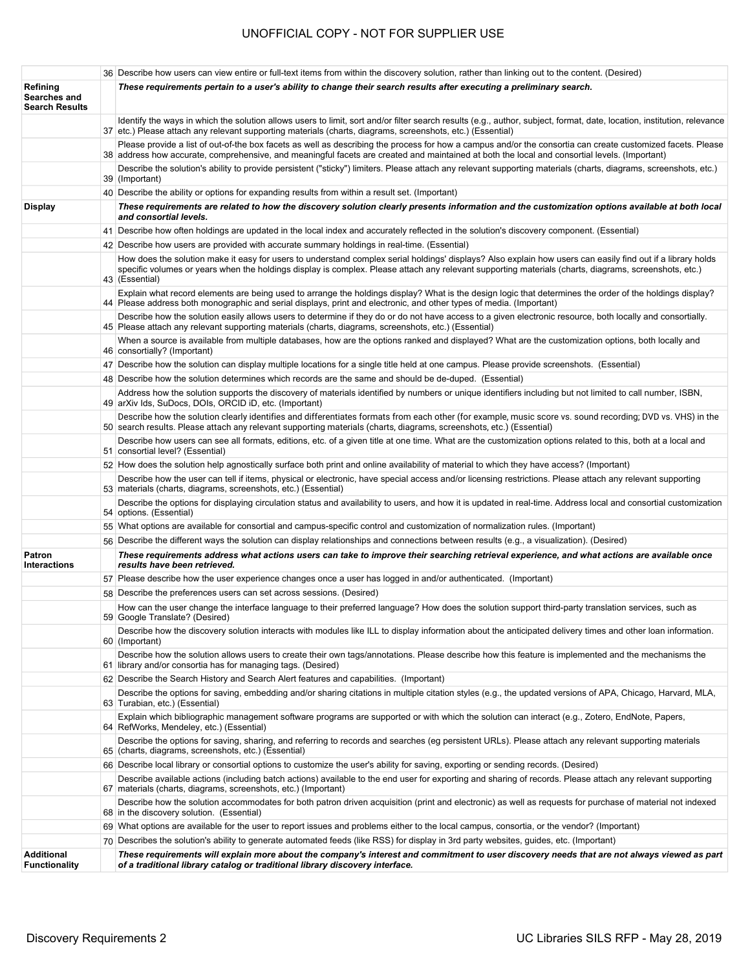|                                                   | 36 Describe how users can view entire or full-text items from within the discovery solution, rather than linking out to the content. (Desired)                                                                                                                                                                                         |
|---------------------------------------------------|----------------------------------------------------------------------------------------------------------------------------------------------------------------------------------------------------------------------------------------------------------------------------------------------------------------------------------------|
| Refining<br>Searches and<br><b>Search Results</b> | These requirements pertain to a user's ability to change their search results after executing a preliminary search.                                                                                                                                                                                                                    |
|                                                   | Identify the ways in which the solution allows users to limit, sort and/or filter search results (e.g., author, subject, format, date, location, institution, relevance<br>37 etc.) Please attach any relevant supporting materials (charts, diagrams, screenshots, etc.) (Essential)                                                  |
|                                                   | Please provide a list of out-of-the box facets as well as describing the process for how a campus and/or the consortia can create customized facets. Please<br>38 address how accurate, comprehensive, and meaningful facets are created and maintained at both the local and consortial levels. (Important)                           |
|                                                   | Describe the solution's ability to provide persistent ("sticky") limiters. Please attach any relevant supporting materials (charts, diagrams, screenshots, etc.)<br>39 (Important)                                                                                                                                                     |
|                                                   | 40 Describe the ability or options for expanding results from within a result set. (Important)                                                                                                                                                                                                                                         |
| <b>Display</b>                                    | These requirements are related to how the discovery solution clearly presents information and the customization options available at both local<br>and consortial levels.                                                                                                                                                              |
|                                                   | 41 Describe how often holdings are updated in the local index and accurately reflected in the solution's discovery component. (Essential)                                                                                                                                                                                              |
|                                                   | 42 Describe how users are provided with accurate summary holdings in real-time. (Essential)                                                                                                                                                                                                                                            |
|                                                   | How does the solution make it easy for users to understand complex serial holdings' displays? Also explain how users can easily find out if a library holds<br>specific volumes or years when the holdings display is complex. Please attach any relevant supporting materials (charts, diagrams, screenshots, etc.)<br>43 (Essential) |
|                                                   | Explain what record elements are being used to arrange the holdings display? What is the design logic that determines the order of the holdings display?<br>44 Please address both monographic and serial displays, print and electronic, and other types of media. (Important)                                                        |
|                                                   | Describe how the solution easily allows users to determine if they do or do not have access to a given electronic resource, both locally and consortially.<br>45 Please attach any relevant supporting materials (charts, diagrams, screenshots, etc.) (Essential)                                                                     |
|                                                   | When a source is available from multiple databases, how are the options ranked and displayed? What are the customization options, both locally and<br>46 consortially? (Important)                                                                                                                                                     |
|                                                   | 47 Describe how the solution can display multiple locations for a single title held at one campus. Please provide screenshots. (Essential)                                                                                                                                                                                             |
|                                                   | 48 Describe how the solution determines which records are the same and should be de-duped. (Essential)                                                                                                                                                                                                                                 |
|                                                   | Address how the solution supports the discovery of materials identified by numbers or unique identifiers including but not limited to call number, ISBN,<br>49 arXiv Ids, SuDocs, DOIs, ORCID iD, etc. (Important)                                                                                                                     |
|                                                   | Describe how the solution clearly identifies and differentiates formats from each other (for example, music score vs. sound recording; DVD vs. VHS) in the<br>50 search results. Please attach any relevant supporting materials (charts, diagrams, screenshots, etc.) (Essential)                                                     |
|                                                   | Describe how users can see all formats, editions, etc. of a given title at one time. What are the customization options related to this, both at a local and<br>51 consortial level? (Essential)                                                                                                                                       |
|                                                   | 52 How does the solution help agnostically surface both print and online availability of material to which they have access? (Important)                                                                                                                                                                                               |
|                                                   | Describe how the user can tell if items, physical or electronic, have special access and/or licensing restrictions. Please attach any relevant supporting<br>53 materials (charts, diagrams, screenshots, etc.) (Essential)                                                                                                            |
|                                                   | Describe the options for displaying circulation status and availability to users, and how it is updated in real-time. Address local and consortial customization<br>54 options. (Essential)                                                                                                                                            |
|                                                   | 55 What options are available for consortial and campus-specific control and customization of normalization rules. (Important)                                                                                                                                                                                                         |
|                                                   | 56 Describe the different ways the solution can display relationships and connections between results (e.g., a visualization). (Desired)                                                                                                                                                                                               |
| Patron<br><b>Interactions</b>                     | These requirements address what actions users can take to improve their searching retrieval experience, and what actions are available once<br>results have been retrieved.                                                                                                                                                            |
|                                                   | 57 Please describe how the user experience changes once a user has logged in and/or authenticated. (Important)                                                                                                                                                                                                                         |
|                                                   | 58 Describe the preferences users can set across sessions. (Desired)                                                                                                                                                                                                                                                                   |
|                                                   | How can the user change the interface language to their preferred language? How does the solution support third-party translation services, such as<br>59 Google Translate? (Desired)                                                                                                                                                  |
|                                                   | Describe how the discovery solution interacts with modules like ILL to display information about the anticipated delivery times and other loan information.<br>60 (Important)                                                                                                                                                          |
|                                                   | Describe how the solution allows users to create their own tags/annotations. Please describe how this feature is implemented and the mechanisms the<br>61 library and/or consortia has for managing tags. (Desired)                                                                                                                    |
|                                                   | 62 Describe the Search History and Search Alert features and capabilities. (Important)                                                                                                                                                                                                                                                 |
|                                                   | Describe the options for saving, embedding and/or sharing citations in multiple citation styles (e.g., the updated versions of APA, Chicago, Harvard, MLA,<br>63 Turabian, etc.) (Essential)                                                                                                                                           |
|                                                   | Explain which bibliographic management software programs are supported or with which the solution can interact (e.g., Zotero, EndNote, Papers,<br>64 RefWorks, Mendeley, etc.) (Essential)                                                                                                                                             |
|                                                   | Describe the options for saving, sharing, and referring to records and searches (eg persistent URLs). Please attach any relevant supporting materials<br>65 (charts, diagrams, screenshots, etc.) (Essential)                                                                                                                          |
|                                                   | 66 Describe local library or consortial options to customize the user's ability for saving, exporting or sending records. (Desired)                                                                                                                                                                                                    |
|                                                   | Describe available actions (including batch actions) available to the end user for exporting and sharing of records. Please attach any relevant supporting<br>67 materials (charts, diagrams, screenshots, etc.) (Important)                                                                                                           |
|                                                   | Describe how the solution accommodates for both patron driven acquisition (print and electronic) as well as requests for purchase of material not indexed<br>68 in the discovery solution. (Essential)                                                                                                                                 |
|                                                   | 69 What options are available for the user to report issues and problems either to the local campus, consortia, or the vendor? (Important)                                                                                                                                                                                             |
|                                                   | 70 Describes the solution's ability to generate automated feeds (like RSS) for display in 3rd party websites, guides, etc. (Important)                                                                                                                                                                                                 |
| <b>Additional</b>                                 | These requirements will explain more about the company's interest and commitment to user discovery needs that are not always viewed as part                                                                                                                                                                                            |
|                                                   | of a traditional library catalog or traditional library discovery interface.                                                                                                                                                                                                                                                           |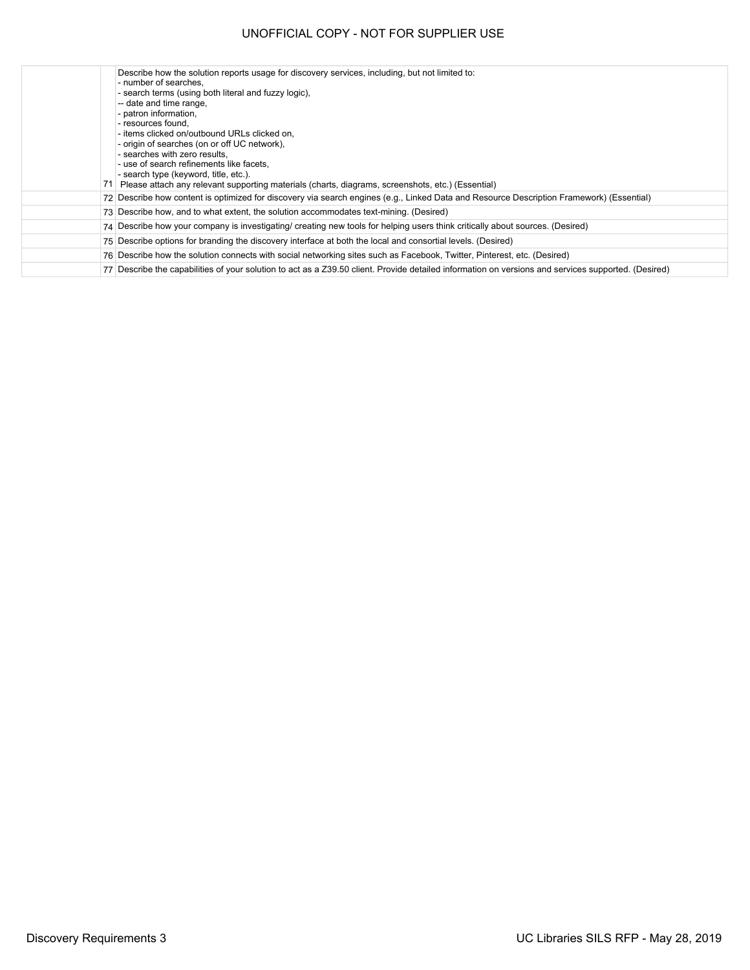| 71 | Describe how the solution reports usage for discovery services, including, but not limited to:<br>- number of searches,<br>- search terms (using both literal and fuzzy logic),<br>-- date and time range,<br>- patron information,<br>- resources found.<br>- items clicked on/outbound URLs clicked on,<br>- origin of searches (on or off UC network).<br>- searches with zero results.<br>- use of search refinements like facets.<br>- search type (keyword, title, etc.).<br>Please attach any relevant supporting materials (charts, diagrams, screenshots, etc.) (Essential) |
|----|--------------------------------------------------------------------------------------------------------------------------------------------------------------------------------------------------------------------------------------------------------------------------------------------------------------------------------------------------------------------------------------------------------------------------------------------------------------------------------------------------------------------------------------------------------------------------------------|
|    | 72 Describe how content is optimized for discovery via search engines (e.g., Linked Data and Resource Description Framework) (Essential)                                                                                                                                                                                                                                                                                                                                                                                                                                             |
|    | 73 Describe how, and to what extent, the solution accommodates text-mining. (Desired)                                                                                                                                                                                                                                                                                                                                                                                                                                                                                                |
|    | 74 Describe how your company is investigating/ creating new tools for helping users think critically about sources. (Desired)                                                                                                                                                                                                                                                                                                                                                                                                                                                        |
|    | 75 Describe options for branding the discovery interface at both the local and consortial levels. (Desired)                                                                                                                                                                                                                                                                                                                                                                                                                                                                          |
|    | 76 Describe how the solution connects with social networking sites such as Facebook, Twitter, Pinterest, etc. (Desired)                                                                                                                                                                                                                                                                                                                                                                                                                                                              |
|    | 77 Describe the capabilities of your solution to act as a Z39.50 client. Provide detailed information on versions and services supported. (Desired)                                                                                                                                                                                                                                                                                                                                                                                                                                  |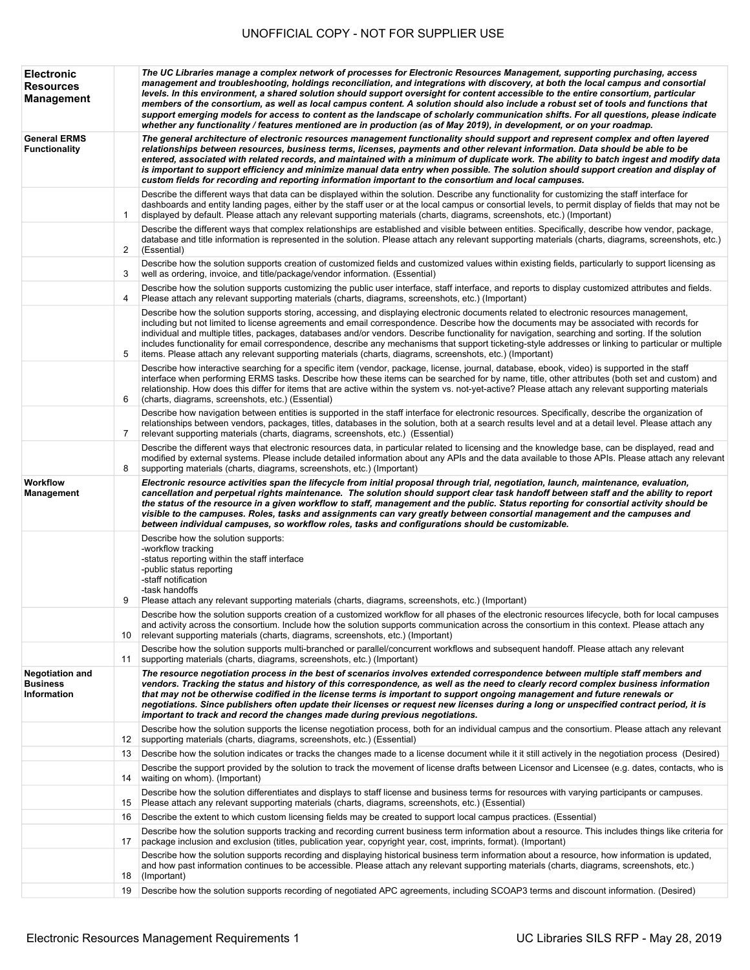| <b>Electronic</b><br><b>Resources</b><br><b>Management</b> |    | The UC Libraries manage a complex network of processes for Electronic Resources Management, supporting purchasing, access<br>management and troubleshooting, holdings reconciliation, and integrations with discovery, at both the local campus and consortial<br>levels. In this environment, a shared solution should support oversight for content accessible to the entire consortium, particular<br>members of the consortium, as well as local campus content. A solution should also include a robust set of tools and functions that<br>support emerging models for access to content as the landscape of scholarly communication shifts. For all questions, please indicate<br>whether any functionality / features mentioned are in production (as of May 2019), in development, or on your roadmap. |
|------------------------------------------------------------|----|----------------------------------------------------------------------------------------------------------------------------------------------------------------------------------------------------------------------------------------------------------------------------------------------------------------------------------------------------------------------------------------------------------------------------------------------------------------------------------------------------------------------------------------------------------------------------------------------------------------------------------------------------------------------------------------------------------------------------------------------------------------------------------------------------------------|
| <b>General ERMS</b><br><b>Functionality</b>                |    | The general architecture of electronic resources management functionality should support and represent complex and often layered<br>relationships between resources, business terms, licenses, payments and other relevant information. Data should be able to be<br>entered, associated with related records, and maintained with a minimum of duplicate work. The ability to batch ingest and modify data<br>is important to support efficiency and minimize manual data entry when possible. The solution should support creation and display of<br>custom fields for recording and reporting information important to the consortium and local campuses.                                                                                                                                                   |
|                                                            | 1  | Describe the different ways that data can be displayed within the solution. Describe any functionality for customizing the staff interface for<br>dashboards and entity landing pages, either by the staff user or at the local campus or consortial levels, to permit display of fields that may not be<br>displayed by default. Please attach any relevant supporting materials (charts, diagrams, screenshots, etc.) (Important)                                                                                                                                                                                                                                                                                                                                                                            |
|                                                            | 2  | Describe the different ways that complex relationships are established and visible between entities. Specifically, describe how vendor, package,<br>database and title information is represented in the solution. Please attach any relevant supporting materials (charts, diagrams, screenshots, etc.)<br>(Essential)                                                                                                                                                                                                                                                                                                                                                                                                                                                                                        |
|                                                            | 3  | Describe how the solution supports creation of customized fields and customized values within existing fields, particularly to support licensing as<br>well as ordering, invoice, and title/package/vendor information. (Essential)                                                                                                                                                                                                                                                                                                                                                                                                                                                                                                                                                                            |
|                                                            | 4  | Describe how the solution supports customizing the public user interface, staff interface, and reports to display customized attributes and fields.<br>Please attach any relevant supporting materials (charts, diagrams, screenshots, etc.) (Important)                                                                                                                                                                                                                                                                                                                                                                                                                                                                                                                                                       |
|                                                            | 5  | Describe how the solution supports storing, accessing, and displaying electronic documents related to electronic resources management,<br>including but not limited to license agreements and email correspondence. Describe how the documents may be associated with records for<br>individual and multiple titles, packages, databases and/or vendors. Describe functionality for navigation, searching and sorting. If the solution<br>includes functionality for email correspondence, describe any mechanisms that support ticketing-style addresses or linking to particular or multiple<br>items. Please attach any relevant supporting materials (charts, diagrams, screenshots, etc.) (Important)                                                                                                     |
|                                                            | 6  | Describe how interactive searching for a specific item (vendor, package, license, journal, database, ebook, video) is supported in the staff<br>interface when performing ERMS tasks. Describe how these items can be searched for by name, title, other attributes (both set and custom) and<br>relationship. How does this differ for items that are active within the system vs. not-yet-active? Please attach any relevant supporting materials<br>(charts, diagrams, screenshots, etc.) (Essential)                                                                                                                                                                                                                                                                                                       |
|                                                            | 7  | Describe how navigation between entities is supported in the staff interface for electronic resources. Specifically, describe the organization of<br>relationships between vendors, packages, titles, databases in the solution, both at a search results level and at a detail level. Please attach any<br>relevant supporting materials (charts, diagrams, screenshots, etc.) (Essential)                                                                                                                                                                                                                                                                                                                                                                                                                    |
|                                                            | 8  | Describe the different ways that electronic resources data, in particular related to licensing and the knowledge base, can be displayed, read and<br>modified by external systems. Please include detailed information about any APIs and the data available to those APIs. Please attach any relevant<br>supporting materials (charts, diagrams, screenshots, etc.) (Important)                                                                                                                                                                                                                                                                                                                                                                                                                               |
| Workflow<br>Management                                     |    | Electronic resource activities span the lifecycle from initial proposal through trial, negotiation, launch, maintenance, evaluation,<br>cancellation and perpetual rights maintenance. The solution should support clear task handoff between staff and the ability to report<br>the status of the resource in a given workflow to staff, management and the public. Status reporting for consortial activity should be<br>visible to the campuses. Roles, tasks and assignments can vary greatly between consortial management and the campuses and<br>between individual campuses, so workflow roles, tasks and configurations should be customizable.                                                                                                                                                       |
|                                                            | 9  | Describe how the solution supports:<br>-workflow tracking<br>-status reporting within the staff interface<br>-public status reporting<br>-staff notification<br>-task handoffs<br>Please attach any relevant supporting materials (charts, diagrams, screenshots, etc.) (Important)                                                                                                                                                                                                                                                                                                                                                                                                                                                                                                                            |
|                                                            | 10 | Describe how the solution supports creation of a customized workflow for all phases of the electronic resources lifecycle, both for local campuses<br>and activity across the consortium. Include how the solution supports communication across the consortium in this context. Please attach any<br>relevant supporting materials (charts, diagrams, screenshots, etc.) (Important)                                                                                                                                                                                                                                                                                                                                                                                                                          |
|                                                            | 11 | Describe how the solution supports multi-branched or parallel/concurrent workflows and subsequent handoff. Please attach any relevant<br>supporting materials (charts, diagrams, screenshots, etc.) (Important)                                                                                                                                                                                                                                                                                                                                                                                                                                                                                                                                                                                                |
| Negotiation and<br><b>Business</b><br>Information          |    | The resource negotiation process in the best of scenarios involves extended correspondence between multiple staff members and<br>vendors. Tracking the status and history of this correspondence, as well as the need to clearly record complex business information<br>that may not be otherwise codified in the license terms is important to support ongoing management and future renewals or<br>negotiations. Since publishers often update their licenses or request new licenses during a long or unspecified contract period, it is<br>important to track and record the changes made during previous negotiations.                                                                                                                                                                                    |
|                                                            | 12 | Describe how the solution supports the license negotiation process, both for an individual campus and the consortium. Please attach any relevant<br>supporting materials (charts, diagrams, screenshots, etc.) (Essential)                                                                                                                                                                                                                                                                                                                                                                                                                                                                                                                                                                                     |
|                                                            | 13 | Describe how the solution indicates or tracks the changes made to a license document while it it still actively in the negotiation process (Desired)<br>Describe the support provided by the solution to track the movement of license drafts between Licensor and Licensee (e.g. dates, contacts, who is                                                                                                                                                                                                                                                                                                                                                                                                                                                                                                      |
|                                                            | 14 | waiting on whom). (Important)                                                                                                                                                                                                                                                                                                                                                                                                                                                                                                                                                                                                                                                                                                                                                                                  |
|                                                            | 15 | Describe how the solution differentiates and displays to staff license and business terms for resources with varying participants or campuses.<br>Please attach any relevant supporting materials (charts, diagrams, screenshots, etc.) (Essential)                                                                                                                                                                                                                                                                                                                                                                                                                                                                                                                                                            |
|                                                            | 16 | Describe the extent to which custom licensing fields may be created to support local campus practices. (Essential)                                                                                                                                                                                                                                                                                                                                                                                                                                                                                                                                                                                                                                                                                             |
|                                                            | 17 | Describe how the solution supports tracking and recording current business term information about a resource. This includes things like criteria for<br>package inclusion and exclusion (titles, publication year, copyright year, cost, imprints, format). (Important)                                                                                                                                                                                                                                                                                                                                                                                                                                                                                                                                        |
|                                                            | 18 | Describe how the solution supports recording and displaying historical business term information about a resource, how information is updated,<br>and how past information continues to be accessible. Please attach any relevant supporting materials (charts, diagrams, screenshots, etc.)<br>(Important)                                                                                                                                                                                                                                                                                                                                                                                                                                                                                                    |
|                                                            | 19 | Describe how the solution supports recording of negotiated APC agreements, including SCOAP3 terms and discount information. (Desired)                                                                                                                                                                                                                                                                                                                                                                                                                                                                                                                                                                                                                                                                          |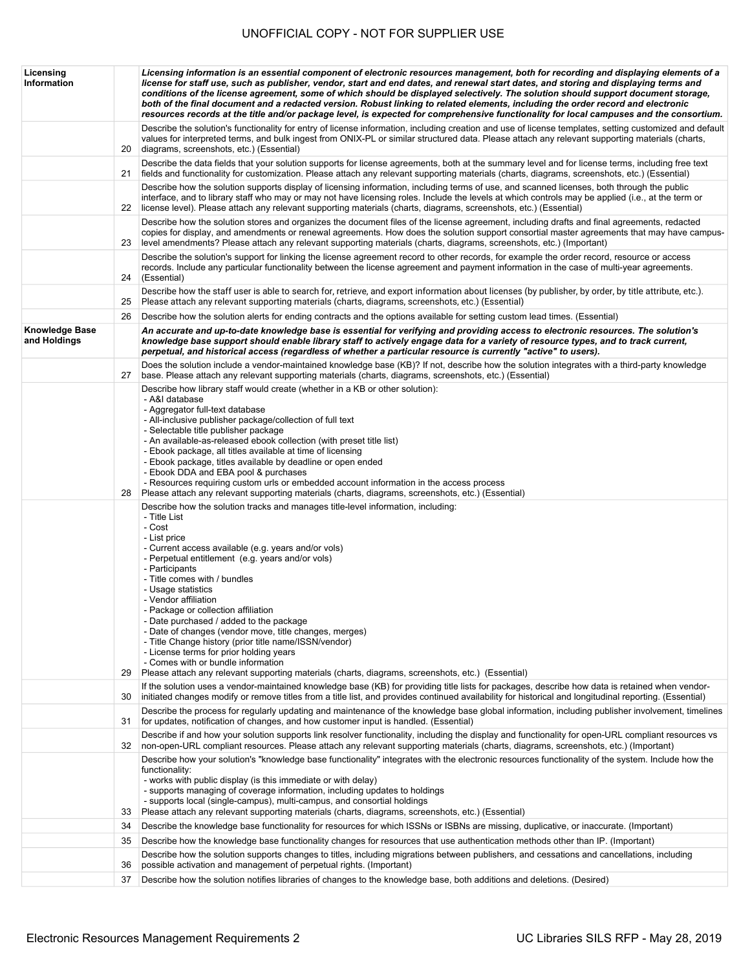| Licensing<br>Information              |    | Licensing information is an essential component of electronic resources management, both for recording and displaying elements of a<br>license for staff use, such as publisher, vendor, start and end dates, and renewal start dates, and storing and displaying terms and<br>conditions of the license agreement, some of which should be displayed selectively. The solution should support document storage,<br>both of the final document and a redacted version. Robust linking to related elements, including the order record and electronic<br>resources records at the title and/or package level, is expected for comprehensive functionality for local campuses and the consortium.                                  |
|---------------------------------------|----|----------------------------------------------------------------------------------------------------------------------------------------------------------------------------------------------------------------------------------------------------------------------------------------------------------------------------------------------------------------------------------------------------------------------------------------------------------------------------------------------------------------------------------------------------------------------------------------------------------------------------------------------------------------------------------------------------------------------------------|
|                                       | 20 | Describe the solution's functionality for entry of license information, including creation and use of license templates, setting customized and default<br>values for interpreted terms, and bulk ingest from ONIX-PL or similar structured data. Please attach any relevant supporting materials (charts,<br>diagrams, screenshots, etc.) (Essential)                                                                                                                                                                                                                                                                                                                                                                           |
|                                       | 21 | Describe the data fields that your solution supports for license agreements, both at the summary level and for license terms, including free text<br>fields and functionality for customization. Please attach any relevant supporting materials (charts, diagrams, screenshots, etc.) (Essential)                                                                                                                                                                                                                                                                                                                                                                                                                               |
|                                       | 22 | Describe how the solution supports display of licensing information, including terms of use, and scanned licenses, both through the public<br>interface, and to library staff who may or may not have licensing roles. Include the levels at which controls may be applied (i.e., at the term or<br>license level). Please attach any relevant supporting materials (charts, diagrams, screenshots, etc.) (Essential)                                                                                                                                                                                                                                                                                                            |
|                                       | 23 | Describe how the solution stores and organizes the document files of the license agreement, including drafts and final agreements, redacted<br>copies for display, and amendments or renewal agreements. How does the solution support consortial master agreements that may have campus-<br>level amendments? Please attach any relevant supporting materials (charts, diagrams, screenshots, etc.) (Important)                                                                                                                                                                                                                                                                                                                 |
|                                       | 24 | Describe the solution's support for linking the license agreement record to other records, for example the order record, resource or access<br>records. Include any particular functionality between the license agreement and payment information in the case of multi-year agreements.<br>(Essential)                                                                                                                                                                                                                                                                                                                                                                                                                          |
|                                       | 25 | Describe how the staff user is able to search for, retrieve, and export information about licenses (by publisher, by order, by title attribute, etc.).<br>Please attach any relevant supporting materials (charts, diagrams, screenshots, etc.) (Essential)                                                                                                                                                                                                                                                                                                                                                                                                                                                                      |
|                                       | 26 | Describe how the solution alerts for ending contracts and the options available for setting custom lead times. (Essential)                                                                                                                                                                                                                                                                                                                                                                                                                                                                                                                                                                                                       |
| <b>Knowledge Base</b><br>and Holdings |    | An accurate and up-to-date knowledge base is essential for verifying and providing access to electronic resources. The solution's<br>knowledge base support should enable library staff to actively engage data for a variety of resource types, and to track current,<br>perpetual, and historical access (regardless of whether a particular resource is currently "active" to users).                                                                                                                                                                                                                                                                                                                                         |
|                                       | 27 | Does the solution include a vendor-maintained knowledge base (KB)? If not, describe how the solution integrates with a third-party knowledge<br>base. Please attach any relevant supporting materials (charts, diagrams, screenshots, etc.) (Essential)                                                                                                                                                                                                                                                                                                                                                                                                                                                                          |
|                                       | 28 | Describe how library staff would create (whether in a KB or other solution):<br>- A&I database<br>- Aggregator full-text database<br>- All-inclusive publisher package/collection of full text<br>- Selectable title publisher package<br>- An available-as-released ebook collection (with preset title list)<br>- Ebook package, all titles available at time of licensing<br>- Ebook package, titles available by deadline or open ended<br>- Ebook DDA and EBA pool & purchases<br>- Resources requiring custom urls or embedded account information in the access process<br>Please attach any relevant supporting materials (charts, diagrams, screenshots, etc.) (Essential)                                              |
|                                       | 29 | Describe how the solution tracks and manages title-level information, including:<br>- Title List<br>- Cost<br>- List price<br>- Current access available (e.g. years and/or vols)<br>- Perpetual entitlement (e.g. years and/or vols)<br>- Participants<br>- Title comes with / bundles<br>- Usage statistics<br>- Vendor affiliation<br>- Package or collection affiliation<br>- Date purchased / added to the package<br>- Date of changes (vendor move, title changes, merges)<br>- Title Change history (prior title name/ISSN/vendor)<br>- License terms for prior holding years<br>- Comes with or bundle information<br>Please attach any relevant supporting materials (charts, diagrams, screenshots, etc.) (Essential) |
|                                       | 30 | If the solution uses a vendor-maintained knowledge base (KB) for providing title lists for packages, describe how data is retained when vendor-<br>initiated changes modify or remove titles from a title list, and provides continued availability for historical and longitudinal reporting. (Essential)                                                                                                                                                                                                                                                                                                                                                                                                                       |
|                                       | 31 | Describe the process for regularly updating and maintenance of the knowledge base global information, including publisher involvement, timelines<br>for updates, notification of changes, and how customer input is handled. (Essential)                                                                                                                                                                                                                                                                                                                                                                                                                                                                                         |
|                                       | 32 | Describe if and how your solution supports link resolver functionality, including the display and functionality for open-URL compliant resources vs<br>non-open-URL compliant resources. Please attach any relevant supporting materials (charts, diagrams, screenshots, etc.) (Important)                                                                                                                                                                                                                                                                                                                                                                                                                                       |
|                                       | 33 | Describe how your solution's "knowledge base functionality" integrates with the electronic resources functionality of the system. Include how the<br>functionality:<br>- works with public display (is this immediate or with delay)<br>- supports managing of coverage information, including updates to holdings<br>- supports local (single-campus), multi-campus, and consortial holdings<br>Please attach any relevant supporting materials (charts, diagrams, screenshots, etc.) (Essential)                                                                                                                                                                                                                               |
|                                       | 34 | Describe the knowledge base functionality for resources for which ISSNs or ISBNs are missing, duplicative, or inaccurate. (Important)                                                                                                                                                                                                                                                                                                                                                                                                                                                                                                                                                                                            |
|                                       | 35 | Describe how the knowledge base functionality changes for resources that use authentication methods other than IP. (Important)                                                                                                                                                                                                                                                                                                                                                                                                                                                                                                                                                                                                   |
|                                       | 36 | Describe how the solution supports changes to titles, including migrations between publishers, and cessations and cancellations, including<br>possible activation and management of perpetual rights. (Important)                                                                                                                                                                                                                                                                                                                                                                                                                                                                                                                |
|                                       | 37 | Describe how the solution notifies libraries of changes to the knowledge base, both additions and deletions. (Desired)                                                                                                                                                                                                                                                                                                                                                                                                                                                                                                                                                                                                           |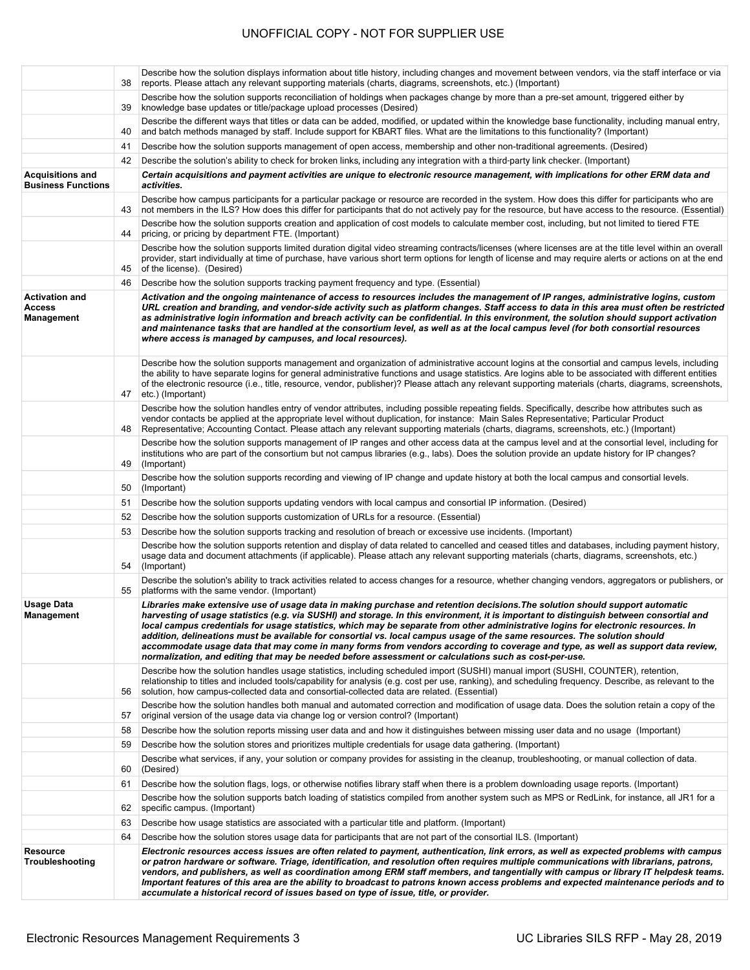|                                                             | 38 | Describe how the solution displays information about title history, including changes and movement between vendors, via the staff interface or via<br>reports. Please attach any relevant supporting materials (charts, diagrams, screenshots, etc.) (Important)                                                                                                                                                                                                                                                                                                                                                                                                                                                                                                                       |
|-------------------------------------------------------------|----|----------------------------------------------------------------------------------------------------------------------------------------------------------------------------------------------------------------------------------------------------------------------------------------------------------------------------------------------------------------------------------------------------------------------------------------------------------------------------------------------------------------------------------------------------------------------------------------------------------------------------------------------------------------------------------------------------------------------------------------------------------------------------------------|
|                                                             | 39 | Describe how the solution supports reconciliation of holdings when packages change by more than a pre-set amount, triggered either by<br>knowledge base updates or title/package upload processes (Desired)                                                                                                                                                                                                                                                                                                                                                                                                                                                                                                                                                                            |
|                                                             | 40 | Describe the different ways that titles or data can be added, modified, or updated within the knowledge base functionality, including manual entry,<br>and batch methods managed by staff. Include support for KBART files. What are the limitations to this functionality? (Important)                                                                                                                                                                                                                                                                                                                                                                                                                                                                                                |
|                                                             | 41 | Describe how the solution supports management of open access, membership and other non-traditional agreements. (Desired)                                                                                                                                                                                                                                                                                                                                                                                                                                                                                                                                                                                                                                                               |
|                                                             | 42 | Describe the solution's ability to check for broken links, including any integration with a third-party link checker. (Important)                                                                                                                                                                                                                                                                                                                                                                                                                                                                                                                                                                                                                                                      |
| <b>Acquisitions and</b><br><b>Business Functions</b>        |    | Certain acquisitions and payment activities are unique to electronic resource management, with implications for other ERM data and<br>activities.                                                                                                                                                                                                                                                                                                                                                                                                                                                                                                                                                                                                                                      |
|                                                             | 43 | Describe how campus participants for a particular package or resource are recorded in the system. How does this differ for participants who are<br>not members in the ILS? How does this differ for participants that do not actively pay for the resource, but have access to the resource. (Essential)                                                                                                                                                                                                                                                                                                                                                                                                                                                                               |
|                                                             | 44 | Describe how the solution supports creation and application of cost models to calculate member cost, including, but not limited to tiered FTE<br>pricing, or pricing by department FTE. (Important)                                                                                                                                                                                                                                                                                                                                                                                                                                                                                                                                                                                    |
|                                                             | 45 | Describe how the solution supports limited duration digital video streaming contracts/licenses (where licenses are at the title level within an overall<br>provider, start individually at time of purchase, have various short term options for length of license and may require alerts or actions on at the end<br>of the license). (Desired)                                                                                                                                                                                                                                                                                                                                                                                                                                       |
|                                                             | 46 | Describe how the solution supports tracking payment frequency and type. (Essential)                                                                                                                                                                                                                                                                                                                                                                                                                                                                                                                                                                                                                                                                                                    |
| <b>Activation and</b><br><b>Access</b><br><b>Management</b> |    | Activation and the ongoing maintenance of access to resources includes the management of IP ranges, administrative logins, custom<br>URL creation and branding, and vendor-side activity such as platform changes. Staff access to data in this area must often be restricted<br>as administrative login information and breach activity can be confidential. In this environment, the solution should support activation<br>and maintenance tasks that are handled at the consortium level, as well as at the local campus level (for both consortial resources<br>where access is managed by campuses, and local resources).                                                                                                                                                         |
|                                                             | 47 | Describe how the solution supports management and organization of administrative account logins at the consortial and campus levels, including<br>the ability to have separate logins for general administrative functions and usage statistics. Are logins able to be associated with different entities<br>of the electronic resource (i.e., title, resource, vendor, publisher)? Please attach any relevant supporting materials (charts, diagrams, screenshots,<br>etc.) (Important)                                                                                                                                                                                                                                                                                               |
|                                                             | 48 | Describe how the solution handles entry of vendor attributes, including possible repeating fields. Specifically, describe how attributes such as<br>vendor contacts be applied at the appropriate level without duplication, for instance: Main Sales Representative; Particular Product<br>Representative; Accounting Contact. Please attach any relevant supporting materials (charts, diagrams, screenshots, etc.) (Important)                                                                                                                                                                                                                                                                                                                                                      |
|                                                             | 49 | Describe how the solution supports management of IP ranges and other access data at the campus level and at the consortial level, including for<br>institutions who are part of the consortium but not campus libraries (e.g., labs). Does the solution provide an update history for IP changes?<br>(Important)                                                                                                                                                                                                                                                                                                                                                                                                                                                                       |
|                                                             | 50 | Describe how the solution supports recording and viewing of IP change and update history at both the local campus and consortial levels.<br>(Important)                                                                                                                                                                                                                                                                                                                                                                                                                                                                                                                                                                                                                                |
|                                                             | 51 | Describe how the solution supports updating vendors with local campus and consortial IP information. (Desired)                                                                                                                                                                                                                                                                                                                                                                                                                                                                                                                                                                                                                                                                         |
|                                                             | 52 | Describe how the solution supports customization of URLs for a resource. (Essential)                                                                                                                                                                                                                                                                                                                                                                                                                                                                                                                                                                                                                                                                                                   |
|                                                             | 53 | Describe how the solution supports tracking and resolution of breach or excessive use incidents. (Important)                                                                                                                                                                                                                                                                                                                                                                                                                                                                                                                                                                                                                                                                           |
|                                                             | 54 | Describe how the solution supports retention and display of data related to cancelled and ceased titles and databases, including payment history,<br>usage data and document attachments (if applicable). Please attach any relevant supporting materials (charts, diagrams, screenshots, etc.)<br>(Important)                                                                                                                                                                                                                                                                                                                                                                                                                                                                         |
|                                                             | 55 | Describe the solution's ability to track activities related to access changes for a resource, whether changing vendors, aggregators or publishers, or<br>platforms with the same vendor. (Important)                                                                                                                                                                                                                                                                                                                                                                                                                                                                                                                                                                                   |
| Usage Data<br><b>Management</b>                             |    | Libraries make extensive use of usage data in making purchase and retention decisions. The solution should support automatic<br>harvesting of usage statistics (e.g. via SUSHI) and storage. In this environment, it is important to distinguish between consortial and<br>local campus credentials for usage statistics, which may be separate from other administrative logins for electronic resources. In<br>addition, delineations must be available for consortial vs. local campus usage of the same resources. The solution should<br>accommodate usage data that may come in many forms from vendors according to coverage and type, as well as support data review,<br>normalization, and editing that may be needed before assessment or calculations such as cost-per-use. |
|                                                             | 56 | Describe how the solution handles usage statistics, including scheduled import (SUSHI) manual import (SUSHI, COUNTER), retention,<br>relationship to titles and included tools/capability for analysis (e.g. cost per use, ranking), and scheduling frequency. Describe, as relevant to the<br>solution, how campus-collected data and consortial-collected data are related. (Essential)                                                                                                                                                                                                                                                                                                                                                                                              |
|                                                             | 57 | Describe how the solution handles both manual and automated correction and modification of usage data. Does the solution retain a copy of the<br>original version of the usage data via change log or version control? (Important)                                                                                                                                                                                                                                                                                                                                                                                                                                                                                                                                                     |
|                                                             | 58 | Describe how the solution reports missing user data and and how it distinguishes between missing user data and no usage (Important)                                                                                                                                                                                                                                                                                                                                                                                                                                                                                                                                                                                                                                                    |
|                                                             | 59 | Describe how the solution stores and prioritizes multiple credentials for usage data gathering. (Important)                                                                                                                                                                                                                                                                                                                                                                                                                                                                                                                                                                                                                                                                            |
|                                                             | 60 | Describe what services, if any, your solution or company provides for assisting in the cleanup, troubleshooting, or manual collection of data.<br>(Desired)                                                                                                                                                                                                                                                                                                                                                                                                                                                                                                                                                                                                                            |
|                                                             | 61 | Describe how the solution flags, logs, or otherwise notifies library staff when there is a problem downloading usage reports. (Important)                                                                                                                                                                                                                                                                                                                                                                                                                                                                                                                                                                                                                                              |
|                                                             | 62 | Describe how the solution supports batch loading of statistics compiled from another system such as MPS or RedLink, for instance, all JR1 for a<br>specific campus. (Important)                                                                                                                                                                                                                                                                                                                                                                                                                                                                                                                                                                                                        |
|                                                             | 63 | Describe how usage statistics are associated with a particular title and platform. (Important)                                                                                                                                                                                                                                                                                                                                                                                                                                                                                                                                                                                                                                                                                         |
|                                                             | 64 | Describe how the solution stores usage data for participants that are not part of the consortial ILS. (Important)                                                                                                                                                                                                                                                                                                                                                                                                                                                                                                                                                                                                                                                                      |
| Resource<br>Troubleshooting                                 |    | Electronic resources access issues are often related to payment, authentication, link errors, as well as expected problems with campus<br>or patron hardware or software. Triage, identification, and resolution often requires multiple communications with librarians, patrons,<br>vendors, and publishers, as well as coordination among ERM staff members, and tangentially with campus or library IT helpdesk teams.<br>Important features of this area are the ability to broadcast to patrons known access problems and expected maintenance periods and to<br>accumulate a historical record of issues based on type of issue, title, or provider.                                                                                                                             |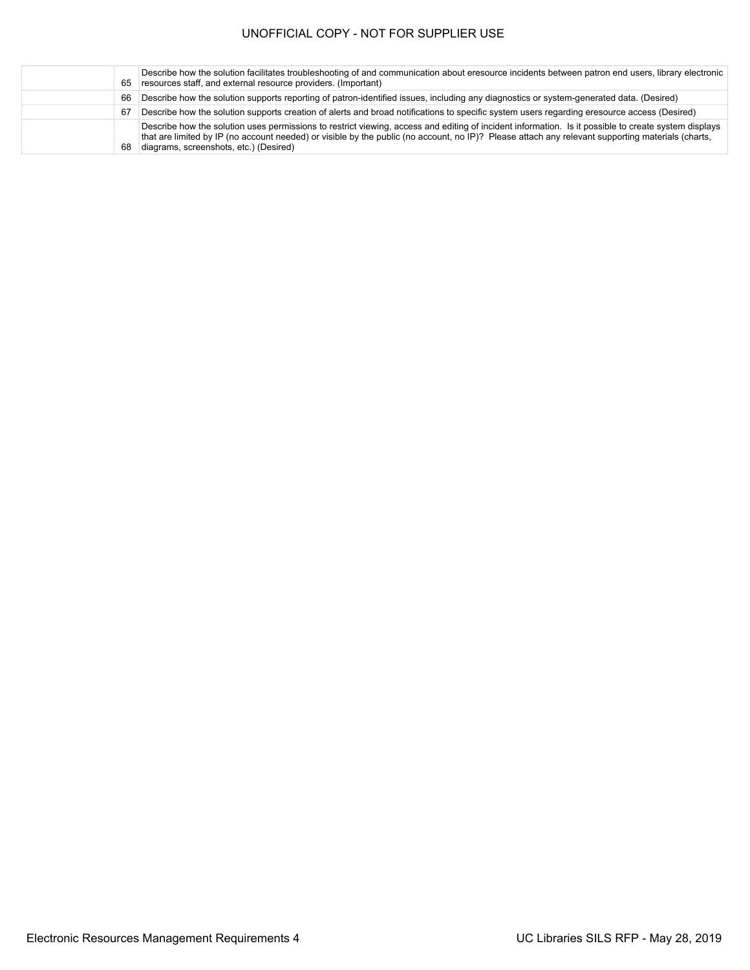| 65 | Describe how the solution facilitates troubleshooting of and communication about eresource incidents between patron end users, library electronic<br>resources staff, and external resource providers. (Important)                                                                                                                                  |
|----|-----------------------------------------------------------------------------------------------------------------------------------------------------------------------------------------------------------------------------------------------------------------------------------------------------------------------------------------------------|
| 66 | Describe how the solution supports reporting of patron-identified issues, including any diagnostics or system-generated data. (Desired)                                                                                                                                                                                                             |
| 67 | Describe how the solution supports creation of alerts and broad notifications to specific system users regarding eresource access (Desired)                                                                                                                                                                                                         |
| 68 | Describe how the solution uses permissions to restrict viewing, access and editing of incident information. Is it possible to create system displays<br>that are limited by IP (no account needed) or visible by the public (no account, no IP)? Please attach any relevant supporting materials (charts,<br>diagrams, screenshots, etc.) (Desired) |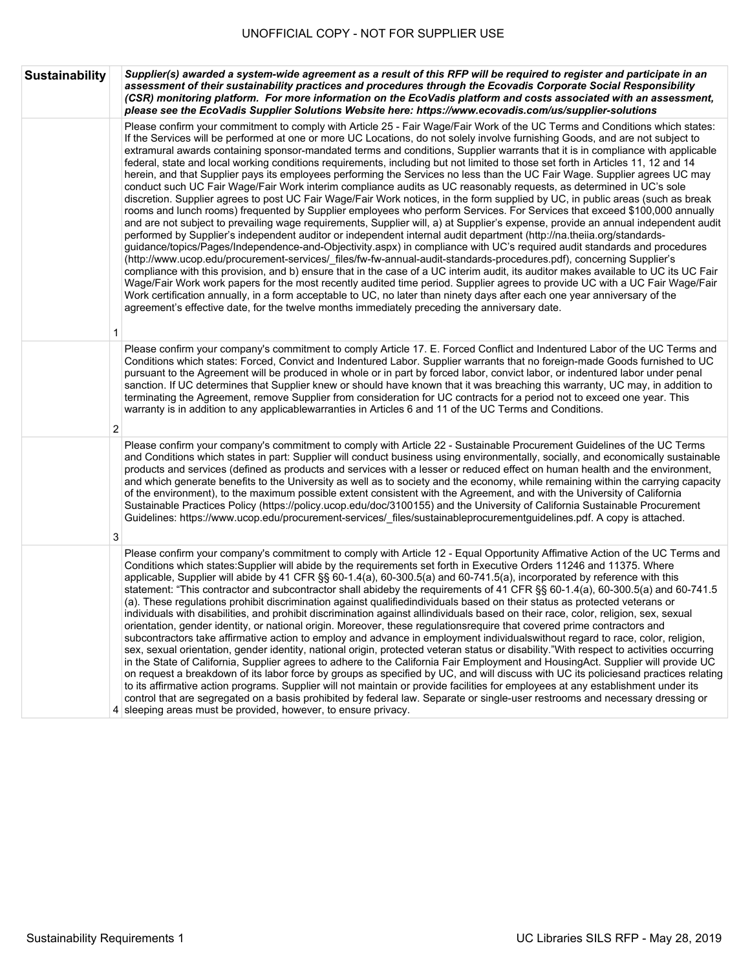| <b>Sustainability</b> | Supplier(s) awarded a system-wide agreement as a result of this RFP will be required to register and participate in an<br>assessment of their sustainability practices and procedures through the Ecovadis Corporate Social Responsibility<br>(CSR) monitoring platform. For more information on the EcoVadis platform and costs associated with an assessment,<br>please see the EcoVadis Supplier Solutions Website here: https://www.ecovadis.com/us/supplier-solutions                                                                                                                                                                                                                                                                                                                                                                                                                                                                                                                                                                                                                                                                                                                                                                                                                                                                                                                                                                                                                                                                                                                                                                                                                                                                                                                                                                                                                                                                                                                                                                                                         |
|-----------------------|------------------------------------------------------------------------------------------------------------------------------------------------------------------------------------------------------------------------------------------------------------------------------------------------------------------------------------------------------------------------------------------------------------------------------------------------------------------------------------------------------------------------------------------------------------------------------------------------------------------------------------------------------------------------------------------------------------------------------------------------------------------------------------------------------------------------------------------------------------------------------------------------------------------------------------------------------------------------------------------------------------------------------------------------------------------------------------------------------------------------------------------------------------------------------------------------------------------------------------------------------------------------------------------------------------------------------------------------------------------------------------------------------------------------------------------------------------------------------------------------------------------------------------------------------------------------------------------------------------------------------------------------------------------------------------------------------------------------------------------------------------------------------------------------------------------------------------------------------------------------------------------------------------------------------------------------------------------------------------------------------------------------------------------------------------------------------------|
|                       | Please confirm your commitment to comply with Article 25 - Fair Wage/Fair Work of the UC Terms and Conditions which states:<br>If the Services will be performed at one or more UC Locations, do not solely involve furnishing Goods, and are not subject to<br>extramural awards containing sponsor-mandated terms and conditions, Supplier warrants that it is in compliance with applicable<br>federal, state and local working conditions requirements, including but not limited to those set forth in Articles 11, 12 and 14<br>herein, and that Supplier pays its employees performing the Services no less than the UC Fair Wage. Supplier agrees UC may<br>conduct such UC Fair Wage/Fair Work interim compliance audits as UC reasonably requests, as determined in UC's sole<br>discretion. Supplier agrees to post UC Fair Wage/Fair Work notices, in the form supplied by UC, in public areas (such as break<br>rooms and lunch rooms) frequented by Supplier employees who perform Services. For Services that exceed \$100,000 annually<br>and are not subject to prevailing wage requirements, Supplier will, a) at Supplier's expense, provide an annual independent audit<br>performed by Supplier's independent auditor or independent internal audit department (http://na.theiia.org/standards-<br>guidance/topics/Pages/Independence-and-Objectivity.aspx) in compliance with UC's required audit standards and procedures<br>(http://www.ucop.edu/procurement-services/_files/fw-fw-annual-audit-standards-procedures.pdf), concerning Supplier's<br>compliance with this provision, and b) ensure that in the case of a UC interim audit, its auditor makes available to UC its UC Fair<br>Wage/Fair Work work papers for the most recently audited time period. Supplier agrees to provide UC with a UC Fair Wage/Fair<br>Work certification annually, in a form acceptable to UC, no later than ninety days after each one year anniversary of the<br>agreement's effective date, for the twelve months immediately preceding the anniversary date.<br>1 |
|                       | Please confirm your company's commitment to comply Article 17. E. Forced Conflict and Indentured Labor of the UC Terms and<br>Conditions which states: Forced, Convict and Indentured Labor. Supplier warrants that no foreign-made Goods furnished to UC<br>pursuant to the Agreement will be produced in whole or in part by forced labor, convict labor, or indentured labor under penal<br>sanction. If UC determines that Supplier knew or should have known that it was breaching this warranty, UC may, in addition to<br>terminating the Agreement, remove Supplier from consideration for UC contracts for a period not to exceed one year. This<br>warranty is in addition to any applicablewarranties in Articles 6 and 11 of the UC Terms and Conditions.<br>2                                                                                                                                                                                                                                                                                                                                                                                                                                                                                                                                                                                                                                                                                                                                                                                                                                                                                                                                                                                                                                                                                                                                                                                                                                                                                                         |
|                       | Please confirm your company's commitment to comply with Article 22 - Sustainable Procurement Guidelines of the UC Terms<br>and Conditions which states in part: Supplier will conduct business using environmentally, socially, and economically sustainable<br>products and services (defined as products and services with a lesser or reduced effect on human health and the environment,<br>and which generate benefits to the University as well as to society and the economy, while remaining within the carrying capacity<br>of the environment), to the maximum possible extent consistent with the Agreement, and with the University of California<br>Sustainable Practices Policy (https://policy.ucop.edu/doc/3100155) and the University of California Sustainable Procurement<br>Guidelines: https://www.ucop.edu/procurement-services/_files/sustainableprocurementguidelines.pdf. A copy is attached.<br>3                                                                                                                                                                                                                                                                                                                                                                                                                                                                                                                                                                                                                                                                                                                                                                                                                                                                                                                                                                                                                                                                                                                                                        |
|                       | Please confirm your company's commitment to comply with Article 12 - Equal Opportunity Affimative Action of the UC Terms and<br>Conditions which states: Supplier will abide by the requirements set forth in Executive Orders 11246 and 11375. Where<br>applicable, Supplier will abide by 41 CFR §§ 60-1.4(a), 60-300.5(a) and 60-741.5(a), incorporated by reference with this<br>statement: "This contractor and subcontractor shall abideby the requirements of 41 CFR §§ 60-1.4(a), 60-300.5(a) and 60-741.5<br>(a). These regulations prohibit discrimination against qualifiedindividuals based on their status as protected veterans or<br>individuals with disabilities, and prohibit discrimination against allindividuals based on their race, color, religion, sex, sexual<br>orientation, gender identity, or national origin. Moreover, these regulationsrequire that covered prime contractors and<br>subcontractors take affirmative action to employ and advance in employment individualswithout regard to race, color, religion,<br>sex, sexual orientation, gender identity, national origin, protected veteran status or disability."With respect to activities occurring<br>in the State of California, Supplier agrees to adhere to the California Fair Employment and HousingAct. Supplier will provide UC<br>on request a breakdown of its labor force by groups as specified by UC, and will discuss with UC its policiesand practices relating<br>to its affirmative action programs. Supplier will not maintain or provide facilities for employees at any establishment under its<br>control that are segregated on a basis prohibited by federal law. Separate or single-user restrooms and necessary dressing or                                                                                                                                                                                                                                                                                                                                   |

4 sleeping areas must be provided, however, to ensure privacy.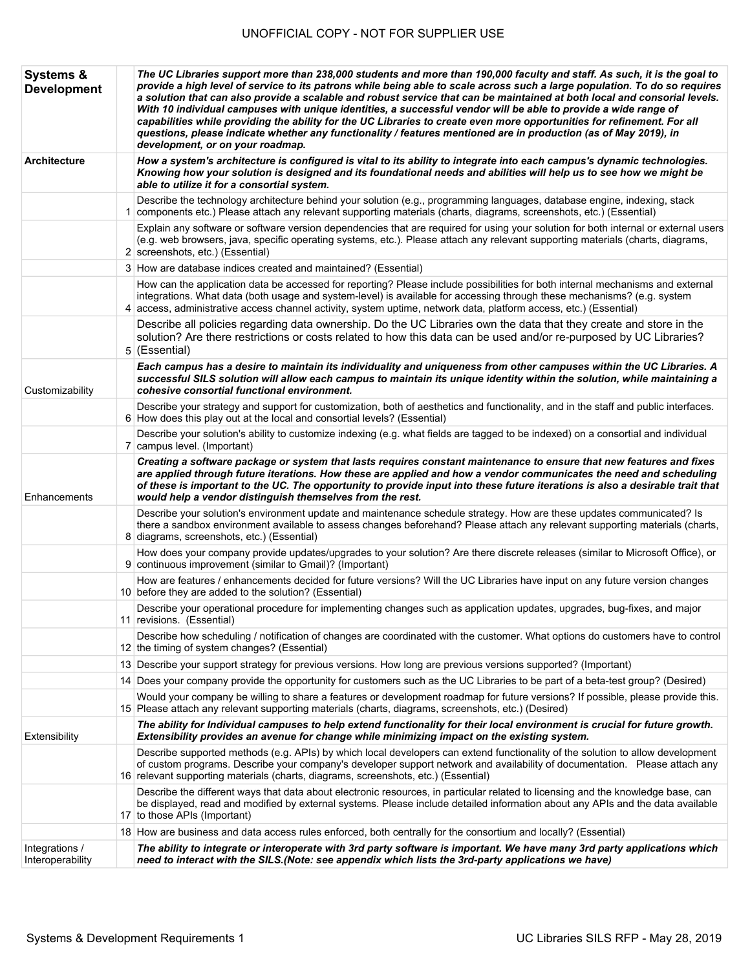| <b>Systems &amp;</b><br><b>Development</b> | The UC Libraries support more than 238,000 students and more than 190,000 faculty and staff. As such, it is the goal to<br>provide a high level of service to its patrons while being able to scale across such a large population. To do so requires<br>a solution that can also provide a scalable and robust service that can be maintained at both local and consorial levels.<br>With 10 individual campuses with unique identities, a successful vendor will be able to provide a wide range of<br>capabilities while providing the ability for the UC Libraries to create even more opportunities for refinement. For all<br>questions, please indicate whether any functionality / features mentioned are in production (as of May 2019), in<br>development, or on your roadmap. |
|--------------------------------------------|------------------------------------------------------------------------------------------------------------------------------------------------------------------------------------------------------------------------------------------------------------------------------------------------------------------------------------------------------------------------------------------------------------------------------------------------------------------------------------------------------------------------------------------------------------------------------------------------------------------------------------------------------------------------------------------------------------------------------------------------------------------------------------------|
| <b>Architecture</b>                        | How a system's architecture is configured is vital to its ability to integrate into each campus's dynamic technologies.<br>Knowing how your solution is designed and its foundational needs and abilities will help us to see how we might be<br>able to utilize it for a consortial system.                                                                                                                                                                                                                                                                                                                                                                                                                                                                                             |
|                                            | Describe the technology architecture behind your solution (e.g., programming languages, database engine, indexing, stack<br>1 components etc.) Please attach any relevant supporting materials (charts, diagrams, screenshots, etc.) (Essential)                                                                                                                                                                                                                                                                                                                                                                                                                                                                                                                                         |
|                                            | Explain any software or software version dependencies that are required for using your solution for both internal or external users<br>(e.g. web browsers, java, specific operating systems, etc.). Please attach any relevant supporting materials (charts, diagrams,<br>2 screenshots, etc.) (Essential)                                                                                                                                                                                                                                                                                                                                                                                                                                                                               |
|                                            | 3 How are database indices created and maintained? (Essential)                                                                                                                                                                                                                                                                                                                                                                                                                                                                                                                                                                                                                                                                                                                           |
|                                            | How can the application data be accessed for reporting? Please include possibilities for both internal mechanisms and external<br>integrations. What data (both usage and system-level) is available for accessing through these mechanisms? (e.g. system<br>4 access, administrative access channel activity, system uptime, network data, platform access, etc.) (Essential)                                                                                                                                                                                                                                                                                                                                                                                                           |
|                                            | Describe all policies regarding data ownership. Do the UC Libraries own the data that they create and store in the<br>solution? Are there restrictions or costs related to how this data can be used and/or re-purposed by UC Libraries?<br>5 (Essential)                                                                                                                                                                                                                                                                                                                                                                                                                                                                                                                                |
| Customizability                            | Each campus has a desire to maintain its individuality and uniqueness from other campuses within the UC Libraries. A<br>successful SILS solution will allow each campus to maintain its unique identity within the solution, while maintaining a<br>cohesive consortial functional environment.                                                                                                                                                                                                                                                                                                                                                                                                                                                                                          |
|                                            | Describe your strategy and support for customization, both of aesthetics and functionality, and in the staff and public interfaces.<br>6 How does this play out at the local and consortial levels? (Essential)                                                                                                                                                                                                                                                                                                                                                                                                                                                                                                                                                                          |
|                                            | Describe your solution's ability to customize indexing (e.g. what fields are tagged to be indexed) on a consortial and individual<br>7 campus level. (Important)                                                                                                                                                                                                                                                                                                                                                                                                                                                                                                                                                                                                                         |
| Enhancements                               | Creating a software package or system that lasts requires constant maintenance to ensure that new features and fixes<br>are applied through future iterations. How these are applied and how a vendor communicates the need and scheduling<br>of these is important to the UC. The opportunity to provide input into these future iterations is also a desirable trait that<br>would help a vendor distinguish themselves from the rest.                                                                                                                                                                                                                                                                                                                                                 |
|                                            | Describe your solution's environment update and maintenance schedule strategy. How are these updates communicated? Is<br>there a sandbox environment available to assess changes beforehand? Please attach any relevant supporting materials (charts,<br>8 diagrams, screenshots, etc.) (Essential)                                                                                                                                                                                                                                                                                                                                                                                                                                                                                      |
|                                            | How does your company provide updates/upgrades to your solution? Are there discrete releases (similar to Microsoft Office), or<br>9 continuous improvement (similar to Gmail)? (Important)                                                                                                                                                                                                                                                                                                                                                                                                                                                                                                                                                                                               |
|                                            | How are features / enhancements decided for future versions? Will the UC Libraries have input on any future version changes<br>10 before they are added to the solution? (Essential)                                                                                                                                                                                                                                                                                                                                                                                                                                                                                                                                                                                                     |
|                                            | Describe your operational procedure for implementing changes such as application updates, upgrades, bug-fixes, and major<br>11 revisions. (Essential)                                                                                                                                                                                                                                                                                                                                                                                                                                                                                                                                                                                                                                    |
|                                            | Describe how scheduling / notification of changes are coordinated with the customer. What options do customers have to control<br>12 the timing of system changes? (Essential)                                                                                                                                                                                                                                                                                                                                                                                                                                                                                                                                                                                                           |
|                                            | 13 Describe your support strategy for previous versions. How long are previous versions supported? (Important)                                                                                                                                                                                                                                                                                                                                                                                                                                                                                                                                                                                                                                                                           |
|                                            | 14 Does your company provide the opportunity for customers such as the UC Libraries to be part of a beta-test group? (Desired)                                                                                                                                                                                                                                                                                                                                                                                                                                                                                                                                                                                                                                                           |
|                                            | Would your company be willing to share a features or development roadmap for future versions? If possible, please provide this.<br>15 Please attach any relevant supporting materials (charts, diagrams, screenshots, etc.) (Desired)                                                                                                                                                                                                                                                                                                                                                                                                                                                                                                                                                    |
| Extensibility                              | The ability for Individual campuses to help extend functionality for their local environment is crucial for future growth.<br>Extensibility provides an avenue for change while minimizing impact on the existing system.                                                                                                                                                                                                                                                                                                                                                                                                                                                                                                                                                                |
|                                            | Describe supported methods (e.g. APIs) by which local developers can extend functionality of the solution to allow development<br>of custom programs. Describe your company's developer support network and availability of documentation. Please attach any<br>16 relevant supporting materials (charts, diagrams, screenshots, etc.) (Essential)                                                                                                                                                                                                                                                                                                                                                                                                                                       |
|                                            | Describe the different ways that data about electronic resources, in particular related to licensing and the knowledge base, can<br>be displayed, read and modified by external systems. Please include detailed information about any APIs and the data available<br>17 to those APIs (Important)                                                                                                                                                                                                                                                                                                                                                                                                                                                                                       |
|                                            | 18 How are business and data access rules enforced, both centrally for the consortium and locally? (Essential)                                                                                                                                                                                                                                                                                                                                                                                                                                                                                                                                                                                                                                                                           |
| Integrations /<br>Interoperability         | The ability to integrate or interoperate with 3rd party software is important. We have many 3rd party applications which<br>need to interact with the SILS.(Note: see appendix which lists the 3rd-party applications we have)                                                                                                                                                                                                                                                                                                                                                                                                                                                                                                                                                           |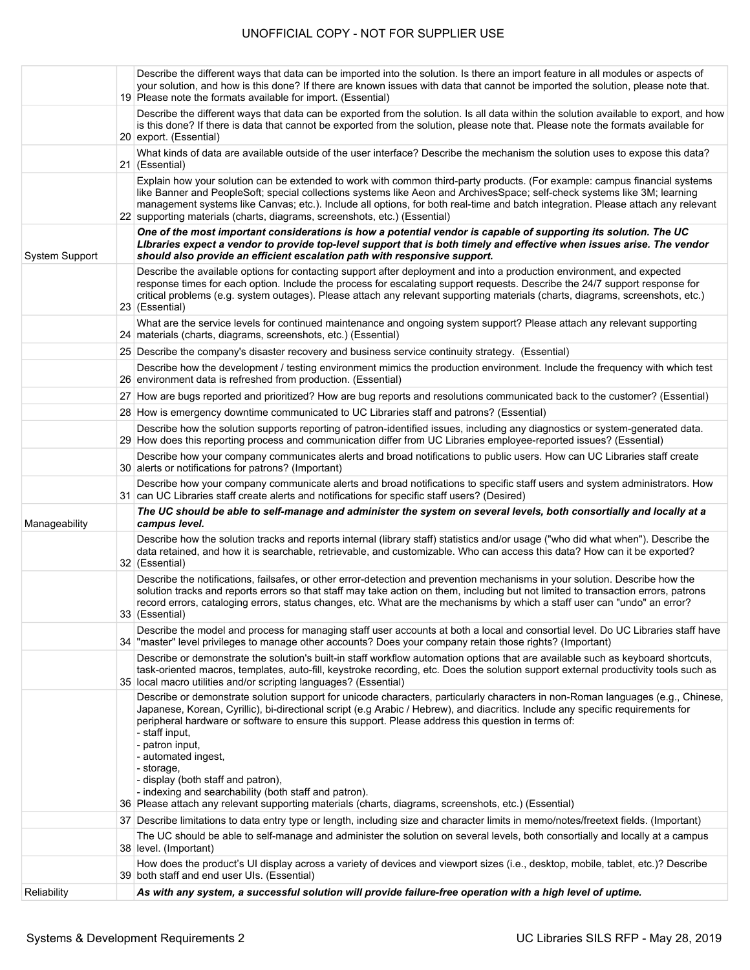|                       | Describe the different ways that data can be imported into the solution. Is there an import feature in all modules or aspects of<br>your solution, and how is this done? If there are known issues with data that cannot be imported the solution, please note that.<br>19 Please note the formats available for import. (Essential)                                                                                                                                                                                                                                                                                                                     |
|-----------------------|----------------------------------------------------------------------------------------------------------------------------------------------------------------------------------------------------------------------------------------------------------------------------------------------------------------------------------------------------------------------------------------------------------------------------------------------------------------------------------------------------------------------------------------------------------------------------------------------------------------------------------------------------------|
|                       | Describe the different ways that data can be exported from the solution. Is all data within the solution available to export, and how<br>is this done? If there is data that cannot be exported from the solution, please note that. Please note the formats available for<br>20 export. (Essential)                                                                                                                                                                                                                                                                                                                                                     |
|                       | What kinds of data are available outside of the user interface? Describe the mechanism the solution uses to expose this data?<br>21 (Essential)                                                                                                                                                                                                                                                                                                                                                                                                                                                                                                          |
|                       | Explain how your solution can be extended to work with common third-party products. (For example: campus financial systems<br>like Banner and PeopleSoft; special collections systems like Aeon and ArchivesSpace; self-check systems like 3M; learning<br>management systems like Canvas; etc.). Include all options, for both real-time and batch integration. Please attach any relevant<br>22 supporting materials (charts, diagrams, screenshots, etc.) (Essential)                                                                                                                                                                                 |
| <b>System Support</b> | One of the most important considerations is how a potential vendor is capable of supporting its solution. The UC<br>Libraries expect a vendor to provide top-level support that is both timely and effective when issues arise. The vendor<br>should also provide an efficient escalation path with responsive support.                                                                                                                                                                                                                                                                                                                                  |
|                       | Describe the available options for contacting support after deployment and into a production environment, and expected<br>response times for each option. Include the process for escalating support requests. Describe the 24/7 support response for<br>critical problems (e.g. system outages). Please attach any relevant supporting materials (charts, diagrams, screenshots, etc.)<br>23 (Essential)                                                                                                                                                                                                                                                |
|                       | What are the service levels for continued maintenance and ongoing system support? Please attach any relevant supporting<br>24 materials (charts, diagrams, screenshots, etc.) (Essential)                                                                                                                                                                                                                                                                                                                                                                                                                                                                |
|                       | 25 Describe the company's disaster recovery and business service continuity strategy. (Essential)                                                                                                                                                                                                                                                                                                                                                                                                                                                                                                                                                        |
|                       | Describe how the development / testing environment mimics the production environment. Include the frequency with which test<br>26 environment data is refreshed from production. (Essential)                                                                                                                                                                                                                                                                                                                                                                                                                                                             |
|                       | 27 How are bugs reported and prioritized? How are bug reports and resolutions communicated back to the customer? (Essential)                                                                                                                                                                                                                                                                                                                                                                                                                                                                                                                             |
|                       | 28 How is emergency downtime communicated to UC Libraries staff and patrons? (Essential)                                                                                                                                                                                                                                                                                                                                                                                                                                                                                                                                                                 |
|                       | Describe how the solution supports reporting of patron-identified issues, including any diagnostics or system-generated data.<br>29 How does this reporting process and communication differ from UC Libraries employee-reported issues? (Essential)                                                                                                                                                                                                                                                                                                                                                                                                     |
|                       | Describe how your company communicates alerts and broad notifications to public users. How can UC Libraries staff create<br>30 alerts or notifications for patrons? (Important)                                                                                                                                                                                                                                                                                                                                                                                                                                                                          |
|                       | Describe how your company communicate alerts and broad notifications to specific staff users and system administrators. How<br>31 can UC Libraries staff create alerts and notifications for specific staff users? (Desired)                                                                                                                                                                                                                                                                                                                                                                                                                             |
| Manageability         | The UC should be able to self-manage and administer the system on several levels, both consortially and locally at a<br>campus level.                                                                                                                                                                                                                                                                                                                                                                                                                                                                                                                    |
|                       | Describe how the solution tracks and reports internal (library staff) statistics and/or usage ("who did what when"). Describe the<br>data retained, and how it is searchable, retrievable, and customizable. Who can access this data? How can it be exported?<br>32 (Essential)                                                                                                                                                                                                                                                                                                                                                                         |
|                       | Describe the notifications, failsafes, or other error-detection and prevention mechanisms in your solution. Describe how the<br>solution tracks and reports errors so that staff may take action on them, including but not limited to transaction errors, patrons<br>record errors, cataloging errors, status changes, etc. What are the mechanisms by which a staff user can "undo" an error?<br>33 (Essential)                                                                                                                                                                                                                                        |
|                       | Describe the model and process for managing staff user accounts at both a local and consortial level. Do UC Libraries staff have<br>34 "master" level privileges to manage other accounts? Does your company retain those rights? (Important)                                                                                                                                                                                                                                                                                                                                                                                                            |
|                       | Describe or demonstrate the solution's built-in staff workflow automation options that are available such as keyboard shortcuts,<br>task-oriented macros, templates, auto-fill, keystroke recording, etc. Does the solution support external productivity tools such as<br>35 local macro utilities and/or scripting languages? (Essential)                                                                                                                                                                                                                                                                                                              |
|                       | Describe or demonstrate solution support for unicode characters, particularly characters in non-Roman languages (e.g., Chinese,<br>Japanese, Korean, Cyrillic), bi-directional script (e.g Arabic / Hebrew), and diacritics. Include any specific requirements for<br>peripheral hardware or software to ensure this support. Please address this question in terms of:<br>- staff input,<br>- patron input,<br>- automated ingest,<br>- storage,<br>- display (both staff and patron),<br>- indexing and searchability (both staff and patron).<br>36 Please attach any relevant supporting materials (charts, diagrams, screenshots, etc.) (Essential) |
|                       | 37 Describe limitations to data entry type or length, including size and character limits in memo/notes/freetext fields. (Important)                                                                                                                                                                                                                                                                                                                                                                                                                                                                                                                     |
|                       | The UC should be able to self-manage and administer the solution on several levels, both consortially and locally at a campus<br>38 level. (Important)                                                                                                                                                                                                                                                                                                                                                                                                                                                                                                   |
|                       | How does the product's UI display across a variety of devices and viewport sizes (i.e., desktop, mobile, tablet, etc.)? Describe<br>39 both staff and end user UIs. (Essential)                                                                                                                                                                                                                                                                                                                                                                                                                                                                          |
| Reliability           | As with any system, a successful solution will provide failure-free operation with a high level of uptime.                                                                                                                                                                                                                                                                                                                                                                                                                                                                                                                                               |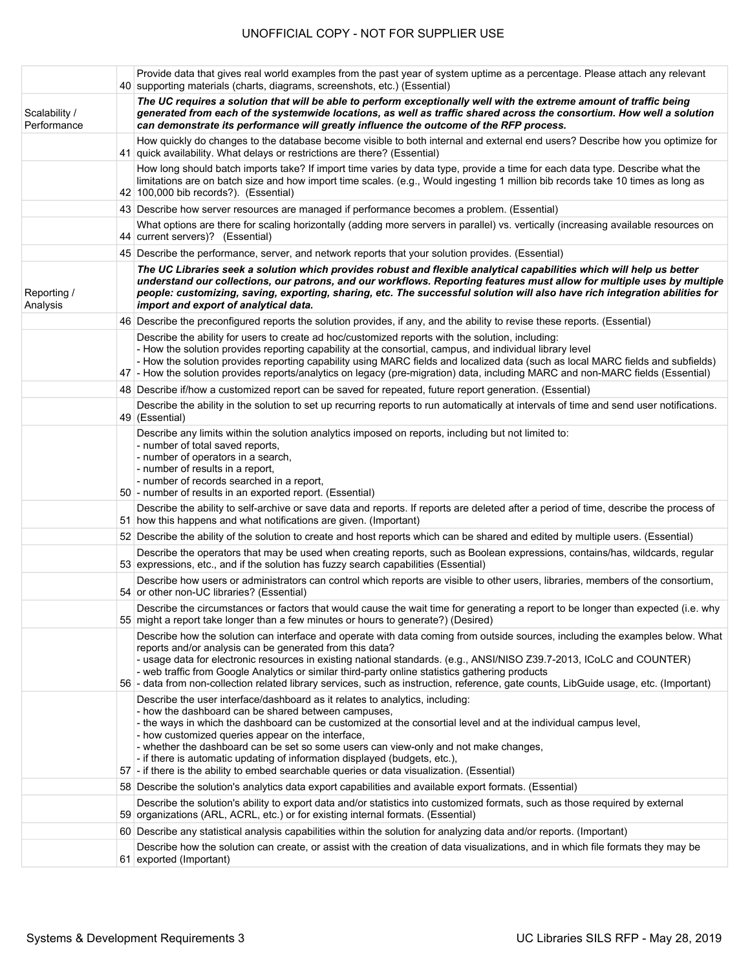|                              | Provide data that gives real world examples from the past year of system uptime as a percentage. Please attach any relevant<br>40 supporting materials (charts, diagrams, screenshots, etc.) (Essential)                                                                                                                                                                                                                                                                                                                                                                         |
|------------------------------|----------------------------------------------------------------------------------------------------------------------------------------------------------------------------------------------------------------------------------------------------------------------------------------------------------------------------------------------------------------------------------------------------------------------------------------------------------------------------------------------------------------------------------------------------------------------------------|
| Scalability /<br>Performance | The UC requires a solution that will be able to perform exceptionally well with the extreme amount of traffic being<br>generated from each of the systemwide locations, as well as traffic shared across the consortium. How well a solution<br>can demonstrate its performance will greatly influence the outcome of the RFP process.                                                                                                                                                                                                                                           |
|                              | How quickly do changes to the database become visible to both internal and external end users? Describe how you optimize for<br>41 quick availability. What delays or restrictions are there? (Essential)                                                                                                                                                                                                                                                                                                                                                                        |
|                              | How long should batch imports take? If import time varies by data type, provide a time for each data type. Describe what the<br>limitations are on batch size and how import time scales. (e.g., Would ingesting 1 million bib records take 10 times as long as<br>42 100,000 bib records?). (Essential)                                                                                                                                                                                                                                                                         |
|                              | 43 Describe how server resources are managed if performance becomes a problem. (Essential)                                                                                                                                                                                                                                                                                                                                                                                                                                                                                       |
|                              | What options are there for scaling horizontally (adding more servers in parallel) vs. vertically (increasing available resources on<br>44 current servers)? (Essential)                                                                                                                                                                                                                                                                                                                                                                                                          |
|                              | 45 Describe the performance, server, and network reports that your solution provides. (Essential)                                                                                                                                                                                                                                                                                                                                                                                                                                                                                |
| Reporting /<br>Analysis      | The UC Libraries seek a solution which provides robust and flexible analytical capabilities which will help us better<br>understand our collections, our patrons, and our workflows. Reporting features must allow for multiple uses by multiple<br>people: customizing, saving, exporting, sharing, etc. The successful solution will also have rich integration abilities for<br>import and export of analytical data.                                                                                                                                                         |
|                              | 46 Describe the preconfigured reports the solution provides, if any, and the ability to revise these reports. (Essential)                                                                                                                                                                                                                                                                                                                                                                                                                                                        |
|                              | Describe the ability for users to create ad hoc/customized reports with the solution, including:<br>- How the solution provides reporting capability at the consortial, campus, and individual library level<br>- How the solution provides reporting capability using MARC fields and localized data (such as local MARC fields and subfields)<br>47 - How the solution provides reports/analytics on legacy (pre-migration) data, including MARC and non-MARC fields (Essential)                                                                                               |
|                              | 48 Describe if/how a customized report can be saved for repeated, future report generation. (Essential)                                                                                                                                                                                                                                                                                                                                                                                                                                                                          |
|                              | Describe the ability in the solution to set up recurring reports to run automatically at intervals of time and send user notifications.<br>49 (Essential)                                                                                                                                                                                                                                                                                                                                                                                                                        |
|                              | Describe any limits within the solution analytics imposed on reports, including but not limited to:<br>- number of total saved reports,<br>- number of operators in a search,<br>- number of results in a report,<br>- number of records searched in a report,<br>50 - number of results in an exported report. (Essential)                                                                                                                                                                                                                                                      |
|                              | Describe the ability to self-archive or save data and reports. If reports are deleted after a period of time, describe the process of<br>51 how this happens and what notifications are given. (Important)                                                                                                                                                                                                                                                                                                                                                                       |
|                              | 52 Describe the ability of the solution to create and host reports which can be shared and edited by multiple users. (Essential)                                                                                                                                                                                                                                                                                                                                                                                                                                                 |
|                              | Describe the operators that may be used when creating reports, such as Boolean expressions, contains/has, wildcards, regular<br>53 expressions, etc., and if the solution has fuzzy search capabilities (Essential)                                                                                                                                                                                                                                                                                                                                                              |
|                              | Describe how users or administrators can control which reports are visible to other users, libraries, members of the consortium,<br>54 or other non-UC libraries? (Essential)                                                                                                                                                                                                                                                                                                                                                                                                    |
|                              | Describe the circumstances or factors that would cause the wait time for generating a report to be longer than expected (i.e. why<br>55 might a report take longer than a few minutes or hours to generate?) (Desired)                                                                                                                                                                                                                                                                                                                                                           |
|                              | Describe how the solution can interface and operate with data coming from outside sources, including the examples below. What<br>reports and/or analysis can be generated from this data?<br>- usage data for electronic resources in existing national standards. (e.g., ANSI/NISO Z39.7-2013, ICoLC and COUNTER)<br>- web traffic from Google Analytics or similar third-party online statistics gathering products<br>56 - data from non-collection related library services, such as instruction, reference, gate counts, LibGuide usage, etc. (Important)                   |
|                              | Describe the user interface/dashboard as it relates to analytics, including:<br>- how the dashboard can be shared between campuses,<br>- the ways in which the dashboard can be customized at the consortial level and at the individual campus level,<br>- how customized queries appear on the interface,<br>- whether the dashboard can be set so some users can view-only and not make changes,<br>- if there is automatic updating of information displayed (budgets, etc.),<br>57 - if there is the ability to embed searchable queries or data visualization. (Essential) |
|                              | 58 Describe the solution's analytics data export capabilities and available export formats. (Essential)                                                                                                                                                                                                                                                                                                                                                                                                                                                                          |
|                              | Describe the solution's ability to export data and/or statistics into customized formats, such as those required by external<br>59 organizations (ARL, ACRL, etc.) or for existing internal formats. (Essential)                                                                                                                                                                                                                                                                                                                                                                 |
|                              | 60 Describe any statistical analysis capabilities within the solution for analyzing data and/or reports. (Important)                                                                                                                                                                                                                                                                                                                                                                                                                                                             |
|                              | Describe how the solution can create, or assist with the creation of data visualizations, and in which file formats they may be<br>61 exported (Important)                                                                                                                                                                                                                                                                                                                                                                                                                       |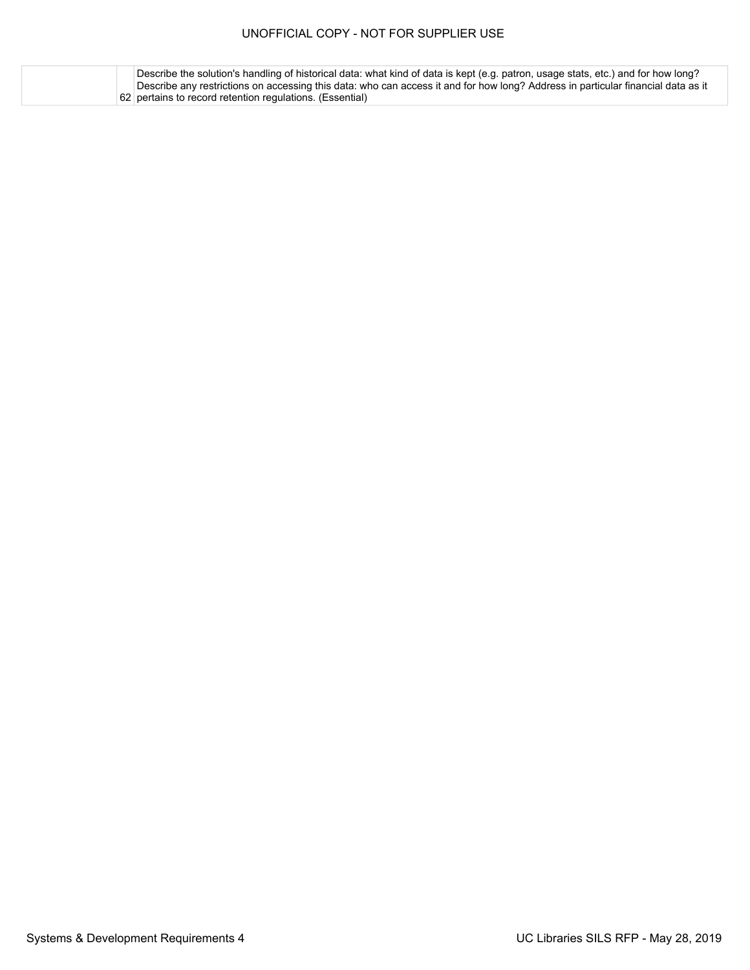62 pertains to record retention regulations. (Essential)Describe the solution's handling of historical data: what kind of data is kept (e.g. patron, usage stats, etc.) and for how long? Describe any restrictions on accessing this data: who can access it and for how long? Address in particular financial data as it